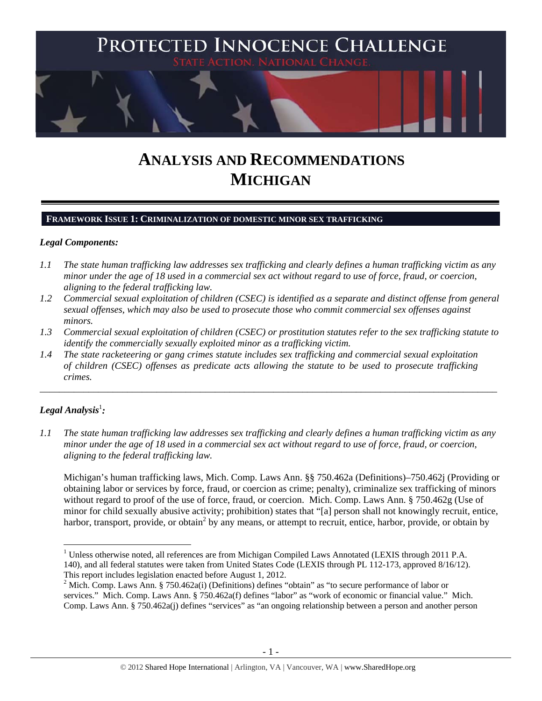

# **ANALYSIS AND RECOMMENDATIONS MICHIGAN**

#### **FRAMEWORK ISSUE 1: CRIMINALIZATION OF DOMESTIC MINOR SEX TRAFFICKING**

#### *Legal Components:*

- *1.1 The state human trafficking law addresses sex trafficking and clearly defines a human trafficking victim as any minor under the age of 18 used in a commercial sex act without regard to use of force, fraud, or coercion, aligning to the federal trafficking law.*
- *1.2 Commercial sexual exploitation of children (CSEC) is identified as a separate and distinct offense from general sexual offenses, which may also be used to prosecute those who commit commercial sex offenses against minors.*
- *1.3 Commercial sexual exploitation of children (CSEC) or prostitution statutes refer to the sex trafficking statute to identify the commercially sexually exploited minor as a trafficking victim.*

\_\_\_\_\_\_\_\_\_\_\_\_\_\_\_\_\_\_\_\_\_\_\_\_\_\_\_\_\_\_\_\_\_\_\_\_\_\_\_\_\_\_\_\_\_\_\_\_\_\_\_\_\_\_\_\_\_\_\_\_\_\_\_\_\_\_\_\_\_\_\_\_\_\_\_\_\_\_\_\_\_\_\_\_\_\_\_\_\_\_\_\_\_\_

*1.4 The state racketeering or gang crimes statute includes sex trafficking and commercial sexual exploitation of children (CSEC) offenses as predicate acts allowing the statute to be used to prosecute trafficking crimes.* 

# $\bm{L}$ egal Analysis $^{\rm l}$ :

*1.1 The state human trafficking law addresses sex trafficking and clearly defines a human trafficking victim as any minor under the age of 18 used in a commercial sex act without regard to use of force, fraud, or coercion, aligning to the federal trafficking law.* 

Michigan's human trafficking laws, Mich. Comp. Laws Ann. §§ 750.462a (Definitions)–750.462j (Providing or obtaining labor or services by force, fraud, or coercion as crime; penalty), criminalize sex trafficking of minors without regard to proof of the use of force, fraud, or coercion. Mich. Comp. Laws Ann. § 750.462g (Use of minor for child sexually abusive activity; prohibition) states that "[a] person shall not knowingly recruit, entice, harbor, transport, provide, or obtain<sup>2</sup> by any means, or attempt to recruit, entice, harbor, provide, or obtain by

 <sup>1</sup> Unless otherwise noted, all references are from Michigan Compiled Laws Annotated (LEXIS through 2011 P.A. 140), and all federal statutes were taken from United States Code (LEXIS through PL 112-173, approved 8/16/12). This report includes legislation enacted before August 1, 2012.

<sup>&</sup>lt;sup>2</sup> Mich. Comp. Laws Ann. § 750.462a(i) (Definitions) defines "obtain" as "to secure performance of labor or services." Mich. Comp. Laws Ann. § 750.462a(f) defines "labor" as "work of economic or financial value." Mich. Comp. Laws Ann. § 750.462a(j) defines "services" as "an ongoing relationship between a person and another person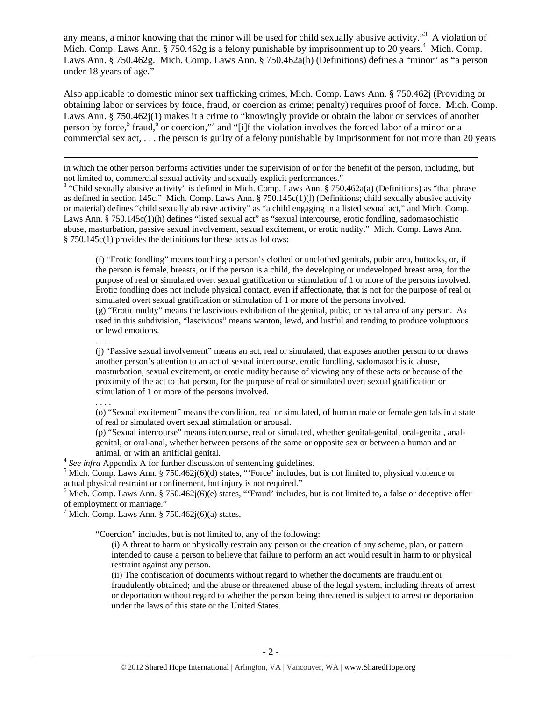any means, a minor knowing that the minor will be used for child sexually abusive activity."<sup>3</sup> A violation of Mich. Comp. Laws Ann.  $\S 750.462g$  is a felony punishable by imprisonment up to 20 years.<sup>4</sup> Mich. Comp. Laws Ann. § 750.462g. Mich. Comp. Laws Ann. § 750.462a(h) (Definitions) defines a "minor" as "a person under 18 years of age."

Also applicable to domestic minor sex trafficking crimes, Mich. Comp. Laws Ann. § 750.462j (Providing or obtaining labor or services by force, fraud, or coercion as crime; penalty) requires proof of force. Mich. Comp. Laws Ann. § 750.462j(1) makes it a crime to "knowingly provide or obtain the labor or services of another person by force,<sup>5</sup> fraud,<sup>6</sup> or coercion,"<sup>7</sup> and "[i]f the violation involves the forced labor of a minor or a commercial sex act, . . . the person is guilty of a felony punishable by imprisonment for not more than 20 years

<u> 1989 - Johann Stoff, fransk politik (d. 1989)</u> in which the other person performs activities under the supervision of or for the benefit of the person, including, but not limited to, commercial sexual activity and sexually explicit performances."

<sup>3</sup> "Child sexually abusive activity" is defined in Mich. Comp. Laws Ann. § 750.462a(a) (Definitions) as "that phrase as defined in section 145c." Mich. Comp. Laws Ann. § 750.145c(1)(l) (Definitions; child sexually abusive activity or material) defines "child sexually abusive activity" as "a child engaging in a listed sexual act," and Mich. Comp. Laws Ann. § 750.145c(1)(h) defines "listed sexual act" as "sexual intercourse, erotic fondling, sadomasochistic abuse, masturbation, passive sexual involvement, sexual excitement, or erotic nudity." Mich. Comp. Laws Ann. § 750.145c(1) provides the definitions for these acts as follows:

(f) "Erotic fondling" means touching a person's clothed or unclothed genitals, pubic area, buttocks, or, if the person is female, breasts, or if the person is a child, the developing or undeveloped breast area, for the purpose of real or simulated overt sexual gratification or stimulation of 1 or more of the persons involved. Erotic fondling does not include physical contact, even if affectionate, that is not for the purpose of real or simulated overt sexual gratification or stimulation of 1 or more of the persons involved. (g) "Erotic nudity" means the lascivious exhibition of the genital, pubic, or rectal area of any person. As

used in this subdivision, "lascivious" means wanton, lewd, and lustful and tending to produce voluptuous or lewd emotions.

. . . .

(j) "Passive sexual involvement" means an act, real or simulated, that exposes another person to or draws another person's attention to an act of sexual intercourse, erotic fondling, sadomasochistic abuse, masturbation, sexual excitement, or erotic nudity because of viewing any of these acts or because of the proximity of the act to that person, for the purpose of real or simulated overt sexual gratification or stimulation of 1 or more of the persons involved.

. . . .

(o) "Sexual excitement" means the condition, real or simulated, of human male or female genitals in a state of real or simulated overt sexual stimulation or arousal.

(p) "Sexual intercourse" means intercourse, real or simulated, whether genital-genital, oral-genital, analgenital, or oral-anal, whether between persons of the same or opposite sex or between a human and an

animal, or with an artificial genital.<br><sup>4</sup> *See infra* Appendix A for further discussion of sentencing guidelines.

<sup>5</sup> Mich. Comp. Laws Ann. § 750.462j(6)(d) states, "'Force' includes, but is not limited to, physical violence or actual physical restraint or confinement, but injury is not required."

<sup>6</sup> Mich. Comp. Laws Ann. § 750.462 $j(6)(e)$  states, "Fraud' includes, but is not limited to, a false or deceptive offer of employment or marriage."

 $^7$  Mich. Comp. Laws Ann. § 750.462j(6)(a) states,

"Coercion" includes, but is not limited to, any of the following:

(i) A threat to harm or physically restrain any person or the creation of any scheme, plan, or pattern intended to cause a person to believe that failure to perform an act would result in harm to or physical restraint against any person.

(ii) The confiscation of documents without regard to whether the documents are fraudulent or fraudulently obtained; and the abuse or threatened abuse of the legal system, including threats of arrest or deportation without regard to whether the person being threatened is subject to arrest or deportation under the laws of this state or the United States.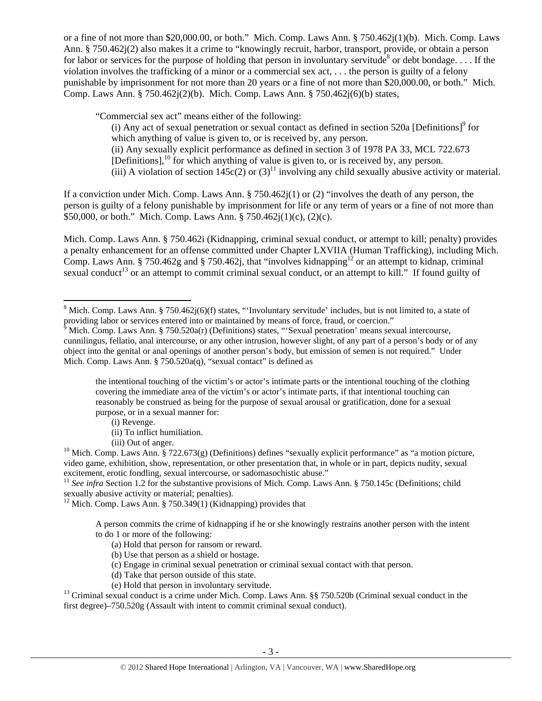or a fine of not more than \$20,000.00, or both." Mich. Comp. Laws Ann. § 750.462j(1)(b). Mich. Comp. Laws Ann. § 750.462j(2) also makes it a crime to "knowingly recruit, harbor, transport, provide, or obtain a person for labor or services for the purpose of holding that person in involuntary servitude<sup>8</sup> or debt bondage.... If the violation involves the trafficking of a minor or a commercial sex act, . . . the person is guilty of a felony punishable by imprisonment for not more than 20 years or a fine of not more than \$20,000.00, or both." Mich. Comp. Laws Ann. § 750.462j(2)(b). Mich. Comp. Laws Ann. § 750.462j(6)(b) states,

"Commercial sex act" means either of the following:

(i) Any act of sexual penetration or sexual contact as defined in section  $520a$  [Definitions]<sup>9</sup> for which anything of value is given to, or is received by, any person. (ii) Any sexually explicit performance as defined in section 3 of 1978 PA 33, MCL 722.673  $[Definitions]$ <sup>10</sup> for which anything of value is given to, or is received by, any person. (iii) A violation of section  $145c(2)$  or  $(3)^{11}$  involving any child sexually abusive activity or material.

If a conviction under Mich. Comp. Laws Ann. § 750.462j(1) or (2) "involves the death of any person, the person is guilty of a felony punishable by imprisonment for life or any term of years or a fine of not more than \$50,000, or both." Mich. Comp. Laws Ann. § 750.462j(1)(c), (2)(c).

Mich. Comp. Laws Ann. § 750.462i (Kidnapping, criminal sexual conduct, or attempt to kill; penalty) provides a penalty enhancement for an offense committed under Chapter LXVIIA (Human Trafficking), including Mich. Comp. Laws Ann. § 750.462g and § 750.462j, that "involves kidnapping<sup>12</sup> or an attempt to kidnap, criminal sexual conduct<sup>13</sup> or an attempt to commit criminal sexual conduct, or an attempt to kill." If found guilty of

the intentional touching of the victim's or actor's intimate parts or the intentional touching of the clothing covering the immediate area of the victim's or actor's intimate parts, if that intentional touching can reasonably be construed as being for the purpose of sexual arousal or gratification, done for a sexual purpose, or in a sexual manner for:

(i) Revenge.

<sup>11</sup> See infra Section 1.2 for the substantive provisions of Mich. Comp. Laws Ann. § 750.145c (Definitions; child sexually abusive activity or material; penalties).

<sup>12</sup> Mich. Comp. Laws Ann. § 750.349(1) (Kidnapping) provides that

A person commits the crime of kidnapping if he or she knowingly restrains another person with the intent to do 1 or more of the following:

- (a) Hold that person for ransom or reward.
- (b) Use that person as a shield or hostage.
- (c) Engage in criminal sexual penetration or criminal sexual contact with that person.
- 
- (d) Take that person outside of this state.<br>(e) Hold that person in involuntary servitude.

<sup>13</sup> Criminal sexual conduct is a crime under Mich. Comp. Laws Ann. §§ 750.520b (Criminal sexual conduct in the first degree)–750.520g (Assault with intent to commit criminal sexual conduct).

<sup>&</sup>lt;sup>8</sup> Mich. Comp. Laws Ann. § 750.462 $j(6)$ (f) states, "'Involuntary servitude' includes, but is not limited to, a state of providing labor or services entered into or maintained by means of force, fraud, or coercion."

 $\delta$  Mich. Comp. Laws Ann. § 750.520a(r) (Definitions) states, "Sexual penetration' means sexual intercourse, cunnilingus, fellatio, anal intercourse, or any other intrusion, however slight, of any part of a person's body or of any object into the genital or anal openings of another person's body, but emission of semen is not required." Under Mich. Comp. Laws Ann. § 750.520a(q), "sexual contact" is defined as

<sup>(</sup>ii) To inflict humiliation.

<sup>(</sup>iii) Out of anger.<br><sup>10</sup> Mich. Comp. Laws Ann. § 722.673(g) (Definitions) defines "sexually explicit performance" as "a motion picture, video game, exhibition, show, representation, or other presentation that, in whole or in part, depicts nudity, sexual excitement, erotic fondling, sexual intercourse, or sadomasochistic abuse."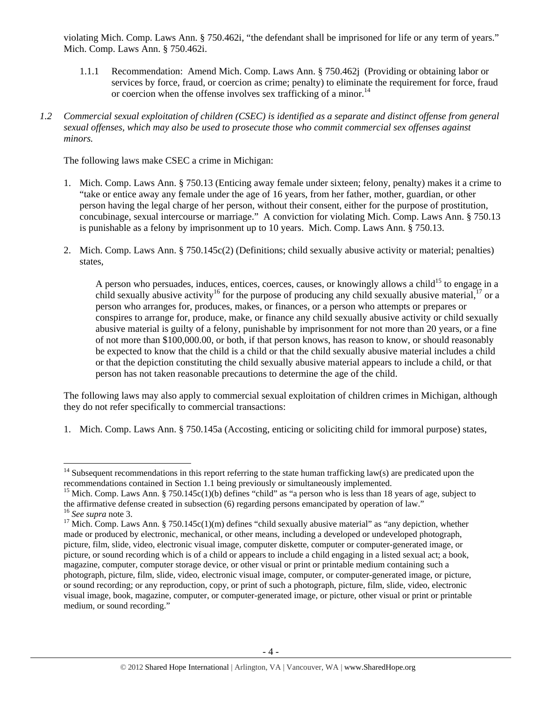violating Mich. Comp. Laws Ann. § 750.462i, "the defendant shall be imprisoned for life or any term of years." Mich. Comp. Laws Ann. § 750.462i.

- 1.1.1 Recommendation: Amend Mich. Comp. Laws Ann. § 750.462j (Providing or obtaining labor or services by force, fraud, or coercion as crime; penalty) to eliminate the requirement for force, fraud or coercion when the offense involves sex trafficking of a minor.<sup>14</sup>
- *1.2 Commercial sexual exploitation of children (CSEC) is identified as a separate and distinct offense from general sexual offenses, which may also be used to prosecute those who commit commercial sex offenses against minors.*

The following laws make CSEC a crime in Michigan:

- 1. Mich. Comp. Laws Ann. § 750.13 (Enticing away female under sixteen; felony, penalty) makes it a crime to "take or entice away any female under the age of 16 years, from her father, mother, guardian, or other person having the legal charge of her person, without their consent, either for the purpose of prostitution, concubinage, sexual intercourse or marriage." A conviction for violating Mich. Comp. Laws Ann. § 750.13 is punishable as a felony by imprisonment up to 10 years. Mich. Comp. Laws Ann. § 750.13.
- 2. Mich. Comp. Laws Ann. § 750.145c(2) (Definitions; child sexually abusive activity or material; penalties) states,

A person who persuades, induces, entices, coerces, causes, or knowingly allows a child<sup>15</sup> to engage in a child sexually abusive activity<sup>16</sup> for the purpose of producing any child sexually abusive material,<sup>17</sup> or a person who arranges for, produces, makes, or finances, or a person who attempts or prepares or conspires to arrange for, produce, make, or finance any child sexually abusive activity or child sexually abusive material is guilty of a felony, punishable by imprisonment for not more than 20 years, or a fine of not more than \$100,000.00, or both, if that person knows, has reason to know, or should reasonably be expected to know that the child is a child or that the child sexually abusive material includes a child or that the depiction constituting the child sexually abusive material appears to include a child, or that person has not taken reasonable precautions to determine the age of the child.

The following laws may also apply to commercial sexual exploitation of children crimes in Michigan, although they do not refer specifically to commercial transactions:

1. Mich. Comp. Laws Ann. § 750.145a (Accosting, enticing or soliciting child for immoral purpose) states,

<sup>&</sup>lt;sup>14</sup> Subsequent recommendations in this report referring to the state human trafficking law(s) are predicated upon the recommendations contained in Section 1.1 being previously or simultaneously implemented.

<sup>&</sup>lt;sup>15</sup> Mich. Comp. Laws Ann. § 750.145c(1)(b) defines "child" as "a person who is less than 18 years of age, subject to the affirmative defense created in subsection (6) regarding persons emancipated by operation of law."<br><sup>16</sup> See supra note 3.

<sup>&</sup>lt;sup>17</sup> Mich. Comp. Laws Ann. § 750.145c(1)(m) defines "child sexually abusive material" as "any depiction, whether made or produced by electronic, mechanical, or other means, including a developed or undeveloped photograph, picture, film, slide, video, electronic visual image, computer diskette, computer or computer-generated image, or picture, or sound recording which is of a child or appears to include a child engaging in a listed sexual act; a book, magazine, computer, computer storage device, or other visual or print or printable medium containing such a photograph, picture, film, slide, video, electronic visual image, computer, or computer-generated image, or picture, or sound recording; or any reproduction, copy, or print of such a photograph, picture, film, slide, video, electronic visual image, book, magazine, computer, or computer-generated image, or picture, other visual or print or printable medium, or sound recording."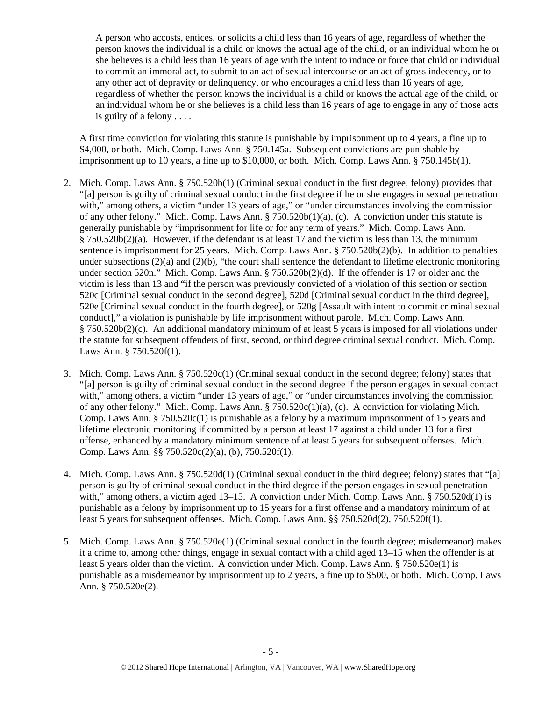A person who accosts, entices, or solicits a child less than 16 years of age, regardless of whether the person knows the individual is a child or knows the actual age of the child, or an individual whom he or she believes is a child less than 16 years of age with the intent to induce or force that child or individual to commit an immoral act, to submit to an act of sexual intercourse or an act of gross indecency, or to any other act of depravity or delinquency, or who encourages a child less than 16 years of age, regardless of whether the person knows the individual is a child or knows the actual age of the child, or an individual whom he or she believes is a child less than 16 years of age to engage in any of those acts is guilty of a felony . . . .

A first time conviction for violating this statute is punishable by imprisonment up to 4 years, a fine up to \$4,000, or both. Mich. Comp. Laws Ann. § 750.145a. Subsequent convictions are punishable by imprisonment up to 10 years, a fine up to \$10,000, or both. Mich. Comp. Laws Ann. § 750.145b(1).

- 2. Mich. Comp. Laws Ann. § 750.520b(1) (Criminal sexual conduct in the first degree; felony) provides that "[a] person is guilty of criminal sexual conduct in the first degree if he or she engages in sexual penetration with," among others, a victim "under 13 years of age," or "under circumstances involving the commission of any other felony." Mich. Comp. Laws Ann. § 750.520b(1)(a), (c). A conviction under this statute is generally punishable by "imprisonment for life or for any term of years." Mich. Comp. Laws Ann.  $§ 750.520b(2)(a)$ . However, if the defendant is at least 17 and the victim is less than 13, the minimum sentence is imprisonment for 25 years. Mich. Comp. Laws Ann. § 750.520b(2)(b). In addition to penalties under subsections  $(2)(a)$  and  $(2)(b)$ , "the court shall sentence the defendant to lifetime electronic monitoring under section 520n." Mich. Comp. Laws Ann. § 750.520b(2)(d). If the offender is 17 or older and the victim is less than 13 and "if the person was previously convicted of a violation of this section or section 520c [Criminal sexual conduct in the second degree], 520d [Criminal sexual conduct in the third degree], 520e [Criminal sexual conduct in the fourth degree], or 520g [Assault with intent to commit criminal sexual conduct]," a violation is punishable by life imprisonment without parole. Mich. Comp. Laws Ann. § 750.520b(2)(c). An additional mandatory minimum of at least 5 years is imposed for all violations under the statute for subsequent offenders of first, second, or third degree criminal sexual conduct. Mich. Comp. Laws Ann. § 750.520f(1).
- 3. Mich. Comp. Laws Ann. § 750.520c(1) (Criminal sexual conduct in the second degree; felony) states that "[a] person is guilty of criminal sexual conduct in the second degree if the person engages in sexual contact with," among others, a victim "under 13 years of age," or "under circumstances involving the commission of any other felony." Mich. Comp. Laws Ann. § 750.520c(1)(a), (c). A conviction for violating Mich. Comp. Laws Ann.  $\S 750.520c(1)$  is punishable as a felony by a maximum imprisonment of 15 years and lifetime electronic monitoring if committed by a person at least 17 against a child under 13 for a first offense, enhanced by a mandatory minimum sentence of at least 5 years for subsequent offenses. Mich. Comp. Laws Ann. §§ 750.520c(2)(a), (b), 750.520f(1).
- 4. Mich. Comp. Laws Ann. § 750.520d(1) (Criminal sexual conduct in the third degree; felony) states that "[a] person is guilty of criminal sexual conduct in the third degree if the person engages in sexual penetration with," among others, a victim aged 13–15. A conviction under Mich. Comp. Laws Ann. § 750.520d(1) is punishable as a felony by imprisonment up to 15 years for a first offense and a mandatory minimum of at least 5 years for subsequent offenses. Mich. Comp. Laws Ann. §§ 750.520d(2), 750.520f(1).
- 5. Mich. Comp. Laws Ann. § 750.520e(1) (Criminal sexual conduct in the fourth degree; misdemeanor) makes it a crime to, among other things, engage in sexual contact with a child aged 13–15 when the offender is at least 5 years older than the victim. A conviction under Mich. Comp. Laws Ann. § 750.520e(1) is punishable as a misdemeanor by imprisonment up to 2 years, a fine up to \$500, or both. Mich. Comp. Laws Ann. § 750.520e(2).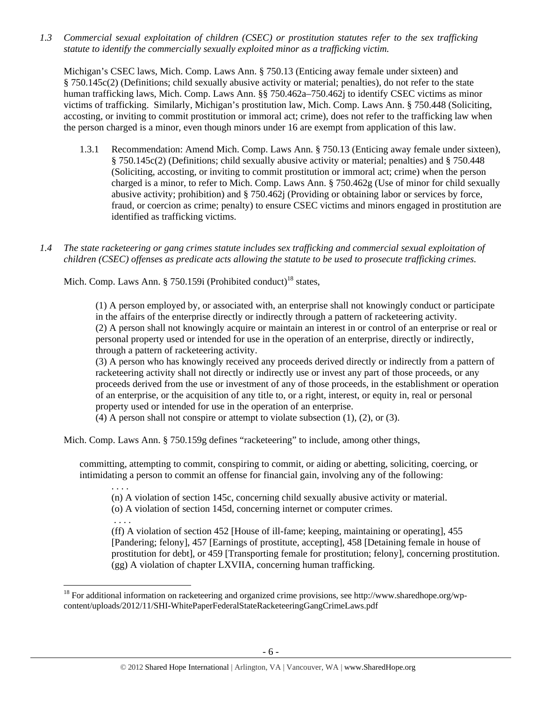*1.3 Commercial sexual exploitation of children (CSEC) or prostitution statutes refer to the sex trafficking statute to identify the commercially sexually exploited minor as a trafficking victim.* 

Michigan's CSEC laws, Mich. Comp. Laws Ann. § 750.13 (Enticing away female under sixteen) and § 750.145c(2) (Definitions; child sexually abusive activity or material; penalties), do not refer to the state human trafficking laws, Mich. Comp. Laws Ann. §§ 750.462a–750.462j to identify CSEC victims as minor victims of trafficking. Similarly, Michigan's prostitution law, Mich. Comp. Laws Ann. § 750.448 (Soliciting, accosting, or inviting to commit prostitution or immoral act; crime), does not refer to the trafficking law when the person charged is a minor, even though minors under 16 are exempt from application of this law.

- 1.3.1 Recommendation: Amend Mich. Comp. Laws Ann. § 750.13 (Enticing away female under sixteen), § 750.145c(2) (Definitions; child sexually abusive activity or material; penalties) and § 750.448 (Soliciting, accosting, or inviting to commit prostitution or immoral act; crime) when the person charged is a minor, to refer to Mich. Comp. Laws Ann. § 750.462g (Use of minor for child sexually abusive activity; prohibition) and § 750.462j (Providing or obtaining labor or services by force, fraud, or coercion as crime; penalty) to ensure CSEC victims and minors engaged in prostitution are identified as trafficking victims.
- *1.4 The state racketeering or gang crimes statute includes sex trafficking and commercial sexual exploitation of children (CSEC) offenses as predicate acts allowing the statute to be used to prosecute trafficking crimes.*

Mich. Comp. Laws Ann. § 750.159i (Prohibited conduct)<sup>18</sup> states,

(1) A person employed by, or associated with, an enterprise shall not knowingly conduct or participate in the affairs of the enterprise directly or indirectly through a pattern of racketeering activity. (2) A person shall not knowingly acquire or maintain an interest in or control of an enterprise or real or personal property used or intended for use in the operation of an enterprise, directly or indirectly, through a pattern of racketeering activity.

(3) A person who has knowingly received any proceeds derived directly or indirectly from a pattern of racketeering activity shall not directly or indirectly use or invest any part of those proceeds, or any proceeds derived from the use or investment of any of those proceeds, in the establishment or operation of an enterprise, or the acquisition of any title to, or a right, interest, or equity in, real or personal property used or intended for use in the operation of an enterprise.

(4) A person shall not conspire or attempt to violate subsection (1), (2), or (3).

Mich. Comp. Laws Ann. § 750.159g defines "racketeering" to include, among other things,

committing, attempting to commit, conspiring to commit, or aiding or abetting, soliciting, coercing, or intimidating a person to commit an offense for financial gain, involving any of the following:

(n) A violation of section 145c, concerning child sexually abusive activity or material.

(o) A violation of section 145d, concerning internet or computer crimes.

. . . .

. . . .

(ff) A violation of section 452 [House of ill-fame; keeping, maintaining or operating], 455 [Pandering; felony], 457 [Earnings of prostitute, accepting], 458 [Detaining female in house of prostitution for debt], or 459 [Transporting female for prostitution; felony], concerning prostitution. (gg) A violation of chapter LXVIIA, concerning human trafficking.

 $18$  For additional information on racketeering and organized crime provisions, see http://www.sharedhope.org/wpcontent/uploads/2012/11/SHI-WhitePaperFederalStateRacketeeringGangCrimeLaws.pdf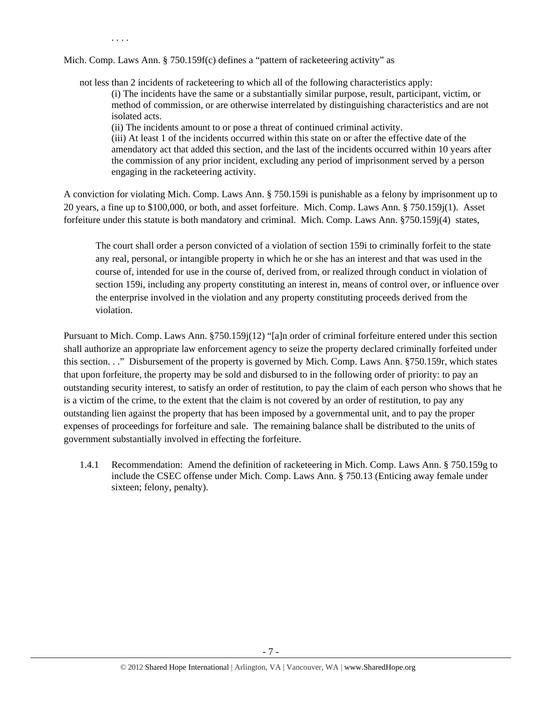. . . .

Mich. Comp. Laws Ann. § 750.159f(c) defines a "pattern of racketeering activity" as

not less than 2 incidents of racketeering to which all of the following characteristics apply: (i) The incidents have the same or a substantially similar purpose, result, participant, victim, or method of commission, or are otherwise interrelated by distinguishing characteristics and are not isolated acts.

(ii) The incidents amount to or pose a threat of continued criminal activity.

(iii) At least 1 of the incidents occurred within this state on or after the effective date of the amendatory act that added this section, and the last of the incidents occurred within 10 years after the commission of any prior incident, excluding any period of imprisonment served by a person engaging in the racketeering activity.

A conviction for violating Mich. Comp. Laws Ann. § 750.159i is punishable as a felony by imprisonment up to 20 years, a fine up to \$100,000, or both, and asset forfeiture. Mich. Comp. Laws Ann. § 750.159j(1). Asset forfeiture under this statute is both mandatory and criminal. Mich. Comp. Laws Ann. §750.159j(4) states,

The court shall order a person convicted of a violation of section 159i to criminally forfeit to the state any real, personal, or intangible property in which he or she has an interest and that was used in the course of, intended for use in the course of, derived from, or realized through conduct in violation of section 159i, including any property constituting an interest in, means of control over, or influence over the enterprise involved in the violation and any property constituting proceeds derived from the violation.

Pursuant to Mich. Comp. Laws Ann. §750.159j(12) "[a]n order of criminal forfeiture entered under this section shall authorize an appropriate law enforcement agency to seize the property declared criminally forfeited under this section. . ." Disbursement of the property is governed by Mich. Comp. Laws Ann. §750.159r, which states that upon forfeiture, the property may be sold and disbursed to in the following order of priority: to pay an outstanding security interest, to satisfy an order of restitution, to pay the claim of each person who shows that he is a victim of the crime, to the extent that the claim is not covered by an order of restitution, to pay any outstanding lien against the property that has been imposed by a governmental unit, and to pay the proper expenses of proceedings for forfeiture and sale. The remaining balance shall be distributed to the units of government substantially involved in effecting the forfeiture.

1.4.1 Recommendation: Amend the definition of racketeering in Mich. Comp. Laws Ann. § 750.159g to include the CSEC offense under Mich. Comp. Laws Ann. § 750.13 (Enticing away female under sixteen; felony, penalty).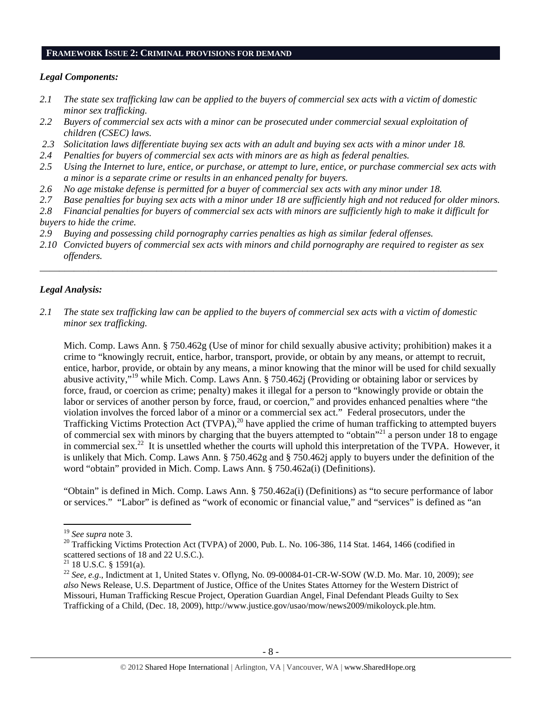#### **FRAMEWORK ISSUE 2: CRIMINAL PROVISIONS FOR DEMAND**

#### *Legal Components:*

- *2.1 The state sex trafficking law can be applied to the buyers of commercial sex acts with a victim of domestic minor sex trafficking.*
- *2.2 Buyers of commercial sex acts with a minor can be prosecuted under commercial sexual exploitation of children (CSEC) laws.*
- *2.3 Solicitation laws differentiate buying sex acts with an adult and buying sex acts with a minor under 18.*
- *2.4 Penalties for buyers of commercial sex acts with minors are as high as federal penalties.*
- *2.5 Using the Internet to lure, entice, or purchase, or attempt to lure, entice, or purchase commercial sex acts with a minor is a separate crime or results in an enhanced penalty for buyers.*
- *2.6 No age mistake defense is permitted for a buyer of commercial sex acts with any minor under 18.*
- *2.7 Base penalties for buying sex acts with a minor under 18 are sufficiently high and not reduced for older minors.*
- *2.8 Financial penalties for buyers of commercial sex acts with minors are sufficiently high to make it difficult for buyers to hide the crime.*
- *2.9 Buying and possessing child pornography carries penalties as high as similar federal offenses.*
- *2.10 Convicted buyers of commercial sex acts with minors and child pornography are required to register as sex offenders.*

\_\_\_\_\_\_\_\_\_\_\_\_\_\_\_\_\_\_\_\_\_\_\_\_\_\_\_\_\_\_\_\_\_\_\_\_\_\_\_\_\_\_\_\_\_\_\_\_\_\_\_\_\_\_\_\_\_\_\_\_\_\_\_\_\_\_\_\_\_\_\_\_\_\_\_\_\_\_\_\_\_\_\_\_\_\_\_\_\_\_\_\_\_\_

#### *Legal Analysis:*

*2.1 The state sex trafficking law can be applied to the buyers of commercial sex acts with a victim of domestic minor sex trafficking.* 

Mich. Comp. Laws Ann. § 750.462g (Use of minor for child sexually abusive activity; prohibition) makes it a crime to "knowingly recruit, entice, harbor, transport, provide, or obtain by any means, or attempt to recruit, entice, harbor, provide, or obtain by any means, a minor knowing that the minor will be used for child sexually abusive activity,"19 while Mich. Comp. Laws Ann. § 750.462j (Providing or obtaining labor or services by force, fraud, or coercion as crime; penalty) makes it illegal for a person to "knowingly provide or obtain the labor or services of another person by force, fraud, or coercion," and provides enhanced penalties where "the violation involves the forced labor of a minor or a commercial sex act." Federal prosecutors, under the Trafficking Victims Protection Act (TVPA),<sup>20</sup> have applied the crime of human trafficking to attempted buyers of commercial sex with minors by charging that the buyers attempted to "obtain"21 a person under 18 to engage in commercial sex.<sup>22</sup> It is unsettled whether the courts will uphold this interpretation of the TVPA. However, it is unlikely that Mich. Comp. Laws Ann. § 750.462g and § 750.462j apply to buyers under the definition of the word "obtain" provided in Mich. Comp. Laws Ann. § 750.462a(i) (Definitions).

"Obtain" is defined in Mich. Comp. Laws Ann. § 750.462a(i) (Definitions) as "to secure performance of labor or services." "Labor" is defined as "work of economic or financial value," and "services" is defined as "an

 $19$  See supra note 3.

<sup>&</sup>lt;sup>20</sup> Trafficking Victims Protection Act (TVPA) of 2000, Pub. L. No. 106-386, 114 Stat. 1464, 1466 (codified in scattered sections of 18 and 22 U.S.C.).

 $21$  18 U.S.C. § 1591(a).

<sup>22</sup> *See, e.g*., Indictment at 1, United States v. Oflyng, No. 09-00084-01-CR-W-SOW (W.D. Mo. Mar. 10, 2009); *see also* News Release, U.S. Department of Justice, Office of the Unites States Attorney for the Western District of Missouri, Human Trafficking Rescue Project, Operation Guardian Angel, Final Defendant Pleads Guilty to Sex Trafficking of a Child, (Dec. 18, 2009), http://www.justice.gov/usao/mow/news2009/mikoloyck.ple.htm.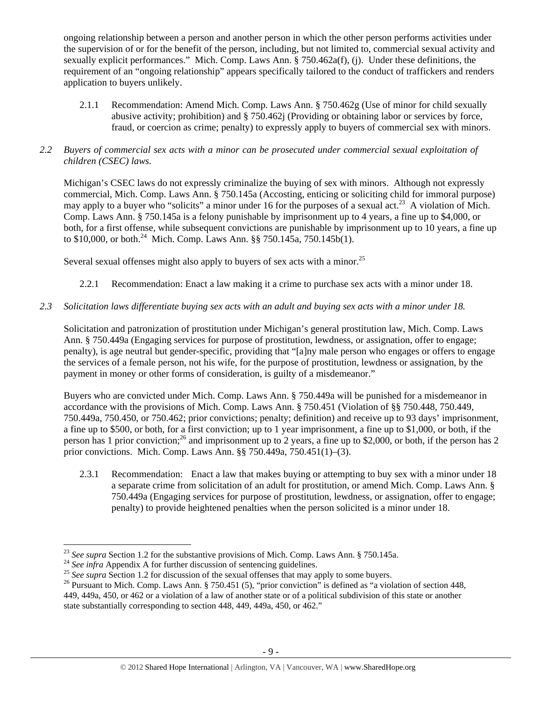ongoing relationship between a person and another person in which the other person performs activities under the supervision of or for the benefit of the person, including, but not limited to, commercial sexual activity and sexually explicit performances." Mich. Comp. Laws Ann. § 750.462a(f), (j). Under these definitions, the requirement of an "ongoing relationship" appears specifically tailored to the conduct of traffickers and renders application to buyers unlikely.

2.1.1 Recommendation: Amend Mich. Comp. Laws Ann. § 750.462g (Use of minor for child sexually abusive activity; prohibition) and § 750.462j (Providing or obtaining labor or services by force, fraud, or coercion as crime; penalty) to expressly apply to buyers of commercial sex with minors.

### *2.2 Buyers of commercial sex acts with a minor can be prosecuted under commercial sexual exploitation of children (CSEC) laws.*

Michigan's CSEC laws do not expressly criminalize the buying of sex with minors. Although not expressly commercial, Mich. Comp. Laws Ann. § 750.145a (Accosting, enticing or soliciting child for immoral purpose) may apply to a buyer who "solicits" a minor under 16 for the purposes of a sexual act.<sup>23</sup> A violation of Mich. Comp. Laws Ann. § 750.145a is a felony punishable by imprisonment up to 4 years, a fine up to \$4,000, or both, for a first offense, while subsequent convictions are punishable by imprisonment up to 10 years, a fine up to \$10,000, or both.<sup>24</sup> Mich. Comp. Laws Ann. §§ 750.145a, 750.145b(1).

Several sexual offenses might also apply to buyers of sex acts with a minor.<sup>25</sup>

2.2.1 Recommendation: Enact a law making it a crime to purchase sex acts with a minor under 18.

## *2.3 Solicitation laws differentiate buying sex acts with an adult and buying sex acts with a minor under 18.*

Solicitation and patronization of prostitution under Michigan's general prostitution law, Mich. Comp. Laws Ann. § 750.449a (Engaging services for purpose of prostitution, lewdness, or assignation, offer to engage; penalty), is age neutral but gender-specific, providing that "[a]ny male person who engages or offers to engage the services of a female person, not his wife, for the purpose of prostitution, lewdness or assignation, by the payment in money or other forms of consideration, is guilty of a misdemeanor."

Buyers who are convicted under Mich. Comp. Laws Ann. § 750.449a will be punished for a misdemeanor in accordance with the provisions of Mich. Comp. Laws Ann. § 750.451 (Violation of §§ 750.448, 750.449, 750.449a, 750.450, or 750.462; prior convictions; penalty; definition) and receive up to 93 days' imprisonment, a fine up to \$500, or both, for a first conviction; up to 1 year imprisonment, a fine up to \$1,000, or both, if the person has 1 prior conviction;<sup>26</sup> and imprisonment up to 2 years, a fine up to \$2,000, or both, if the person has 2 prior convictions. Mich. Comp. Laws Ann. §§ 750.449a, 750.451(1)–(3).

2.3.1 Recommendation: Enact a law that makes buying or attempting to buy sex with a minor under 18 a separate crime from solicitation of an adult for prostitution, or amend Mich. Comp. Laws Ann. § 750.449a (Engaging services for purpose of prostitution, lewdness, or assignation, offer to engage; penalty) to provide heightened penalties when the person solicited is a minor under 18.

<sup>&</sup>lt;sup>23</sup> See supra Section 1.2 for the substantive provisions of Mich. Comp. Laws Ann. § 750.145a.

<sup>&</sup>lt;sup>24</sup> See infra Appendix A for further discussion of sentencing guidelines.<br><sup>25</sup> See supra Section 1.2 for discussion of the sexual offenses that may apply to some buyers.<br><sup>25</sup> Pursuant to Mich. Comp. Laws Ann. § 750.451 ( 449, 449a, 450, or 462 or a violation of a law of another state or of a political subdivision of this state or another state substantially corresponding to section 448, 449, 449a, 450, or 462."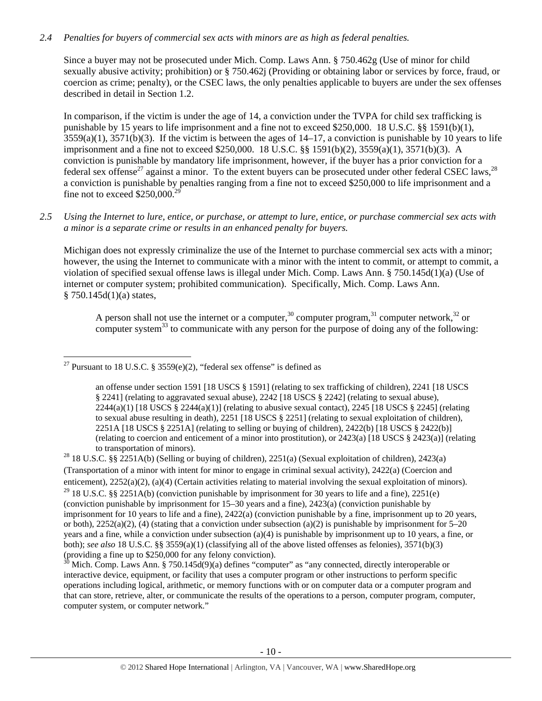#### *2.4 Penalties for buyers of commercial sex acts with minors are as high as federal penalties.*

Since a buyer may not be prosecuted under Mich. Comp. Laws Ann. § 750.462g (Use of minor for child sexually abusive activity; prohibition) or § 750.462j (Providing or obtaining labor or services by force, fraud, or coercion as crime; penalty), or the CSEC laws, the only penalties applicable to buyers are under the sex offenses described in detail in Section 1.2.

In comparison, if the victim is under the age of 14, a conviction under the TVPA for child sex trafficking is punishable by 15 years to life imprisonment and a fine not to exceed \$250,000. 18 U.S.C. §§ 1591(b)(1),  $3559(a)(1)$ ,  $3571(b)(3)$ . If the victim is between the ages of  $14-17$ , a conviction is punishable by 10 years to life imprisonment and a fine not to exceed \$250,000. 18 U.S.C. §§ 1591(b)(2), 3559(a)(1), 3571(b)(3). A conviction is punishable by mandatory life imprisonment, however, if the buyer has a prior conviction for a federal sex offense<sup>27</sup> against a minor. To the extent buyers can be prosecuted under other federal CSEC laws,<sup>28</sup> a conviction is punishable by penalties ranging from a fine not to exceed \$250,000 to life imprisonment and a fine not to exceed  $$250,000.<sup>2</sup>$ 

## *2.5 Using the Internet to lure, entice, or purchase, or attempt to lure, entice, or purchase commercial sex acts with a minor is a separate crime or results in an enhanced penalty for buyers.*

Michigan does not expressly criminalize the use of the Internet to purchase commercial sex acts with a minor; however, the using the Internet to communicate with a minor with the intent to commit, or attempt to commit, a violation of specified sexual offense laws is illegal under Mich. Comp. Laws Ann. § 750.145d(1)(a) (Use of internet or computer system; prohibited communication). Specifically, Mich. Comp. Laws Ann.  $§ 750.145d(1)(a) states,$ 

A person shall not use the internet or a computer,<sup>30</sup> computer program,<sup>31</sup> computer network,<sup>32</sup> or computer system $33$  to communicate with any person for the purpose of doing any of the following:

#### <sup>27</sup> Pursuant to 18 U.S.C. § 3559 $(e)(2)$ , "federal sex offense" is defined as

an offense under section 1591 [18 USCS § 1591] (relating to sex trafficking of children), 2241 [18 USCS § 2241] (relating to aggravated sexual abuse), 2242 [18 USCS § 2242] (relating to sexual abuse),  $2244(a)(1)$  [18 USCS §  $2244(a)(1)$ ] (relating to abusive sexual contact),  $2245$  [18 USCS § 2245] (relating to sexual abuse resulting in death), 2251 [18 USCS § 2251] (relating to sexual exploitation of children), 2251A [18 USCS § 2251A] (relating to selling or buying of children), 2422(b) [18 USCS § 2422(b)] (relating to coercion and enticement of a minor into prostitution), or 2423(a) [18 USCS § 2423(a)] (relating to transportation of minors).<br><sup>28</sup> 18 U.S.C. §§ 2251A(b) (Selling or buying of children), 2251(a) (Sexual exploitation of children), 2423(a)

(Transportation of a minor with intent for minor to engage in criminal sexual activity), 2422(a) (Coercion and enticement), 2252(a)(2), (a)(4) (Certain activities relating to material involving the sexual exploitation of minors). <sup>29</sup> 18 U.S.C. §§ 2251A(b) (conviction punishable by imprisonment for 30 years to life and a fine), 2251(e) (conviction punishable by imprisonment for 15–30 years and a fine), 2423(a) (conviction punishable by imprisonment for 10 years to life and a fine), 2422(a) (conviction punishable by a fine, imprisonment up to 20 years, or both),  $2252(a)(2)$ , (4) (stating that a conviction under subsection (a)(2) is punishable by imprisonment for 5–20 years and a fine, while a conviction under subsection (a)(4) is punishable by imprisonment up to 10 years, a fine, or both); *see also* 18 U.S.C. §§ 3559(a)(1) (classifying all of the above listed offenses as felonies), 3571(b)(3) (providing a fine up to \$250,000 for any felony conviction).

 $30$  Mich. Comp. Laws Ann. § 750.145d(9)(a) defines "computer" as "any connected, directly interoperable or interactive device, equipment, or facility that uses a computer program or other instructions to perform specific operations including logical, arithmetic, or memory functions with or on computer data or a computer program and that can store, retrieve, alter, or communicate the results of the operations to a person, computer program, computer, computer system, or computer network."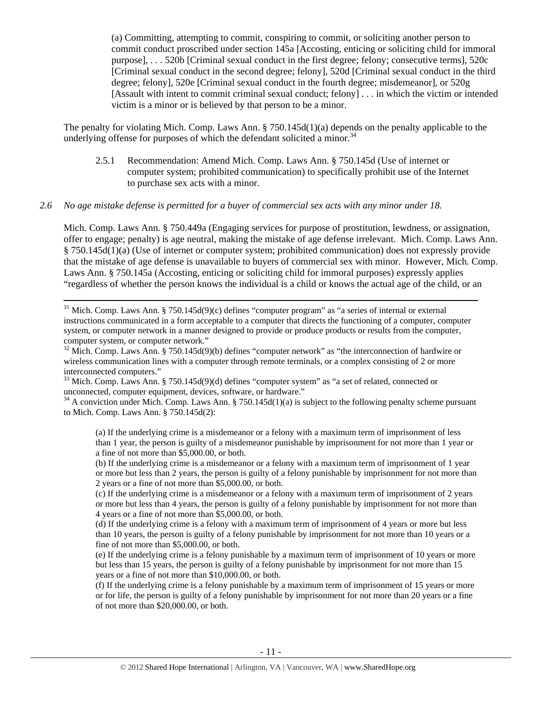(a) Committing, attempting to commit, conspiring to commit, or soliciting another person to commit conduct proscribed under section 145a [Accosting, enticing or soliciting child for immoral purpose], . . . 520b [Criminal sexual conduct in the first degree; felony; consecutive terms], 520c [Criminal sexual conduct in the second degree; felony], 520d [Criminal sexual conduct in the third degree; felony], 520e [Criminal sexual conduct in the fourth degree; misdemeanor], or 520g [Assault with intent to commit criminal sexual conduct; felony] . . . in which the victim or intended victim is a minor or is believed by that person to be a minor.

The penalty for violating Mich. Comp. Laws Ann. § 750.145d(1)(a) depends on the penalty applicable to the underlying offense for purposes of which the defendant solicited a minor.<sup>34</sup>

2.5.1 Recommendation: Amend Mich. Comp. Laws Ann. § 750.145d (Use of internet or computer system; prohibited communication) to specifically prohibit use of the Internet to purchase sex acts with a minor.

#### *2.6 No age mistake defense is permitted for a buyer of commercial sex acts with any minor under 18.*

Mich. Comp. Laws Ann. § 750.449a (Engaging services for purpose of prostitution, lewdness, or assignation, offer to engage; penalty) is age neutral, making the mistake of age defense irrelevant. Mich. Comp. Laws Ann. § 750.145d(1)(a) (Use of internet or computer system; prohibited communication) does not expressly provide that the mistake of age defense is unavailable to buyers of commercial sex with minor. However, Mich. Comp. Laws Ann. § 750.145a (Accosting, enticing or soliciting child for immoral purposes) expressly applies "regardless of whether the person knows the individual is a child or knows the actual age of the child, or an

<sup>31</sup> Mich. Comp. Laws Ann. § 750.145d(9)(c) defines "computer program" as "a series of internal or external instructions communicated in a form acceptable to a computer that directs the functioning of a computer, computer system, or computer network in a manner designed to provide or produce products or results from the computer, computer system, or computer network."

 $32$  Mich. Comp. Laws Ann. § 750.145d(9)(b) defines "computer network" as "the interconnection of hardwire or wireless communication lines with a computer through remote terminals, or a complex consisting of 2 or more interconnected computers."

 $33$  Mich. Comp. Laws Ann. § 750.145d(9)(d) defines "computer system" as "a set of related, connected or unconnected, computer equipment, devices, software, or hardware."

<sup>34</sup> A conviction under Mich. Comp. Laws Ann. § 750.145d(1)(a) is subject to the following penalty scheme pursuant to Mich. Comp. Laws Ann. § 750.145d(2):

(a) If the underlying crime is a misdemeanor or a felony with a maximum term of imprisonment of less than 1 year, the person is guilty of a misdemeanor punishable by imprisonment for not more than 1 year or a fine of not more than \$5,000.00, or both.

(b) If the underlying crime is a misdemeanor or a felony with a maximum term of imprisonment of 1 year or more but less than 2 years, the person is guilty of a felony punishable by imprisonment for not more than 2 years or a fine of not more than \$5,000.00, or both.

(c) If the underlying crime is a misdemeanor or a felony with a maximum term of imprisonment of 2 years or more but less than 4 years, the person is guilty of a felony punishable by imprisonment for not more than 4 years or a fine of not more than \$5,000.00, or both.

(d) If the underlying crime is a felony with a maximum term of imprisonment of 4 years or more but less than 10 years, the person is guilty of a felony punishable by imprisonment for not more than 10 years or a fine of not more than \$5,000.00, or both.

(e) If the underlying crime is a felony punishable by a maximum term of imprisonment of 10 years or more but less than 15 years, the person is guilty of a felony punishable by imprisonment for not more than 15 years or a fine of not more than \$10,000.00, or both.

(f) If the underlying crime is a felony punishable by a maximum term of imprisonment of 15 years or more or for life, the person is guilty of a felony punishable by imprisonment for not more than 20 years or a fine of not more than \$20,000.00, or both.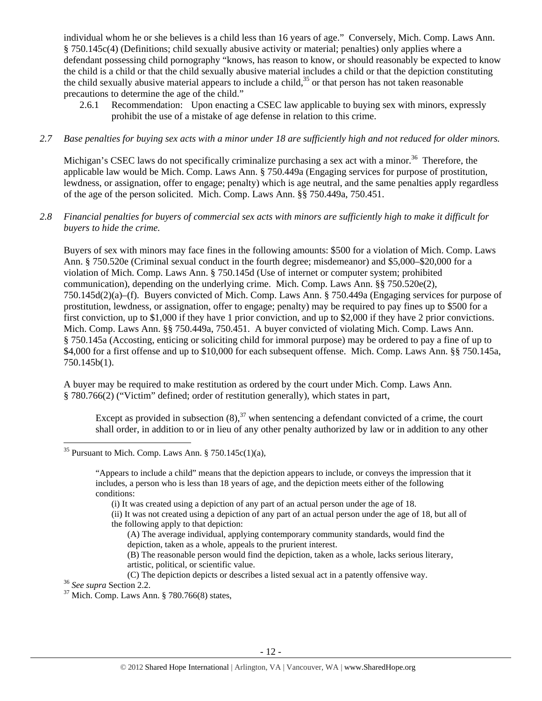individual whom he or she believes is a child less than 16 years of age." Conversely, Mich. Comp. Laws Ann. § 750.145c(4) (Definitions; child sexually abusive activity or material; penalties) only applies where a defendant possessing child pornography "knows, has reason to know, or should reasonably be expected to know the child is a child or that the child sexually abusive material includes a child or that the depiction constituting the child sexually abusive material appears to include a child,<sup>35</sup> or that person has not taken reasonable precautions to determine the age of the child."

- 2.6.1 Recommendation: Upon enacting a CSEC law applicable to buying sex with minors, expressly prohibit the use of a mistake of age defense in relation to this crime.
- *2.7 Base penalties for buying sex acts with a minor under 18 are sufficiently high and not reduced for older minors.*

Michigan's CSEC laws do not specifically criminalize purchasing a sex act with a minor.<sup>36</sup> Therefore, the applicable law would be Mich. Comp. Laws Ann. § 750.449a (Engaging services for purpose of prostitution, lewdness, or assignation, offer to engage; penalty) which is age neutral, and the same penalties apply regardless of the age of the person solicited. Mich. Comp. Laws Ann. §§ 750.449a, 750.451.

*2.8 Financial penalties for buyers of commercial sex acts with minors are sufficiently high to make it difficult for buyers to hide the crime.* 

Buyers of sex with minors may face fines in the following amounts: \$500 for a violation of Mich. Comp. Laws Ann. § 750.520e (Criminal sexual conduct in the fourth degree; misdemeanor) and \$5,000–\$20,000 for a violation of Mich. Comp. Laws Ann. § 750.145d (Use of internet or computer system; prohibited communication), depending on the underlying crime. Mich. Comp. Laws Ann. §§ 750.520e(2), 750.145d(2)(a)–(f). Buyers convicted of Mich. Comp. Laws Ann. § 750.449a (Engaging services for purpose of prostitution, lewdness, or assignation, offer to engage; penalty) may be required to pay fines up to \$500 for a first conviction, up to \$1,000 if they have 1 prior conviction, and up to \$2,000 if they have 2 prior convictions. Mich. Comp. Laws Ann. §§ 750.449a, 750.451. A buyer convicted of violating Mich. Comp. Laws Ann. § 750.145a (Accosting, enticing or soliciting child for immoral purpose) may be ordered to pay a fine of up to \$4,000 for a first offense and up to \$10,000 for each subsequent offense. Mich. Comp. Laws Ann. §§ 750.145a, 750.145b(1).

A buyer may be required to make restitution as ordered by the court under Mich. Comp. Laws Ann. § 780.766(2) ("Victim" defined; order of restitution generally), which states in part,

Except as provided in subsection  $(8)$ ,<sup>37</sup> when sentencing a defendant convicted of a crime, the court shall order, in addition to or in lieu of any other penalty authorized by law or in addition to any other

- (ii) It was not created using a depiction of any part of an actual person under the age of 18, but all of the following apply to that depiction:
	- (A) The average individual, applying contemporary community standards, would find the depiction, taken as a whole, appeals to the prurient interest.
	- (B) The reasonable person would find the depiction, taken as a whole, lacks serious literary, artistic, political, or scientific value.
- (C) The depiction depicts or describes a listed sexual act in a patently offensive way. 36 *See supra* Section 2.2. 37 Mich. Comp. Laws Ann. § 780.766(8) states,

 $35$  Pursuant to Mich. Comp. Laws Ann. § 750.145c(1)(a),

<sup>&</sup>quot;Appears to include a child" means that the depiction appears to include, or conveys the impression that it includes, a person who is less than 18 years of age, and the depiction meets either of the following conditions:

<sup>(</sup>i) It was created using a depiction of any part of an actual person under the age of 18.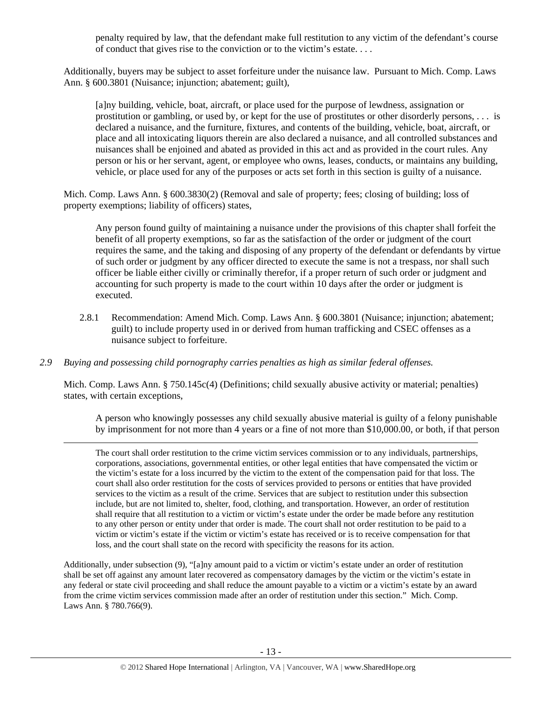penalty required by law, that the defendant make full restitution to any victim of the defendant's course of conduct that gives rise to the conviction or to the victim's estate. . . .

Additionally, buyers may be subject to asset forfeiture under the nuisance law. Pursuant to Mich. Comp. Laws Ann. § 600.3801 (Nuisance; injunction; abatement; guilt),

[a]ny building, vehicle, boat, aircraft, or place used for the purpose of lewdness, assignation or prostitution or gambling, or used by, or kept for the use of prostitutes or other disorderly persons, . . . is declared a nuisance, and the furniture, fixtures, and contents of the building, vehicle, boat, aircraft, or place and all intoxicating liquors therein are also declared a nuisance, and all controlled substances and nuisances shall be enjoined and abated as provided in this act and as provided in the court rules. Any person or his or her servant, agent, or employee who owns, leases, conducts, or maintains any building, vehicle, or place used for any of the purposes or acts set forth in this section is guilty of a nuisance.

Mich. Comp. Laws Ann. § 600.3830(2) (Removal and sale of property; fees; closing of building; loss of property exemptions; liability of officers) states,

Any person found guilty of maintaining a nuisance under the provisions of this chapter shall forfeit the benefit of all property exemptions, so far as the satisfaction of the order or judgment of the court requires the same, and the taking and disposing of any property of the defendant or defendants by virtue of such order or judgment by any officer directed to execute the same is not a trespass, nor shall such officer be liable either civilly or criminally therefor, if a proper return of such order or judgment and accounting for such property is made to the court within 10 days after the order or judgment is executed.

- 2.8.1 Recommendation: Amend Mich. Comp. Laws Ann. § 600.3801 (Nuisance; injunction; abatement; guilt) to include property used in or derived from human trafficking and CSEC offenses as a nuisance subject to forfeiture.
- *2.9 Buying and possessing child pornography carries penalties as high as similar federal offenses.*

Mich. Comp. Laws Ann. § 750.145c(4) (Definitions; child sexually abusive activity or material; penalties) states, with certain exceptions,

<u> Andrewski politika (za obrazu za obrazu za obrazu za obrazu za obrazu za obrazu za obrazu za obrazu za obrazu</u>

A person who knowingly possesses any child sexually abusive material is guilty of a felony punishable by imprisonment for not more than 4 years or a fine of not more than \$10,000.00, or both, if that person

The court shall order restitution to the crime victim services commission or to any individuals, partnerships, corporations, associations, governmental entities, or other legal entities that have compensated the victim or the victim's estate for a loss incurred by the victim to the extent of the compensation paid for that loss. The court shall also order restitution for the costs of services provided to persons or entities that have provided services to the victim as a result of the crime. Services that are subject to restitution under this subsection include, but are not limited to, shelter, food, clothing, and transportation. However, an order of restitution shall require that all restitution to a victim or victim's estate under the order be made before any restitution to any other person or entity under that order is made. The court shall not order restitution to be paid to a victim or victim's estate if the victim or victim's estate has received or is to receive compensation for that loss, and the court shall state on the record with specificity the reasons for its action.

Additionally, under subsection (9), "[a]ny amount paid to a victim or victim's estate under an order of restitution shall be set off against any amount later recovered as compensatory damages by the victim or the victim's estate in any federal or state civil proceeding and shall reduce the amount payable to a victim or a victim's estate by an award from the crime victim services commission made after an order of restitution under this section." Mich. Comp. Laws Ann. § 780.766(9).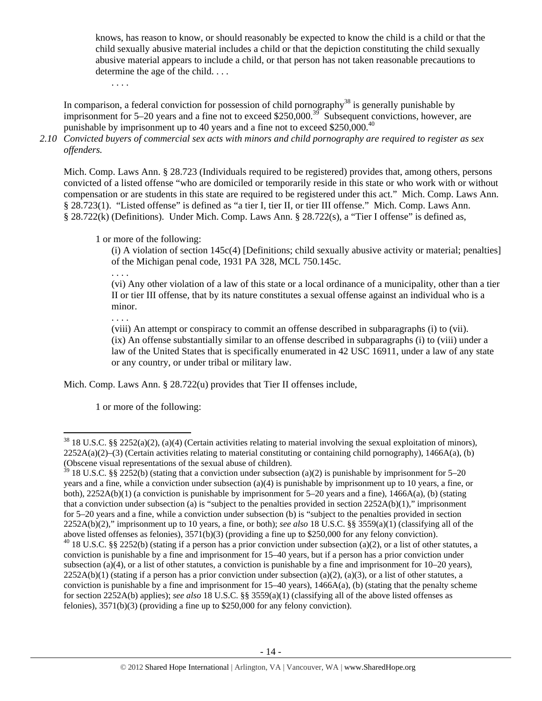knows, has reason to know, or should reasonably be expected to know the child is a child or that the child sexually abusive material includes a child or that the depiction constituting the child sexually abusive material appears to include a child, or that person has not taken reasonable precautions to determine the age of the child. . . .

. . . .

In comparison, a federal conviction for possession of child pornography<sup>38</sup> is generally punishable by imprisonment for  $5-20$  years and a fine not to exceed \$250,000.<sup>39</sup> Subsequent convictions, however, are punishable by imprisonment up to 40 years and a fine not to exceed \$250,000.<sup>40</sup>

*2.10 Convicted buyers of commercial sex acts with minors and child pornography are required to register as sex offenders.* 

Mich. Comp. Laws Ann. § 28.723 (Individuals required to be registered) provides that, among others, persons convicted of a listed offense "who are domiciled or temporarily reside in this state or who work with or without compensation or are students in this state are required to be registered under this act." Mich. Comp. Laws Ann. § 28.723(1). "Listed offense" is defined as "a tier I, tier II, or tier III offense." Mich. Comp. Laws Ann. § 28.722(k) (Definitions). Under Mich. Comp. Laws Ann. § 28.722(s), a "Tier I offense" is defined as,

1 or more of the following:

(i) A violation of section 145c(4) [Definitions; child sexually abusive activity or material; penalties] of the Michigan penal code, 1931 PA 328, MCL 750.145c.

. . . .

(vi) Any other violation of a law of this state or a local ordinance of a municipality, other than a tier II or tier III offense, that by its nature constitutes a sexual offense against an individual who is a minor.

. . . .

(viii) An attempt or conspiracy to commit an offense described in subparagraphs (i) to (vii). (ix) An offense substantially similar to an offense described in subparagraphs (i) to (viii) under a law of the United States that is specifically enumerated in 42 USC 16911, under a law of any state or any country, or under tribal or military law.

Mich. Comp. Laws Ann. § 28.722(u) provides that Tier II offenses include,

1 or more of the following:

  $38\,18\,$  U.S.C. §§ 2252(a)(2), (a)(4) (Certain activities relating to material involving the sexual exploitation of minors),  $2252A(a)(2)$ –(3) (Certain activities relating to material constituting or containing child pornography), 1466A(a), (b) (Obscene visual representations of the sexual abuse of children).

<sup>&</sup>lt;sup>39</sup> 18 U.S.C. §§ 2252(b) (stating that a conviction under subsection (a)(2) is punishable by imprisonment for 5–20 years and a fine, while a conviction under subsection (a)(4) is punishable by imprisonment up to 10 years, a fine, or both), 2252A(b)(1) (a conviction is punishable by imprisonment for 5–20 years and a fine), 1466A(a), (b) (stating that a conviction under subsection (a) is "subject to the penalties provided in section  $2252A(b)(1)$ ," imprisonment for 5–20 years and a fine, while a conviction under subsection (b) is "subject to the penalties provided in section 2252A(b)(2)," imprisonment up to 10 years, a fine, or both); *see also* 18 U.S.C. §§ 3559(a)(1) (classifying all of the above listed offenses as felonies), 3571(b)(3) (providing a fine up to \$250,000 for any felony conviction).  $40$  18 U.S.C. §§ 2252(b) (stating if a person has a prior conviction under subsection (a)(2), or a list of other statutes, a

conviction is punishable by a fine and imprisonment for 15–40 years, but if a person has a prior conviction under subsection (a)(4), or a list of other statutes, a conviction is punishable by a fine and imprisonment for  $10-20$  years),  $2252A(b)(1)$  (stating if a person has a prior conviction under subsection (a)(2), (a)(3), or a list of other statutes, a conviction is punishable by a fine and imprisonment for  $15-40$  years),  $1466A(a)$ , (b) (stating that the penalty scheme for section 2252A(b) applies); *see also* 18 U.S.C. §§ 3559(a)(1) (classifying all of the above listed offenses as felonies), 3571(b)(3) (providing a fine up to \$250,000 for any felony conviction).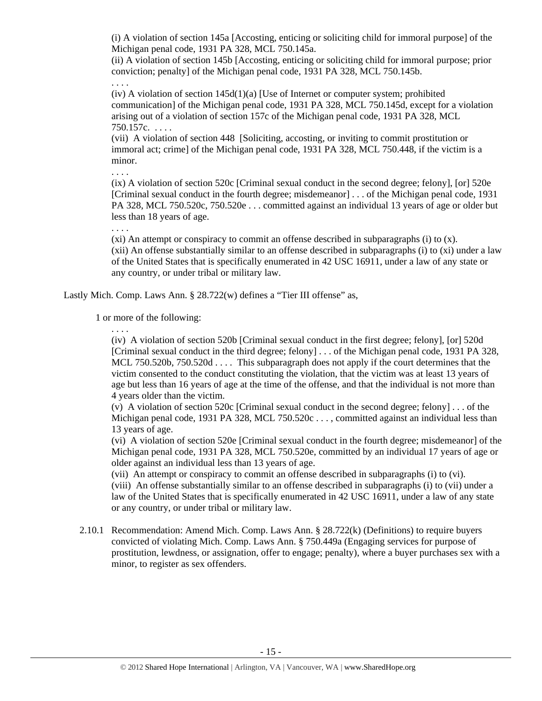(i) A violation of section 145a [Accosting, enticing or soliciting child for immoral purpose] of the Michigan penal code, 1931 PA 328, MCL 750.145a.

(ii) A violation of section 145b [Accosting, enticing or soliciting child for immoral purpose; prior conviction; penalty] of the Michigan penal code, 1931 PA 328, MCL 750.145b.

. . . .

 $(iv)$  A violation of section  $145d(1)(a)$  [Use of Internet or computer system; prohibited communication] of the Michigan penal code, 1931 PA 328, MCL 750.145d, except for a violation arising out of a violation of section 157c of the Michigan penal code, 1931 PA 328, MCL 750.157c. . . . .

(vii) A violation of section 448 [Soliciting, accosting, or inviting to commit prostitution or immoral act; crime] of the Michigan penal code, 1931 PA 328, MCL 750.448, if the victim is a minor.

(ix) A violation of section 520c [Criminal sexual conduct in the second degree; felony], [or] 520e [Criminal sexual conduct in the fourth degree; misdemeanor] . . . of the Michigan penal code, 1931 PA 328, MCL 750.520c, 750.520e . . . committed against an individual 13 years of age or older but less than 18 years of age.

. . . .

. . . .

 $(xi)$  An attempt or conspiracy to commit an offense described in subparagraphs (i) to  $(x)$ . (xii) An offense substantially similar to an offense described in subparagraphs (i) to (xi) under a law of the United States that is specifically enumerated in 42 USC 16911, under a law of any state or any country, or under tribal or military law.

Lastly Mich. Comp. Laws Ann. § 28.722(w) defines a "Tier III offense" as,

1 or more of the following:

. . . .

(iv) A violation of section 520b [Criminal sexual conduct in the first degree; felony], [or] 520d [Criminal sexual conduct in the third degree; felony] . . . of the Michigan penal code, 1931 PA 328, MCL 750.520b, 750.520d . . . . This subparagraph does not apply if the court determines that the victim consented to the conduct constituting the violation, that the victim was at least 13 years of age but less than 16 years of age at the time of the offense, and that the individual is not more than 4 years older than the victim.

(v) A violation of section 520c [Criminal sexual conduct in the second degree; felony] . . . of the Michigan penal code, 1931 PA 328, MCL 750.520c . . . , committed against an individual less than 13 years of age.

(vi) A violation of section 520e [Criminal sexual conduct in the fourth degree; misdemeanor] of the Michigan penal code, 1931 PA 328, MCL 750.520e, committed by an individual 17 years of age or older against an individual less than 13 years of age.

(vii) An attempt or conspiracy to commit an offense described in subparagraphs (i) to (vi).

(viii) An offense substantially similar to an offense described in subparagraphs (i) to (vii) under a law of the United States that is specifically enumerated in 42 USC 16911, under a law of any state or any country, or under tribal or military law.

2.10.1 Recommendation: Amend Mich. Comp. Laws Ann. § 28.722(k) (Definitions) to require buyers convicted of violating Mich. Comp. Laws Ann. § 750.449a (Engaging services for purpose of prostitution, lewdness, or assignation, offer to engage; penalty), where a buyer purchases sex with a minor, to register as sex offenders.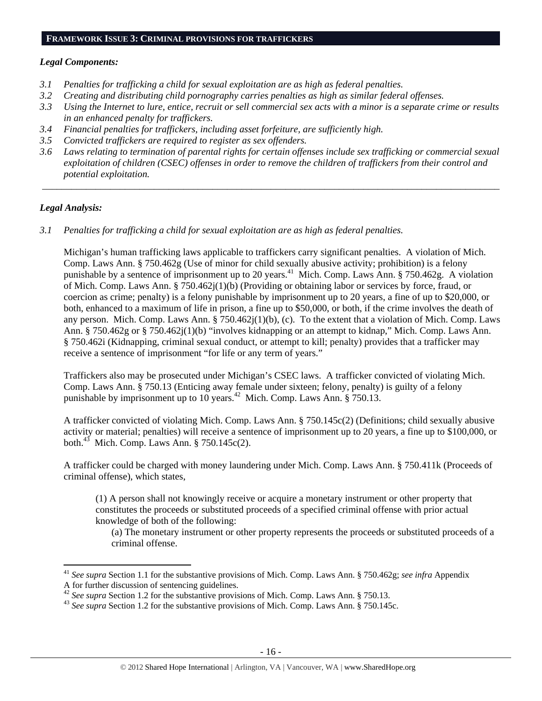#### **FRAMEWORK ISSUE 3: CRIMINAL PROVISIONS FOR TRAFFICKERS**

#### *Legal Components:*

- *3.1 Penalties for trafficking a child for sexual exploitation are as high as federal penalties.*
- *3.2 Creating and distributing child pornography carries penalties as high as similar federal offenses.*
- *3.3 Using the Internet to lure, entice, recruit or sell commercial sex acts with a minor is a separate crime or results in an enhanced penalty for traffickers.*
- *3.4 Financial penalties for traffickers, including asset forfeiture, are sufficiently high.*
- *3.5 Convicted traffickers are required to register as sex offenders.*
- *3.6 Laws relating to termination of parental rights for certain offenses include sex trafficking or commercial sexual exploitation of children (CSEC) offenses in order to remove the children of traffickers from their control and potential exploitation.*

 *\_\_\_\_\_\_\_\_\_\_\_\_\_\_\_\_\_\_\_\_\_\_\_\_\_\_\_\_\_\_\_\_\_\_\_\_\_\_\_\_\_\_\_\_\_\_\_\_\_\_\_\_\_\_\_\_\_\_\_\_\_\_\_\_\_\_\_\_\_\_\_\_\_\_\_\_\_\_\_\_\_\_\_\_\_\_\_\_\_\_\_\_\_\_* 

#### *Legal Analysis:*

*3.1 Penalties for trafficking a child for sexual exploitation are as high as federal penalties.* 

Michigan's human trafficking laws applicable to traffickers carry significant penalties. A violation of Mich. Comp. Laws Ann. § 750.462g (Use of minor for child sexually abusive activity; prohibition) is a felony punishable by a sentence of imprisonment up to 20 years.<sup>41</sup> Mich. Comp. Laws Ann. § 750.462g. A violation of Mich. Comp. Laws Ann. § 750.462j(1)(b) (Providing or obtaining labor or services by force, fraud, or coercion as crime; penalty) is a felony punishable by imprisonment up to 20 years, a fine of up to \$20,000, or both, enhanced to a maximum of life in prison, a fine up to \$50,000, or both, if the crime involves the death of any person. Mich. Comp. Laws Ann. § 750.462 $i(1)(b)$ , (c). To the extent that a violation of Mich. Comp. Laws Ann. § 750.462g or § 750.462j(1)(b) "involves kidnapping or an attempt to kidnap," Mich. Comp. Laws Ann. § 750.462i (Kidnapping, criminal sexual conduct, or attempt to kill; penalty) provides that a trafficker may receive a sentence of imprisonment "for life or any term of years."

Traffickers also may be prosecuted under Michigan's CSEC laws. A trafficker convicted of violating Mich. Comp. Laws Ann. § 750.13 (Enticing away female under sixteen; felony, penalty) is guilty of a felony punishable by imprisonment up to 10 years.<sup>42</sup> Mich. Comp. Laws Ann. § 750.13.

A trafficker convicted of violating Mich. Comp. Laws Ann. § 750.145c(2) (Definitions; child sexually abusive activity or material; penalties) will receive a sentence of imprisonment up to 20 years, a fine up to \$100,000, or both.<sup>43</sup> Mich. Comp. Laws Ann.  $\S 750.145c(2)$ .

A trafficker could be charged with money laundering under Mich. Comp. Laws Ann. § 750.411k (Proceeds of criminal offense), which states,

(1) A person shall not knowingly receive or acquire a monetary instrument or other property that constitutes the proceeds or substituted proceeds of a specified criminal offense with prior actual knowledge of both of the following:

(a) The monetary instrument or other property represents the proceeds or substituted proceeds of a criminal offense.

<sup>41</sup> *See supra* Section 1.1 for the substantive provisions of Mich. Comp. Laws Ann. § 750.462g; *see infra* Appendix A for further discussion of sentencing guidelines.<br><sup>42</sup> See supra Section 1.2 for the substantive provisions of Mich. Comp. Laws Ann. § 750.13.

<sup>&</sup>lt;sup>43</sup> *See supra* Section 1.2 for the substantive provisions of Mich. Comp. Laws Ann. § 750.145c.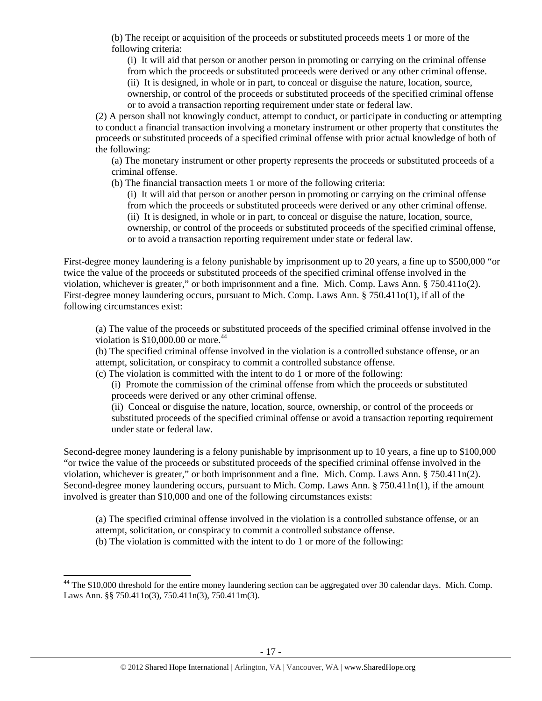(b) The receipt or acquisition of the proceeds or substituted proceeds meets 1 or more of the following criteria:

(i) It will aid that person or another person in promoting or carrying on the criminal offense from which the proceeds or substituted proceeds were derived or any other criminal offense. (ii) It is designed, in whole or in part, to conceal or disguise the nature, location, source, ownership, or control of the proceeds or substituted proceeds of the specified criminal offense

or to avoid a transaction reporting requirement under state or federal law.

(2) A person shall not knowingly conduct, attempt to conduct, or participate in conducting or attempting to conduct a financial transaction involving a monetary instrument or other property that constitutes the proceeds or substituted proceeds of a specified criminal offense with prior actual knowledge of both of the following:

(a) The monetary instrument or other property represents the proceeds or substituted proceeds of a criminal offense.

(b) The financial transaction meets 1 or more of the following criteria:

(i) It will aid that person or another person in promoting or carrying on the criminal offense from which the proceeds or substituted proceeds were derived or any other criminal offense. (ii) It is designed, in whole or in part, to conceal or disguise the nature, location, source, ownership, or control of the proceeds or substituted proceeds of the specified criminal offense, or to avoid a transaction reporting requirement under state or federal law.

First-degree money laundering is a felony punishable by imprisonment up to 20 years, a fine up to \$500,000 "or twice the value of the proceeds or substituted proceeds of the specified criminal offense involved in the violation, whichever is greater," or both imprisonment and a fine. Mich. Comp. Laws Ann. § 750.411o(2). First-degree money laundering occurs, pursuant to Mich. Comp. Laws Ann. § 750.411o(1), if all of the following circumstances exist:

(a) The value of the proceeds or substituted proceeds of the specified criminal offense involved in the violation is  $$10,000.00$  or more.<sup>44</sup>

(b) The specified criminal offense involved in the violation is a controlled substance offense, or an attempt, solicitation, or conspiracy to commit a controlled substance offense.

(c) The violation is committed with the intent to do 1 or more of the following:

(i) Promote the commission of the criminal offense from which the proceeds or substituted proceeds were derived or any other criminal offense.

(ii) Conceal or disguise the nature, location, source, ownership, or control of the proceeds or substituted proceeds of the specified criminal offense or avoid a transaction reporting requirement under state or federal law.

Second-degree money laundering is a felony punishable by imprisonment up to 10 years, a fine up to \$100,000 "or twice the value of the proceeds or substituted proceeds of the specified criminal offense involved in the violation, whichever is greater," or both imprisonment and a fine. Mich. Comp. Laws Ann.  $\S 750.411n(2)$ . Second-degree money laundering occurs, pursuant to Mich. Comp. Laws Ann. § 750.411n(1), if the amount involved is greater than \$10,000 and one of the following circumstances exists:

(a) The specified criminal offense involved in the violation is a controlled substance offense, or an attempt, solicitation, or conspiracy to commit a controlled substance offense. (b) The violation is committed with the intent to do 1 or more of the following:

 $44$  The \$10,000 threshold for the entire money laundering section can be aggregated over 30 calendar days. Mich. Comp. Laws Ann. §§ 750.411o(3), 750.411n(3), 750.411m(3).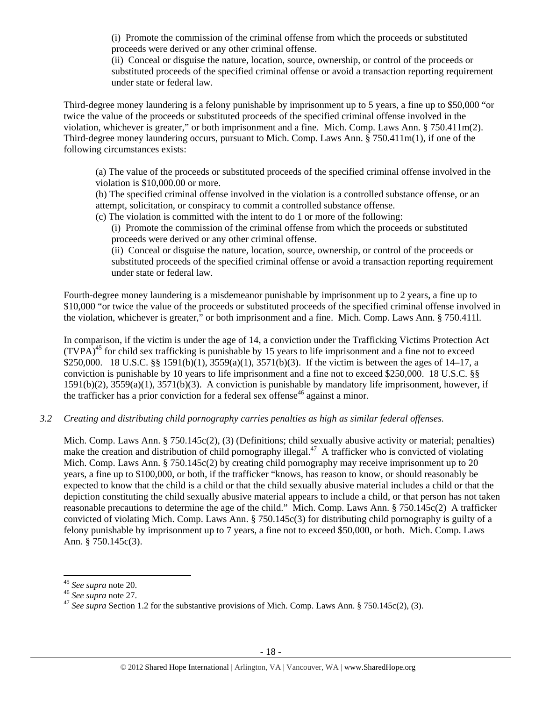(i) Promote the commission of the criminal offense from which the proceeds or substituted proceeds were derived or any other criminal offense.

(ii) Conceal or disguise the nature, location, source, ownership, or control of the proceeds or substituted proceeds of the specified criminal offense or avoid a transaction reporting requirement under state or federal law.

Third-degree money laundering is a felony punishable by imprisonment up to 5 years, a fine up to \$50,000 "or twice the value of the proceeds or substituted proceeds of the specified criminal offense involved in the violation, whichever is greater," or both imprisonment and a fine. Mich. Comp. Laws Ann. § 750.411m(2). Third-degree money laundering occurs, pursuant to Mich. Comp. Laws Ann. § 750.411m(1), if one of the following circumstances exists:

(a) The value of the proceeds or substituted proceeds of the specified criminal offense involved in the violation is \$10,000.00 or more.

(b) The specified criminal offense involved in the violation is a controlled substance offense, or an attempt, solicitation, or conspiracy to commit a controlled substance offense.

(c) The violation is committed with the intent to do 1 or more of the following:

(i) Promote the commission of the criminal offense from which the proceeds or substituted proceeds were derived or any other criminal offense.

(ii) Conceal or disguise the nature, location, source, ownership, or control of the proceeds or substituted proceeds of the specified criminal offense or avoid a transaction reporting requirement under state or federal law.

Fourth-degree money laundering is a misdemeanor punishable by imprisonment up to 2 years, a fine up to \$10,000 "or twice the value of the proceeds or substituted proceeds of the specified criminal offense involved in the violation, whichever is greater," or both imprisonment and a fine. Mich. Comp. Laws Ann. § 750.411l.

In comparison, if the victim is under the age of 14, a conviction under the Trafficking Victims Protection Act  $(TVPA)<sup>45</sup>$  for child sex trafficking is punishable by 15 years to life imprisonment and a fine not to exceed \$250,000. 18 U.S.C. §§ 1591(b)(1), 3559(a)(1), 3571(b)(3). If the victim is between the ages of 14–17, a conviction is punishable by 10 years to life imprisonment and a fine not to exceed \$250,000. 18 U.S.C. §§ 1591(b)(2), 3559(a)(1), 3571(b)(3). A conviction is punishable by mandatory life imprisonment, however, if the trafficker has a prior conviction for a federal sex offense<sup>46</sup> against a minor.

*3.2 Creating and distributing child pornography carries penalties as high as similar federal offenses.* 

Mich. Comp. Laws Ann. § 750.145c(2), (3) (Definitions; child sexually abusive activity or material; penalties) make the creation and distribution of child pornography illegal.<sup>47</sup> A trafficker who is convicted of violating Mich. Comp. Laws Ann. § 750.145c(2) by creating child pornography may receive imprisonment up to 20 years, a fine up to \$100,000, or both, if the trafficker "knows, has reason to know, or should reasonably be expected to know that the child is a child or that the child sexually abusive material includes a child or that the depiction constituting the child sexually abusive material appears to include a child, or that person has not taken reasonable precautions to determine the age of the child." Mich. Comp. Laws Ann. § 750.145c(2) A trafficker convicted of violating Mich. Comp. Laws Ann. § 750.145c(3) for distributing child pornography is guilty of a felony punishable by imprisonment up to 7 years, a fine not to exceed \$50,000, or both. Mich. Comp. Laws Ann. § 750.145c(3).

<sup>&</sup>lt;sup>45</sup> *See supra* note 20.<br><sup>46</sup> *See supra* note 27.<br><sup>47</sup> *See supra* Section 1.2 for the substantive provisions of Mich. Comp. Laws Ann. § 750.145c(2), (3).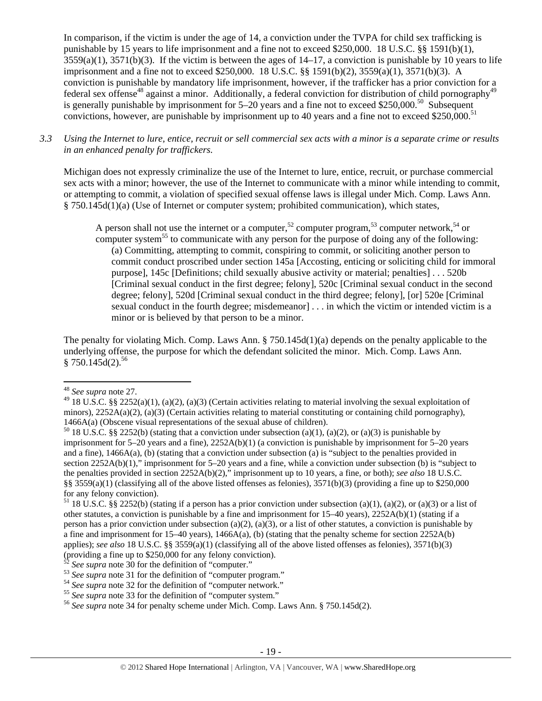In comparison, if the victim is under the age of 14, a conviction under the TVPA for child sex trafficking is punishable by 15 years to life imprisonment and a fine not to exceed \$250,000. 18 U.S.C. §§ 1591(b)(1),  $3559(a)(1)$ ,  $3571(b)(3)$ . If the victim is between the ages of  $14-17$ , a conviction is punishable by 10 years to life imprisonment and a fine not to exceed \$250,000. 18 U.S.C. §§ 1591(b)(2), 3559(a)(1), 3571(b)(3). A conviction is punishable by mandatory life imprisonment, however, if the trafficker has a prior conviction for a federal sex offense<sup>48</sup> against a minor. Additionally, a federal conviction for distribution of child pornography<sup>49</sup> is generally punishable by imprisonment for 5–20 years and a fine not to exceed \$250,000.<sup>50</sup> Subsequent convictions, however, are punishable by imprisonment up to 40 years and a fine not to exceed \$250,000.<sup>51</sup>

*3.3 Using the Internet to lure, entice, recruit or sell commercial sex acts with a minor is a separate crime or results in an enhanced penalty for traffickers.* 

Michigan does not expressly criminalize the use of the Internet to lure, entice, recruit, or purchase commercial sex acts with a minor; however, the use of the Internet to communicate with a minor while intending to commit, or attempting to commit, a violation of specified sexual offense laws is illegal under Mich. Comp. Laws Ann. § 750.145d(1)(a) (Use of Internet or computer system; prohibited communication), which states,

A person shall not use the internet or a computer,<sup>52</sup> computer program,<sup>53</sup> computer network,<sup>54</sup> or computer system<sup>55</sup> to communicate with any person for the purpose of doing any of the following: (a) Committing, attempting to commit, conspiring to commit, or soliciting another person to commit conduct proscribed under section 145a [Accosting, enticing or soliciting child for immoral purpose], 145c [Definitions; child sexually abusive activity or material; penalties] . . . 520b [Criminal sexual conduct in the first degree; felony], 520c [Criminal sexual conduct in the second degree; felony], 520d [Criminal sexual conduct in the third degree; felony], [or] 520e [Criminal sexual conduct in the fourth degree; misdemeanor] . . . in which the victim or intended victim is a minor or is believed by that person to be a minor.

The penalty for violating Mich. Comp. Laws Ann. § 750.145d(1)(a) depends on the penalty applicable to the underlying offense, the purpose for which the defendant solicited the minor. Mich. Comp. Laws Ann.  $§ 750.145d(2).^{56}$ 

<sup>48</sup> *See supra* note 27.

<sup>&</sup>lt;sup>49</sup> 18 U.S.C. §§ 2252(a)(1), (a)(2), (a)(3) (Certain activities relating to material involving the sexual exploitation of minors),  $2252A(a)(2)$ , (a)(3) (Certain activities relating to material constituting or containing child pornography), 1466A(a) (Obscene visual representations of the sexual abuse of children).<br><sup>50</sup> 18 U.S.C. §§ 2252(b) (stating that a conviction under subsection (a)(1), (a)(2), or (a)(3) is punishable by

imprisonment for 5–20 years and a fine), 2252A(b)(1) (a conviction is punishable by imprisonment for 5–20 years and a fine), 1466A(a), (b) (stating that a conviction under subsection (a) is "subject to the penalties provided in section 2252A(b)(1)," imprisonment for 5–20 years and a fine, while a conviction under subsection (b) is "subject to the penalties provided in section 2252A(b)(2)," imprisonment up to 10 years, a fine, or both); *see also* 18 U.S.C. §§ 3559(a)(1) (classifying all of the above listed offenses as felonies),  $3571(b)(3)$  (providing a fine up to \$250,000 for any felony conviction).

<sup>&</sup>lt;sup>51</sup> 18 U.S.C. §§ 2252(b) (stating if a person has a prior conviction under subsection (a)(1), (a)(2), or (a)(3) or a list of other statutes, a conviction is punishable by a fine and imprisonment for 15–40 years), 2252A(b)(1) (stating if a person has a prior conviction under subsection (a)(2), (a)(3), or a list of other statutes, a conviction is punishable by a fine and imprisonment for 15–40 years), 1466A(a), (b) (stating that the penalty scheme for section 2252A(b) applies); *see also* 18 U.S.C. §§ 3559(a)(1) (classifying all of the above listed offenses as felonies), 3571(b)(3) (providing a fine up to \$250,000 for any felony conviction).<br>
<sup>52</sup> See supra note 30 for the definition of "computer."

<sup>&</sup>lt;sup>53</sup> See supra note 31 for the definition of "computer program."<br>
<sup>54</sup> See supra note 32 for the definition of "computer network."<br>
<sup>55</sup> See supra note 33 for the definition of "computer system."<br>
<sup>55</sup> See supra note 34 f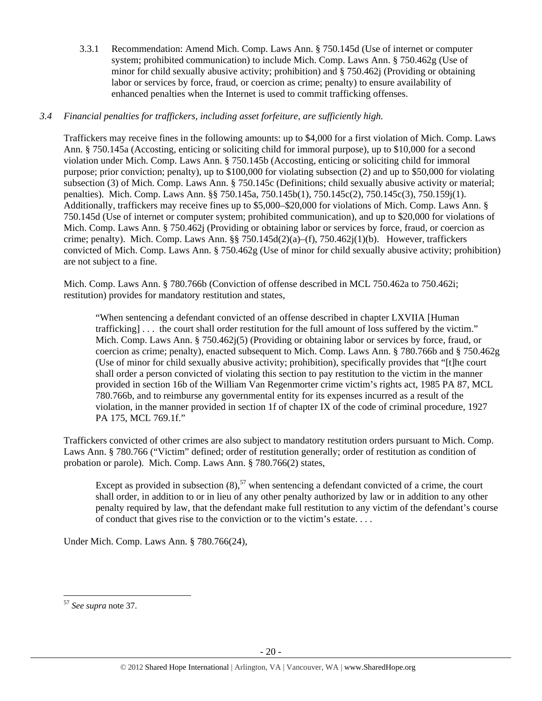3.3.1 Recommendation: Amend Mich. Comp. Laws Ann. § 750.145d (Use of internet or computer system; prohibited communication) to include Mich. Comp. Laws Ann. § 750.462g (Use of minor for child sexually abusive activity; prohibition) and § 750.462j (Providing or obtaining labor or services by force, fraud, or coercion as crime; penalty) to ensure availability of enhanced penalties when the Internet is used to commit trafficking offenses.

# *3.4 Financial penalties for traffickers, including asset forfeiture, are sufficiently high.*

Traffickers may receive fines in the following amounts: up to \$4,000 for a first violation of Mich. Comp. Laws Ann. § 750.145a (Accosting, enticing or soliciting child for immoral purpose), up to \$10,000 for a second violation under Mich. Comp. Laws Ann. § 750.145b (Accosting, enticing or soliciting child for immoral purpose; prior conviction; penalty), up to \$100,000 for violating subsection (2) and up to \$50,000 for violating subsection (3) of Mich. Comp. Laws Ann. § 750.145c (Definitions; child sexually abusive activity or material; penalties). Mich. Comp. Laws Ann. §§ 750.145a, 750.145b(1), 750.145c(2), 750.145c(3), 750.159j(1). Additionally, traffickers may receive fines up to \$5,000–\$20,000 for violations of Mich. Comp. Laws Ann. § 750.145d (Use of internet or computer system; prohibited communication), and up to \$20,000 for violations of Mich. Comp. Laws Ann. § 750.462j (Providing or obtaining labor or services by force, fraud, or coercion as crime; penalty). Mich. Comp. Laws Ann. §§ 750.145d(2)(a)–(f), 750.462 $i(1)(b)$ . However, traffickers convicted of Mich. Comp. Laws Ann. § 750.462g (Use of minor for child sexually abusive activity; prohibition) are not subject to a fine.

Mich. Comp. Laws Ann. § 780.766b (Conviction of offense described in MCL 750.462a to 750.462i; restitution) provides for mandatory restitution and states,

"When sentencing a defendant convicted of an offense described in chapter LXVIIA [Human trafficking] . . . the court shall order restitution for the full amount of loss suffered by the victim." Mich. Comp. Laws Ann. § 750.462j(5) (Providing or obtaining labor or services by force, fraud, or coercion as crime; penalty), enacted subsequent to Mich. Comp. Laws Ann. § 780.766b and § 750.462g (Use of minor for child sexually abusive activity; prohibition), specifically provides that "[t]he court shall order a person convicted of violating this section to pay restitution to the victim in the manner provided in section 16b of the William Van Regenmorter crime victim's rights act, 1985 PA 87, MCL 780.766b, and to reimburse any governmental entity for its expenses incurred as a result of the violation, in the manner provided in section 1f of chapter IX of the code of criminal procedure, 1927 PA 175, MCL 769.1f."

Traffickers convicted of other crimes are also subject to mandatory restitution orders pursuant to Mich. Comp. Laws Ann. § 780.766 ("Victim" defined; order of restitution generally; order of restitution as condition of probation or parole). Mich. Comp. Laws Ann. § 780.766(2) states,

Except as provided in subsection  $(8)$ ,<sup>57</sup> when sentencing a defendant convicted of a crime, the court shall order, in addition to or in lieu of any other penalty authorized by law or in addition to any other penalty required by law, that the defendant make full restitution to any victim of the defendant's course of conduct that gives rise to the conviction or to the victim's estate. . . .

Under Mich. Comp. Laws Ann. § 780.766(24),

<sup>57</sup> *See supra* note 37.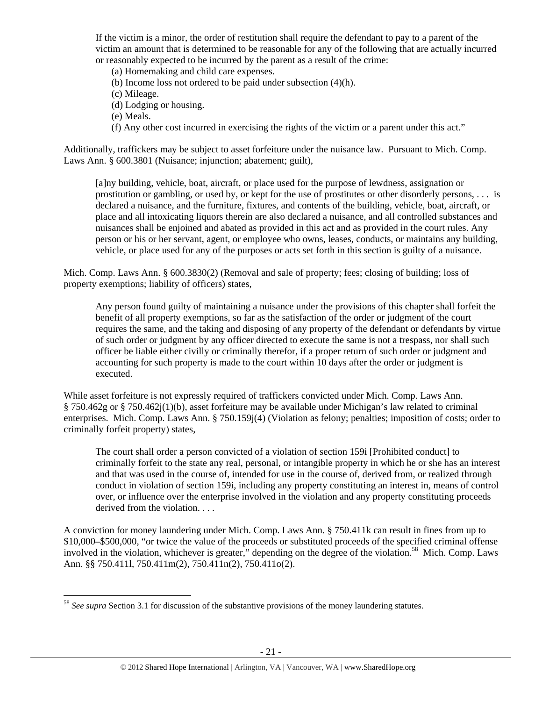If the victim is a minor, the order of restitution shall require the defendant to pay to a parent of the victim an amount that is determined to be reasonable for any of the following that are actually incurred or reasonably expected to be incurred by the parent as a result of the crime:

(a) Homemaking and child care expenses.

(b) Income loss not ordered to be paid under subsection (4)(h).

(c) Mileage.

(d) Lodging or housing.

(e) Meals.

(f) Any other cost incurred in exercising the rights of the victim or a parent under this act."

Additionally, traffickers may be subject to asset forfeiture under the nuisance law. Pursuant to Mich. Comp. Laws Ann. § 600.3801 (Nuisance; injunction; abatement; guilt),

[a]ny building, vehicle, boat, aircraft, or place used for the purpose of lewdness, assignation or prostitution or gambling, or used by, or kept for the use of prostitutes or other disorderly persons, . . . is declared a nuisance, and the furniture, fixtures, and contents of the building, vehicle, boat, aircraft, or place and all intoxicating liquors therein are also declared a nuisance, and all controlled substances and nuisances shall be enjoined and abated as provided in this act and as provided in the court rules. Any person or his or her servant, agent, or employee who owns, leases, conducts, or maintains any building, vehicle, or place used for any of the purposes or acts set forth in this section is guilty of a nuisance.

Mich. Comp. Laws Ann. § 600.3830(2) (Removal and sale of property; fees; closing of building; loss of property exemptions; liability of officers) states,

Any person found guilty of maintaining a nuisance under the provisions of this chapter shall forfeit the benefit of all property exemptions, so far as the satisfaction of the order or judgment of the court requires the same, and the taking and disposing of any property of the defendant or defendants by virtue of such order or judgment by any officer directed to execute the same is not a trespass, nor shall such officer be liable either civilly or criminally therefor, if a proper return of such order or judgment and accounting for such property is made to the court within 10 days after the order or judgment is executed.

While asset forfeiture is not expressly required of traffickers convicted under Mich. Comp. Laws Ann. § 750.462g or § 750.462j(1)(b), asset forfeiture may be available under Michigan's law related to criminal enterprises. Mich. Comp. Laws Ann. § 750.159j(4) (Violation as felony; penalties; imposition of costs; order to criminally forfeit property) states,

The court shall order a person convicted of a violation of section 159i [Prohibited conduct] to criminally forfeit to the state any real, personal, or intangible property in which he or she has an interest and that was used in the course of, intended for use in the course of, derived from, or realized through conduct in violation of section 159i, including any property constituting an interest in, means of control over, or influence over the enterprise involved in the violation and any property constituting proceeds derived from the violation. . . .

A conviction for money laundering under Mich. Comp. Laws Ann. § 750.411k can result in fines from up to \$10,000–\$500,000, "or twice the value of the proceeds or substituted proceeds of the specified criminal offense involved in the violation, whichever is greater," depending on the degree of the violation.58 Mich. Comp. Laws Ann. §§ 750.411l, 750.411m(2), 750.411n(2), 750.411o(2).

<sup>58</sup> *See supra* Section 3.1 for discussion of the substantive provisions of the money laundering statutes.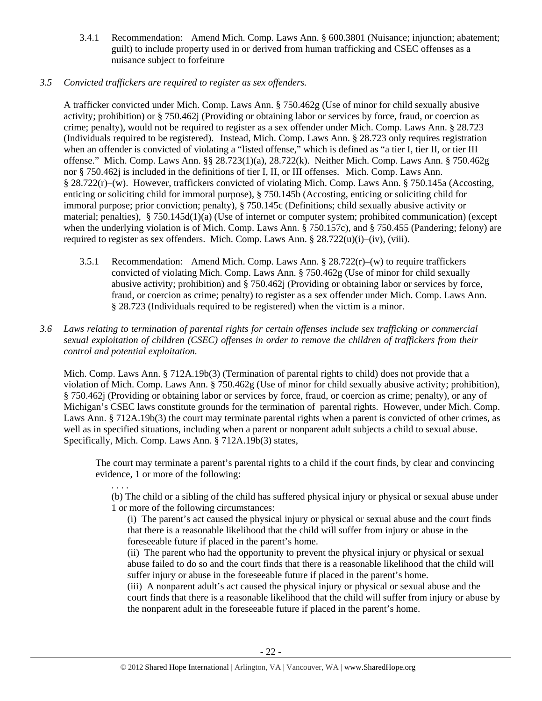- 3.4.1 Recommendation: Amend Mich. Comp. Laws Ann. § 600.3801 (Nuisance; injunction; abatement; guilt) to include property used in or derived from human trafficking and CSEC offenses as a nuisance subject to forfeiture
- *3.5 Convicted traffickers are required to register as sex offenders.*

. . . .

A trafficker convicted under Mich. Comp. Laws Ann. § 750.462g (Use of minor for child sexually abusive activity; prohibition) or § 750.462j (Providing or obtaining labor or services by force, fraud, or coercion as crime; penalty), would not be required to register as a sex offender under Mich. Comp. Laws Ann. § 28.723 (Individuals required to be registered). Instead, Mich. Comp. Laws Ann. § 28.723 only requires registration when an offender is convicted of violating a "listed offense," which is defined as "a tier I, tier II, or tier III offense." Mich. Comp. Laws Ann. §§ 28.723(1)(a), 28.722(k). Neither Mich. Comp. Laws Ann. § 750.462g nor § 750.462j is included in the definitions of tier I, II, or III offenses. Mich. Comp. Laws Ann. § 28.722(r)–(w). However, traffickers convicted of violating Mich. Comp. Laws Ann. § 750.145a (Accosting, enticing or soliciting child for immoral purpose), § 750.145b (Accosting, enticing or soliciting child for immoral purpose; prior conviction; penalty), § 750.145c (Definitions; child sexually abusive activity or material; penalties), § 750.145d(1)(a) (Use of internet or computer system; prohibited communication) (except when the underlying violation is of Mich. Comp. Laws Ann. § 750.157c), and § 750.455 (Pandering; felony) are required to register as sex offenders. Mich. Comp. Laws Ann.  $\S 28.722(u)(i)–(iv), (viii)$ .

- 3.5.1 Recommendation: Amend Mich. Comp. Laws Ann.  $\S 28.722(r)$ –(w) to require traffickers convicted of violating Mich. Comp. Laws Ann. § 750.462g (Use of minor for child sexually abusive activity; prohibition) and § 750.462j (Providing or obtaining labor or services by force, fraud, or coercion as crime; penalty) to register as a sex offender under Mich. Comp. Laws Ann. § 28.723 (Individuals required to be registered) when the victim is a minor.
- *3.6 Laws relating to termination of parental rights for certain offenses include sex trafficking or commercial sexual exploitation of children (CSEC) offenses in order to remove the children of traffickers from their control and potential exploitation.*

Mich. Comp. Laws Ann. § 712A.19b(3) (Termination of parental rights to child) does not provide that a violation of Mich. Comp. Laws Ann. § 750.462g (Use of minor for child sexually abusive activity; prohibition), § 750.462j (Providing or obtaining labor or services by force, fraud, or coercion as crime; penalty), or any of Michigan's CSEC laws constitute grounds for the termination of parental rights. However, under Mich. Comp. Laws Ann. § 712A.19b(3) the court may terminate parental rights when a parent is convicted of other crimes, as well as in specified situations, including when a parent or nonparent adult subjects a child to sexual abuse. Specifically, Mich. Comp. Laws Ann. § 712A.19b(3) states,

The court may terminate a parent's parental rights to a child if the court finds, by clear and convincing evidence, 1 or more of the following:

(b) The child or a sibling of the child has suffered physical injury or physical or sexual abuse under 1 or more of the following circumstances:

(i) The parent's act caused the physical injury or physical or sexual abuse and the court finds that there is a reasonable likelihood that the child will suffer from injury or abuse in the foreseeable future if placed in the parent's home.

(ii) The parent who had the opportunity to prevent the physical injury or physical or sexual abuse failed to do so and the court finds that there is a reasonable likelihood that the child will suffer injury or abuse in the foreseeable future if placed in the parent's home.

(iii) A nonparent adult's act caused the physical injury or physical or sexual abuse and the court finds that there is a reasonable likelihood that the child will suffer from injury or abuse by the nonparent adult in the foreseeable future if placed in the parent's home.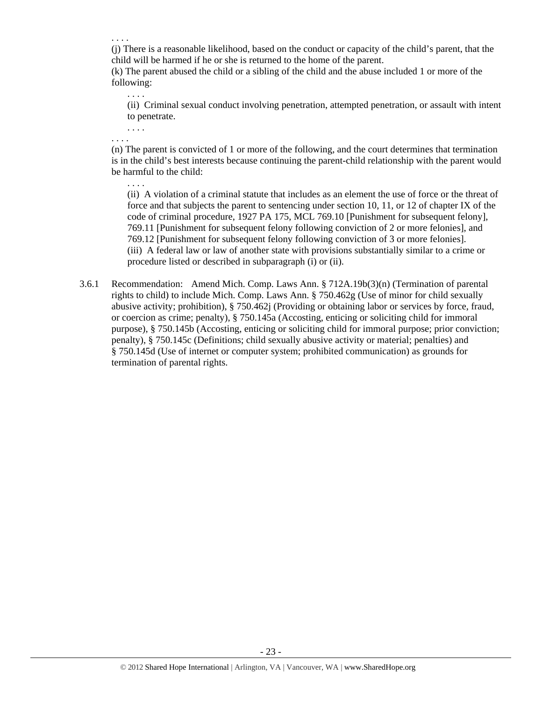. . . .

(j) There is a reasonable likelihood, based on the conduct or capacity of the child's parent, that the child will be harmed if he or she is returned to the home of the parent.

(k) The parent abused the child or a sibling of the child and the abuse included 1 or more of the following:

(ii) Criminal sexual conduct involving penetration, attempted penetration, or assault with intent to penetrate.

. . . . . . . .

. . . .

(n) The parent is convicted of 1 or more of the following, and the court determines that termination is in the child's best interests because continuing the parent-child relationship with the parent would be harmful to the child:

- . . . . (ii) A violation of a criminal statute that includes as an element the use of force or the threat of force and that subjects the parent to sentencing under section 10, 11, or 12 of chapter IX of the code of criminal procedure, 1927 PA 175, MCL 769.10 [Punishment for subsequent felony], 769.11 [Punishment for subsequent felony following conviction of 2 or more felonies], and 769.12 [Punishment for subsequent felony following conviction of 3 or more felonies]. (iii) A federal law or law of another state with provisions substantially similar to a crime or procedure listed or described in subparagraph (i) or (ii).
- 3.6.1 Recommendation: Amend Mich. Comp. Laws Ann. § 712A.19b(3)(n) (Termination of parental rights to child) to include Mich. Comp. Laws Ann. § 750.462g (Use of minor for child sexually abusive activity; prohibition), § 750.462j (Providing or obtaining labor or services by force, fraud, or coercion as crime; penalty), § 750.145a (Accosting, enticing or soliciting child for immoral purpose), § 750.145b (Accosting, enticing or soliciting child for immoral purpose; prior conviction; penalty), § 750.145c (Definitions; child sexually abusive activity or material; penalties) and § 750.145d (Use of internet or computer system; prohibited communication) as grounds for termination of parental rights.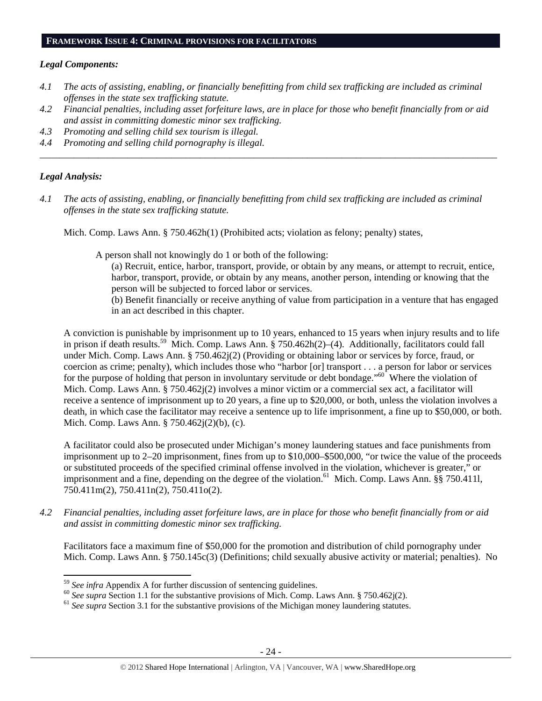#### **FRAMEWORK ISSUE 4: CRIMINAL PROVISIONS FOR FACILITATORS**

#### *Legal Components:*

- *4.1 The acts of assisting, enabling, or financially benefitting from child sex trafficking are included as criminal offenses in the state sex trafficking statute.*
- *4.2 Financial penalties, including asset forfeiture laws, are in place for those who benefit financially from or aid and assist in committing domestic minor sex trafficking.*

*\_\_\_\_\_\_\_\_\_\_\_\_\_\_\_\_\_\_\_\_\_\_\_\_\_\_\_\_\_\_\_\_\_\_\_\_\_\_\_\_\_\_\_\_\_\_\_\_\_\_\_\_\_\_\_\_\_\_\_\_\_\_\_\_\_\_\_\_\_\_\_\_\_\_\_\_\_\_\_\_\_\_\_\_\_\_\_\_\_\_\_\_\_\_* 

- *4.3 Promoting and selling child sex tourism is illegal.*
- *4.4 Promoting and selling child pornography is illegal.*

#### *Legal Analysis:*

*4.1 The acts of assisting, enabling, or financially benefitting from child sex trafficking are included as criminal offenses in the state sex trafficking statute.* 

Mich. Comp. Laws Ann. § 750.462h(1) (Prohibited acts; violation as felony; penalty) states,

A person shall not knowingly do 1 or both of the following:

- (a) Recruit, entice, harbor, transport, provide, or obtain by any means, or attempt to recruit, entice, harbor, transport, provide, or obtain by any means, another person, intending or knowing that the person will be subjected to forced labor or services.
- (b) Benefit financially or receive anything of value from participation in a venture that has engaged in an act described in this chapter.

A conviction is punishable by imprisonment up to 10 years, enhanced to 15 years when injury results and to life in prison if death results.59 Mich. Comp. Laws Ann. § 750.462h(2)–(4). Additionally, facilitators could fall under Mich. Comp. Laws Ann. § 750.462j(2) (Providing or obtaining labor or services by force, fraud, or coercion as crime; penalty), which includes those who "harbor [or] transport . . . a person for labor or services for the purpose of holding that person in involuntary servitude or debt bondage."<sup>60</sup> Where the violation of Mich. Comp. Laws Ann. § 750.462j(2) involves a minor victim or a commercial sex act, a facilitator will receive a sentence of imprisonment up to 20 years, a fine up to \$20,000, or both, unless the violation involves a death, in which case the facilitator may receive a sentence up to life imprisonment, a fine up to \$50,000, or both. Mich. Comp. Laws Ann. § 750.462j(2)(b), (c).

A facilitator could also be prosecuted under Michigan's money laundering statues and face punishments from imprisonment up to 2–20 imprisonment, fines from up to \$10,000–\$500,000, "or twice the value of the proceeds or substituted proceeds of the specified criminal offense involved in the violation, whichever is greater," or imprisonment and a fine, depending on the degree of the violation.<sup>61</sup> Mich. Comp. Laws Ann. §§ 750.4111, 750.411m(2), 750.411n(2), 750.411o(2).

*4.2 Financial penalties, including asset forfeiture laws, are in place for those who benefit financially from or aid and assist in committing domestic minor sex trafficking.* 

Facilitators face a maximum fine of \$50,000 for the promotion and distribution of child pornography under Mich. Comp. Laws Ann. § 750.145c(3) (Definitions; child sexually abusive activity or material; penalties). No

 $59$  See infra Appendix A for further discussion of sentencing guidelines.

<sup>&</sup>lt;sup>60</sup> See supra Section 1.1 for the substantive provisions of Mich. Comp. Laws Ann. § 750.462j(2).<br><sup>61</sup> See supra Section 3.1 for the substantive provisions of the Michigan money laundering statutes.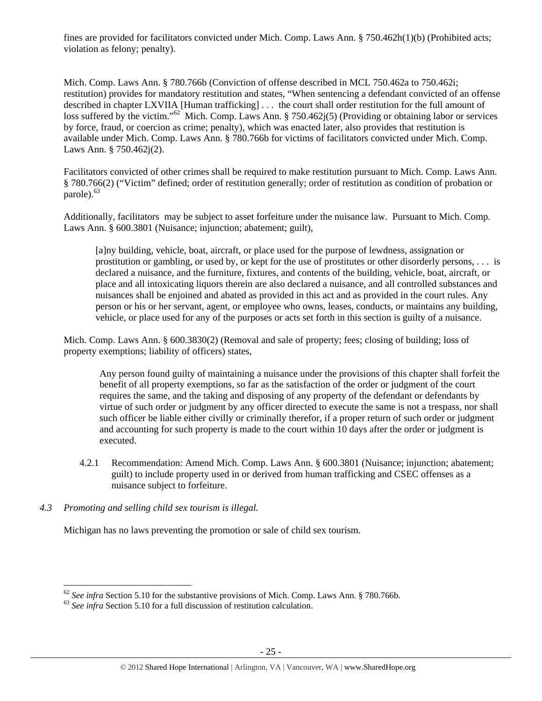fines are provided for facilitators convicted under Mich. Comp. Laws Ann. § 750.462h(1)(b) (Prohibited acts; violation as felony; penalty).

Mich. Comp. Laws Ann. § 780.766b (Conviction of offense described in MCL 750.462a to 750.462i; restitution) provides for mandatory restitution and states, "When sentencing a defendant convicted of an offense described in chapter LXVIIA [Human trafficking] . . . the court shall order restitution for the full amount of loss suffered by the victim."<sup>62</sup> Mich. Comp. Laws Ann. § 750.462j(5) (Providing or obtaining labor or services by force, fraud, or coercion as crime; penalty), which was enacted later, also provides that restitution is available under Mich. Comp. Laws Ann. § 780.766b for victims of facilitators convicted under Mich. Comp. Laws Ann. § 750.462j(2).

Facilitators convicted of other crimes shall be required to make restitution pursuant to Mich. Comp. Laws Ann. § 780.766(2) ("Victim" defined; order of restitution generally; order of restitution as condition of probation or parole).<sup>63</sup>

Additionally, facilitators may be subject to asset forfeiture under the nuisance law. Pursuant to Mich. Comp. Laws Ann. § 600.3801 (Nuisance; injunction; abatement; guilt),

[a]ny building, vehicle, boat, aircraft, or place used for the purpose of lewdness, assignation or prostitution or gambling, or used by, or kept for the use of prostitutes or other disorderly persons, . . . is declared a nuisance, and the furniture, fixtures, and contents of the building, vehicle, boat, aircraft, or place and all intoxicating liquors therein are also declared a nuisance, and all controlled substances and nuisances shall be enjoined and abated as provided in this act and as provided in the court rules. Any person or his or her servant, agent, or employee who owns, leases, conducts, or maintains any building, vehicle, or place used for any of the purposes or acts set forth in this section is guilty of a nuisance.

Mich. Comp. Laws Ann. § 600.3830(2) (Removal and sale of property; fees; closing of building; loss of property exemptions; liability of officers) states,

Any person found guilty of maintaining a nuisance under the provisions of this chapter shall forfeit the benefit of all property exemptions, so far as the satisfaction of the order or judgment of the court requires the same, and the taking and disposing of any property of the defendant or defendants by virtue of such order or judgment by any officer directed to execute the same is not a trespass, nor shall such officer be liable either civilly or criminally therefor, if a proper return of such order or judgment and accounting for such property is made to the court within 10 days after the order or judgment is executed.

- 4.2.1 Recommendation: Amend Mich. Comp. Laws Ann. § 600.3801 (Nuisance; injunction; abatement; guilt) to include property used in or derived from human trafficking and CSEC offenses as a nuisance subject to forfeiture.
- *4.3 Promoting and selling child sex tourism is illegal.*

Michigan has no laws preventing the promotion or sale of child sex tourism.

<sup>&</sup>lt;sup>62</sup> *See infra* Section 5.10 for the substantive provisions of Mich. Comp. Laws Ann. § 780.766b. <sup>63</sup> *See infra* Section 5.10 for a full discussion of restitution calculation.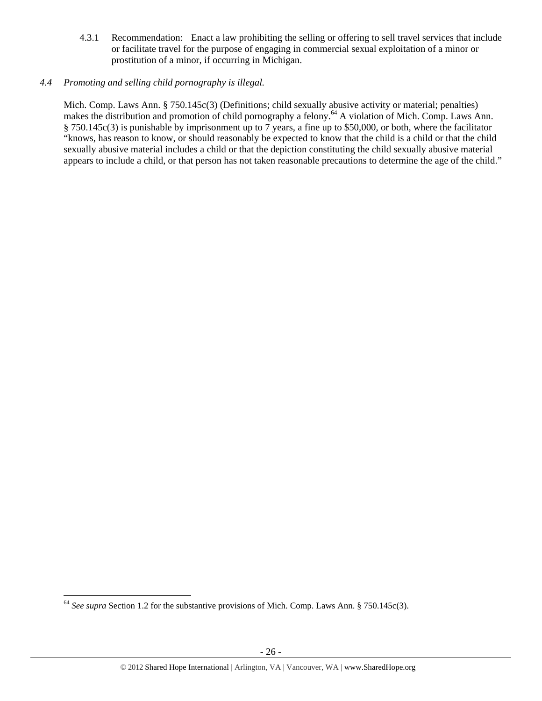4.3.1 Recommendation: Enact a law prohibiting the selling or offering to sell travel services that include or facilitate travel for the purpose of engaging in commercial sexual exploitation of a minor or prostitution of a minor, if occurring in Michigan.

# *4.4 Promoting and selling child pornography is illegal.*

Mich. Comp. Laws Ann. § 750.145c(3) (Definitions; child sexually abusive activity or material; penalties) makes the distribution and promotion of child pornography a felony.<sup>64</sup> A violation of Mich. Comp. Laws Ann. § 750.145c(3) is punishable by imprisonment up to 7 years, a fine up to \$50,000, or both, where the facilitator "knows, has reason to know, or should reasonably be expected to know that the child is a child or that the child sexually abusive material includes a child or that the depiction constituting the child sexually abusive material appears to include a child, or that person has not taken reasonable precautions to determine the age of the child."

<sup>64</sup> *See supra* Section 1.2 for the substantive provisions of Mich. Comp. Laws Ann. § 750.145c(3).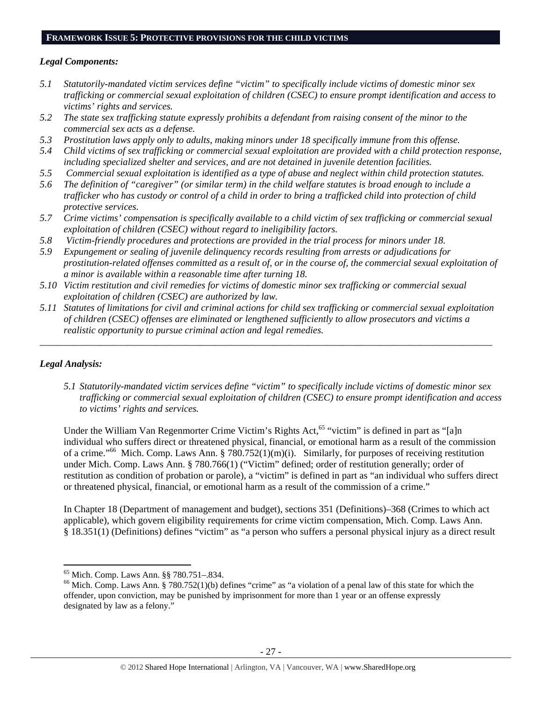#### **FRAMEWORK ISSUE 5: PROTECTIVE PROVISIONS FOR THE CHILD VICTIMS**

#### *Legal Components:*

- *5.1 Statutorily-mandated victim services define "victim" to specifically include victims of domestic minor sex trafficking or commercial sexual exploitation of children (CSEC) to ensure prompt identification and access to victims' rights and services.*
- *5.2 The state sex trafficking statute expressly prohibits a defendant from raising consent of the minor to the commercial sex acts as a defense.*
- *5.3 Prostitution laws apply only to adults, making minors under 18 specifically immune from this offense.*
- *5.4 Child victims of sex trafficking or commercial sexual exploitation are provided with a child protection response, including specialized shelter and services, and are not detained in juvenile detention facilities.*
- *5.5 Commercial sexual exploitation is identified as a type of abuse and neglect within child protection statutes.*
- *5.6 The definition of "caregiver" (or similar term) in the child welfare statutes is broad enough to include a trafficker who has custody or control of a child in order to bring a trafficked child into protection of child protective services.*
- *5.7 Crime victims' compensation is specifically available to a child victim of sex trafficking or commercial sexual exploitation of children (CSEC) without regard to ineligibility factors.*
- *5.8 Victim-friendly procedures and protections are provided in the trial process for minors under 18.*
- *5.9 Expungement or sealing of juvenile delinquency records resulting from arrests or adjudications for prostitution-related offenses committed as a result of, or in the course of, the commercial sexual exploitation of a minor is available within a reasonable time after turning 18.*
- *5.10 Victim restitution and civil remedies for victims of domestic minor sex trafficking or commercial sexual exploitation of children (CSEC) are authorized by law.*
- *5.11 Statutes of limitations for civil and criminal actions for child sex trafficking or commercial sexual exploitation of children (CSEC) offenses are eliminated or lengthened sufficiently to allow prosecutors and victims a realistic opportunity to pursue criminal action and legal remedies.*

*\_\_\_\_\_\_\_\_\_\_\_\_\_\_\_\_\_\_\_\_\_\_\_\_\_\_\_\_\_\_\_\_\_\_\_\_\_\_\_\_\_\_\_\_\_\_\_\_\_\_\_\_\_\_\_\_\_\_\_\_\_\_\_\_\_\_\_\_\_\_\_\_\_\_\_\_\_\_\_\_\_\_\_\_\_\_\_\_\_\_\_\_\_* 

#### *Legal Analysis:*

*5.1 Statutorily-mandated victim services define "victim" to specifically include victims of domestic minor sex trafficking or commercial sexual exploitation of children (CSEC) to ensure prompt identification and access to victims' rights and services.* 

Under the William Van Regenmorter Crime Victim's Rights Act,<sup>65</sup> "victim" is defined in part as "[a]n individual who suffers direct or threatened physical, financial, or emotional harm as a result of the commission of a crime."<sup>66</sup> Mich. Comp. Laws Ann. § 780.752(1)(m)(i). Similarly, for purposes of receiving restitution under Mich. Comp. Laws Ann. § 780.766(1) ("Victim" defined; order of restitution generally; order of restitution as condition of probation or parole), a "victim" is defined in part as "an individual who suffers direct or threatened physical, financial, or emotional harm as a result of the commission of a crime."

In Chapter 18 (Department of management and budget), sections 351 (Definitions)–368 (Crimes to which act applicable), which govern eligibility requirements for crime victim compensation, Mich. Comp. Laws Ann. § 18.351(1) (Definitions) defines "victim" as "a person who suffers a personal physical injury as a direct result

<sup>65</sup> Mich. Comp. Laws Ann. §§ 780.751–.834.

 $66$  Mich. Comp. Laws Ann. § 780.752(1)(b) defines "crime" as "a violation of a penal law of this state for which the offender, upon conviction, may be punished by imprisonment for more than 1 year or an offense expressly designated by law as a felony."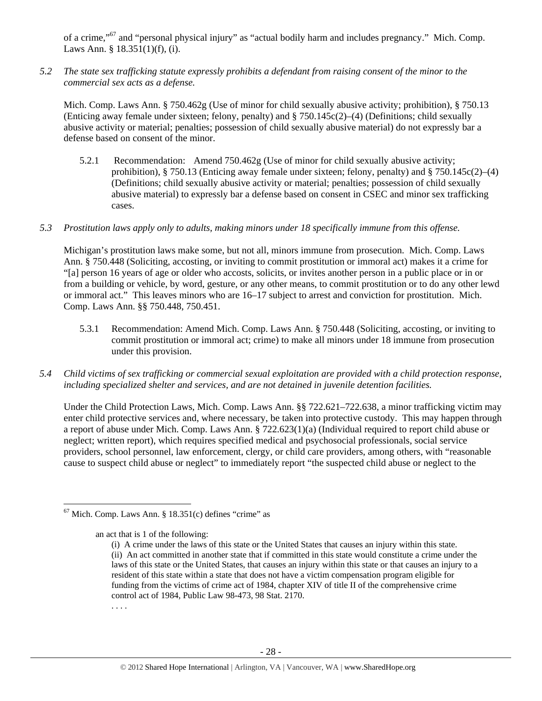of a crime,"67 and "personal physical injury" as "actual bodily harm and includes pregnancy." Mich. Comp. Laws Ann. § 18.351(1)(f), (i).

*5.2 The state sex trafficking statute expressly prohibits a defendant from raising consent of the minor to the commercial sex acts as a defense.* 

Mich. Comp. Laws Ann. § 750.462g (Use of minor for child sexually abusive activity; prohibition), § 750.13 (Enticing away female under sixteen; felony, penalty) and § 750.145c(2)–(4) (Definitions; child sexually abusive activity or material; penalties; possession of child sexually abusive material) do not expressly bar a defense based on consent of the minor.

5.2.1 Recommendation: Amend 750.462g (Use of minor for child sexually abusive activity; prohibition),  $\S$  750.13 (Enticing away female under sixteen; felony, penalty) and  $\S$  750.145c(2)–(4) (Definitions; child sexually abusive activity or material; penalties; possession of child sexually abusive material) to expressly bar a defense based on consent in CSEC and minor sex trafficking cases.

#### *5.3 Prostitution laws apply only to adults, making minors under 18 specifically immune from this offense.*

Michigan's prostitution laws make some, but not all, minors immune from prosecution. Mich. Comp. Laws Ann. § 750.448 (Soliciting, accosting, or inviting to commit prostitution or immoral act) makes it a crime for "[a] person 16 years of age or older who accosts, solicits, or invites another person in a public place or in or from a building or vehicle, by word, gesture, or any other means, to commit prostitution or to do any other lewd or immoral act." This leaves minors who are 16–17 subject to arrest and conviction for prostitution. Mich. Comp. Laws Ann. §§ 750.448, 750.451.

- 5.3.1 Recommendation: Amend Mich. Comp. Laws Ann. § 750.448 (Soliciting, accosting, or inviting to commit prostitution or immoral act; crime) to make all minors under 18 immune from prosecution under this provision.
- *5.4 Child victims of sex trafficking or commercial sexual exploitation are provided with a child protection response, including specialized shelter and services, and are not detained in juvenile detention facilities.*

Under the Child Protection Laws, Mich. Comp. Laws Ann. §§ 722.621–722.638, a minor trafficking victim may enter child protective services and, where necessary, be taken into protective custody. This may happen through a report of abuse under Mich. Comp. Laws Ann. § 722.623(1)(a) (Individual required to report child abuse or neglect; written report), which requires specified medical and psychosocial professionals, social service providers, school personnel, law enforcement, clergy, or child care providers, among others, with "reasonable cause to suspect child abuse or neglect" to immediately report "the suspected child abuse or neglect to the

 $67$  Mich. Comp. Laws Ann. § 18.351(c) defines "crime" as

an act that is 1 of the following:

<sup>(</sup>i) A crime under the laws of this state or the United States that causes an injury within this state. (ii) An act committed in another state that if committed in this state would constitute a crime under the laws of this state or the United States, that causes an injury within this state or that causes an injury to a resident of this state within a state that does not have a victim compensation program eligible for funding from the victims of crime act of 1984, chapter XIV of title II of the comprehensive crime control act of 1984, Public Law 98-473, 98 Stat. 2170.

<sup>. . . .</sup>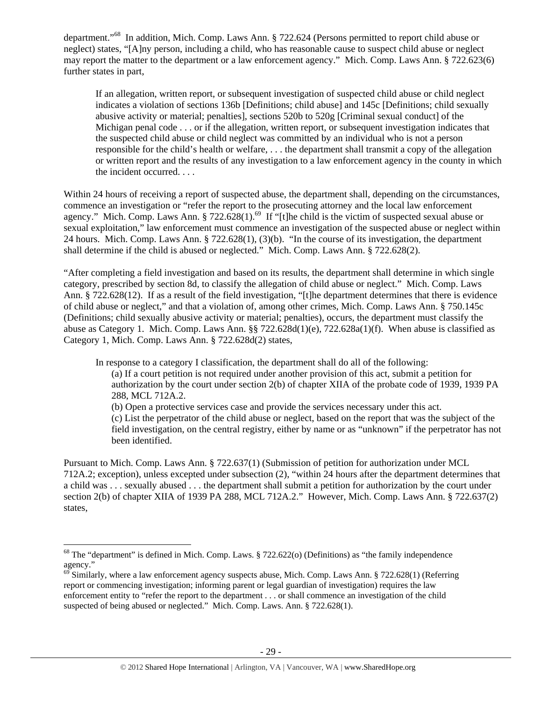department."68 In addition, Mich. Comp. Laws Ann. § 722.624 (Persons permitted to report child abuse or neglect) states, "[A]ny person, including a child, who has reasonable cause to suspect child abuse or neglect may report the matter to the department or a law enforcement agency." Mich. Comp. Laws Ann. § 722.623(6) further states in part,

If an allegation, written report, or subsequent investigation of suspected child abuse or child neglect indicates a violation of sections 136b [Definitions; child abuse] and 145c [Definitions; child sexually abusive activity or material; penalties], sections 520b to 520g [Criminal sexual conduct] of the Michigan penal code . . . or if the allegation, written report, or subsequent investigation indicates that the suspected child abuse or child neglect was committed by an individual who is not a person responsible for the child's health or welfare, . . . the department shall transmit a copy of the allegation or written report and the results of any investigation to a law enforcement agency in the county in which the incident occurred. . . .

Within 24 hours of receiving a report of suspected abuse, the department shall, depending on the circumstances, commence an investigation or "refer the report to the prosecuting attorney and the local law enforcement agency." Mich. Comp. Laws Ann. § 722.628(1).<sup>69</sup> If "[t]he child is the victim of suspected sexual abuse or sexual exploitation," law enforcement must commence an investigation of the suspected abuse or neglect within 24 hours. Mich. Comp. Laws Ann. § 722.628(1), (3)(b). "In the course of its investigation, the department shall determine if the child is abused or neglected." Mich. Comp. Laws Ann. § 722.628(2).

"After completing a field investigation and based on its results, the department shall determine in which single category, prescribed by section 8d, to classify the allegation of child abuse or neglect." Mich. Comp. Laws Ann. § 722.628(12). If as a result of the field investigation, "[t]he department determines that there is evidence of child abuse or neglect," and that a violation of, among other crimes, Mich. Comp. Laws Ann. § 750.145c (Definitions; child sexually abusive activity or material; penalties), occurs, the department must classify the abuse as Category 1. Mich. Comp. Laws Ann. §§ 722.628d(1)(e), 722.628a(1)(f). When abuse is classified as Category 1, Mich. Comp. Laws Ann. § 722.628d(2) states,

In response to a category I classification, the department shall do all of the following:

(a) If a court petition is not required under another provision of this act, submit a petition for authorization by the court under section 2(b) of chapter XIIA of the probate code of 1939, 1939 PA 288, MCL 712A.2.

(b) Open a protective services case and provide the services necessary under this act. (c) List the perpetrator of the child abuse or neglect, based on the report that was the subject of the

field investigation, on the central registry, either by name or as "unknown" if the perpetrator has not been identified.

Pursuant to Mich. Comp. Laws Ann. § 722.637(1) (Submission of petition for authorization under MCL 712A.2; exception), unless excepted under subsection (2), "within 24 hours after the department determines that a child was . . . sexually abused . . . the department shall submit a petition for authorization by the court under section 2(b) of chapter XIIA of 1939 PA 288, MCL 712A.2." However, Mich. Comp. Laws Ann. § 722.637(2) states,

 $68$  The "department" is defined in Mich. Comp. Laws. § 722.622(o) (Definitions) as "the family independence agency."

 $^{69}$  Similarly, where a law enforcement agency suspects abuse, Mich. Comp. Laws Ann. § 722.628(1) (Referring report or commencing investigation; informing parent or legal guardian of investigation) requires the law enforcement entity to "refer the report to the department . . . or shall commence an investigation of the child suspected of being abused or neglected." Mich. Comp. Laws. Ann. § 722.628(1).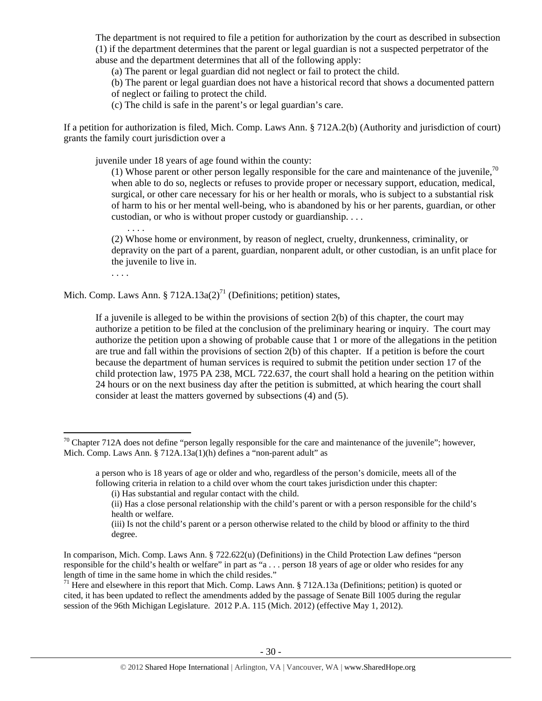The department is not required to file a petition for authorization by the court as described in subsection (1) if the department determines that the parent or legal guardian is not a suspected perpetrator of the abuse and the department determines that all of the following apply:

(a) The parent or legal guardian did not neglect or fail to protect the child.

(b) The parent or legal guardian does not have a historical record that shows a documented pattern of neglect or failing to protect the child.

(c) The child is safe in the parent's or legal guardian's care.

If a petition for authorization is filed, Mich. Comp. Laws Ann. § 712A.2(b) (Authority and jurisdiction of court) grants the family court jurisdiction over a

juvenile under 18 years of age found within the county:

(1) Whose parent or other person legally responsible for the care and maintenance of the juvenile,  $^{70}$ when able to do so, neglects or refuses to provide proper or necessary support, education, medical, surgical, or other care necessary for his or her health or morals, who is subject to a substantial risk of harm to his or her mental well-being, who is abandoned by his or her parents, guardian, or other custodian, or who is without proper custody or guardianship. . . .

(2) Whose home or environment, by reason of neglect, cruelty, drunkenness, criminality, or depravity on the part of a parent, guardian, nonparent adult, or other custodian, is an unfit place for the juvenile to live in.

. . . .

. . . .

Mich. Comp. Laws Ann. § 712A.13a(2)<sup>71</sup> (Definitions; petition) states,

If a juvenile is alleged to be within the provisions of section  $2(b)$  of this chapter, the court may authorize a petition to be filed at the conclusion of the preliminary hearing or inquiry. The court may authorize the petition upon a showing of probable cause that 1 or more of the allegations in the petition are true and fall within the provisions of section 2(b) of this chapter. If a petition is before the court because the department of human services is required to submit the petition under section 17 of the child protection law, 1975 PA 238, MCL 722.637, the court shall hold a hearing on the petition within 24 hours or on the next business day after the petition is submitted, at which hearing the court shall consider at least the matters governed by subsections (4) and (5).

<sup>71</sup> Here and elsewhere in this report that Mich. Comp. Laws Ann.  $\S 712A.13a$  (Definitions; petition) is quoted or cited, it has been updated to reflect the amendments added by the passage of Senate Bill 1005 during the regular session of the 96th Michigan Legislature. 2012 P.A. 115 (Mich. 2012) (effective May 1, 2012).

 $70$  Chapter 712A does not define "person legally responsible for the care and maintenance of the juvenile"; however, Mich. Comp. Laws Ann. § 712A.13a(1)(h) defines a "non-parent adult" as

a person who is 18 years of age or older and who, regardless of the person's domicile, meets all of the following criteria in relation to a child over whom the court takes jurisdiction under this chapter:

<sup>(</sup>i) Has substantial and regular contact with the child.

<sup>(</sup>ii) Has a close personal relationship with the child's parent or with a person responsible for the child's health or welfare.

<sup>(</sup>iii) Is not the child's parent or a person otherwise related to the child by blood or affinity to the third degree.

In comparison, Mich. Comp. Laws Ann. § 722.622(u) (Definitions) in the Child Protection Law defines "person responsible for the child's health or welfare" in part as "a . . . person 18 years of age or older who resides for any length of time in the same home in which the child resides."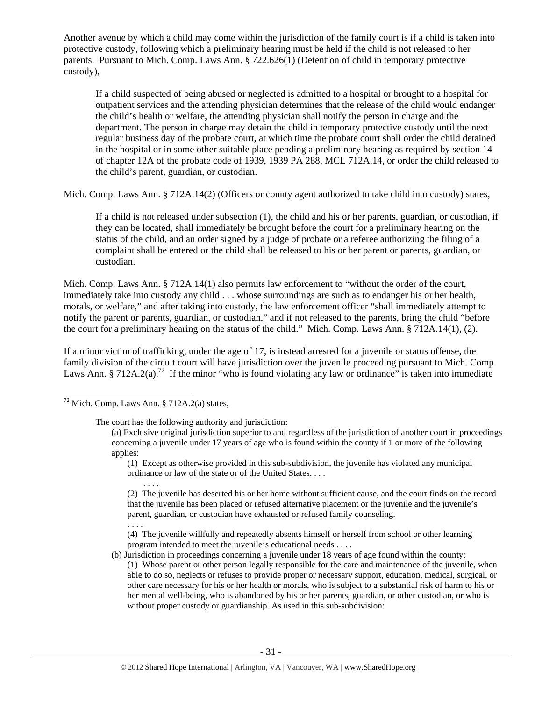Another avenue by which a child may come within the jurisdiction of the family court is if a child is taken into protective custody, following which a preliminary hearing must be held if the child is not released to her parents. Pursuant to Mich. Comp. Laws Ann. § 722.626(1) (Detention of child in temporary protective custody),

If a child suspected of being abused or neglected is admitted to a hospital or brought to a hospital for outpatient services and the attending physician determines that the release of the child would endanger the child's health or welfare, the attending physician shall notify the person in charge and the department. The person in charge may detain the child in temporary protective custody until the next regular business day of the probate court, at which time the probate court shall order the child detained in the hospital or in some other suitable place pending a preliminary hearing as required by section 14 of chapter 12A of the probate code of 1939, 1939 PA 288, MCL 712A.14, or order the child released to the child's parent, guardian, or custodian.

Mich. Comp. Laws Ann. § 712A.14(2) (Officers or county agent authorized to take child into custody) states,

If a child is not released under subsection (1), the child and his or her parents, guardian, or custodian, if they can be located, shall immediately be brought before the court for a preliminary hearing on the status of the child, and an order signed by a judge of probate or a referee authorizing the filing of a complaint shall be entered or the child shall be released to his or her parent or parents, guardian, or custodian.

Mich. Comp. Laws Ann. § 712A.14(1) also permits law enforcement to "without the order of the court, immediately take into custody any child . . . whose surroundings are such as to endanger his or her health, morals, or welfare," and after taking into custody, the law enforcement officer "shall immediately attempt to notify the parent or parents, guardian, or custodian," and if not released to the parents, bring the child "before the court for a preliminary hearing on the status of the child." Mich. Comp. Laws Ann. § 712A.14(1), (2).

If a minor victim of trafficking, under the age of 17, is instead arrested for a juvenile or status offense, the family division of the circuit court will have jurisdiction over the juvenile proceeding pursuant to Mich. Comp. Laws Ann. § 712A.2(a).<sup>72</sup> If the minor "who is found violating any law or ordinance" is taken into immediate

. . . .

(1) Except as otherwise provided in this sub-subdivision, the juvenile has violated any municipal ordinance or law of the state or of the United States. . . .

(2) The juvenile has deserted his or her home without sufficient cause, and the court finds on the record that the juvenile has been placed or refused alternative placement or the juvenile and the juvenile's parent, guardian, or custodian have exhausted or refused family counseling.

. . . . (4) The juvenile willfully and repeatedly absents himself or herself from school or other learning program intended to meet the juvenile's educational needs . . . .

(b) Jurisdiction in proceedings concerning a juvenile under 18 years of age found within the county:

(1) Whose parent or other person legally responsible for the care and maintenance of the juvenile, when able to do so, neglects or refuses to provide proper or necessary support, education, medical, surgical, or other care necessary for his or her health or morals, who is subject to a substantial risk of harm to his or her mental well-being, who is abandoned by his or her parents, guardian, or other custodian, or who is without proper custody or guardianship. As used in this sub-subdivision:

 $72$  Mich. Comp. Laws Ann. § 712A.2(a) states,

The court has the following authority and jurisdiction:

<sup>(</sup>a) Exclusive original jurisdiction superior to and regardless of the jurisdiction of another court in proceedings concerning a juvenile under 17 years of age who is found within the county if 1 or more of the following applies: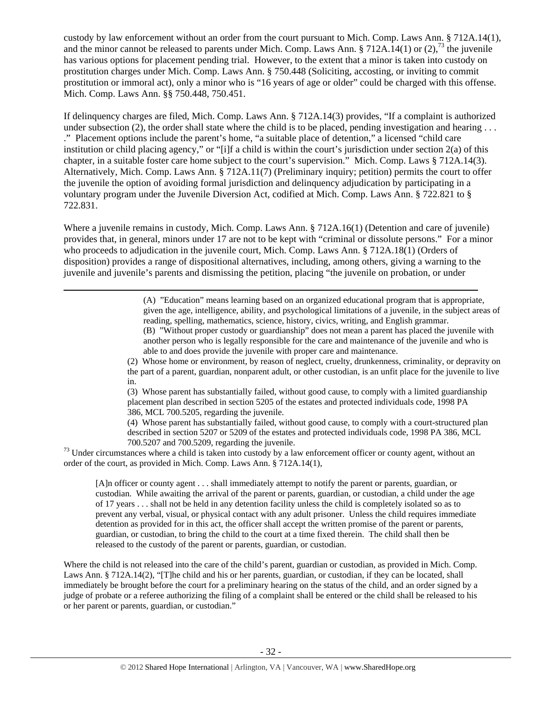custody by law enforcement without an order from the court pursuant to Mich. Comp. Laws Ann. § 712A.14(1), and the minor cannot be released to parents under Mich. Comp. Laws Ann. § 712A.14(1) or (2),<sup>73</sup> the juvenile has various options for placement pending trial. However, to the extent that a minor is taken into custody on prostitution charges under Mich. Comp. Laws Ann. § 750.448 (Soliciting, accosting, or inviting to commit prostitution or immoral act), only a minor who is "16 years of age or older" could be charged with this offense. Mich. Comp. Laws Ann. §§ 750.448, 750.451.

If delinquency charges are filed, Mich. Comp. Laws Ann. § 712A.14(3) provides, "If a complaint is authorized under subsection (2), the order shall state where the child is to be placed, pending investigation and hearing ... ." Placement options include the parent's home, "a suitable place of detention," a licensed "child care institution or child placing agency," or "[i]f a child is within the court's jurisdiction under section 2(a) of this chapter, in a suitable foster care home subject to the court's supervision." Mich. Comp. Laws § 712A.14(3). Alternatively, Mich. Comp. Laws Ann. § 712A.11(7) (Preliminary inquiry; petition) permits the court to offer the juvenile the option of avoiding formal jurisdiction and delinquency adjudication by participating in a voluntary program under the Juvenile Diversion Act, codified at Mich. Comp. Laws Ann. § 722.821 to § 722.831.

Where a juvenile remains in custody, Mich. Comp. Laws Ann. § 712A.16(1) (Detention and care of juvenile) provides that, in general, minors under 17 are not to be kept with "criminal or dissolute persons." For a minor who proceeds to adjudication in the juvenile court, Mich. Comp. Laws Ann. § 712A.18(1) (Orders of disposition) provides a range of dispositional alternatives, including, among others, giving a warning to the juvenile and juvenile's parents and dismissing the petition, placing "the juvenile on probation, or under

<u> 1989 - Andrea Santa Alemania, poeta esperanto-se especial de la contrada de la contrada de la contrada de la</u>

(A) "Education" means learning based on an organized educational program that is appropriate, given the age, intelligence, ability, and psychological limitations of a juvenile, in the subject areas of reading, spelling, mathematics, science, history, civics, writing, and English grammar. (B) "Without proper custody or guardianship" does not mean a parent has placed the juvenile with another person who is legally responsible for the care and maintenance of the juvenile and who is able to and does provide the juvenile with proper care and maintenance.

(2) Whose home or environment, by reason of neglect, cruelty, drunkenness, criminality, or depravity on the part of a parent, guardian, nonparent adult, or other custodian, is an unfit place for the juvenile to live in.

(3) Whose parent has substantially failed, without good cause, to comply with a limited guardianship placement plan described in section 5205 of the estates and protected individuals code, 1998 PA 386, MCL 700.5205, regarding the juvenile.

(4) Whose parent has substantially failed, without good cause, to comply with a court-structured plan described in section 5207 or 5209 of the estates and protected individuals code, 1998 PA 386, MCL 73 Under circumstances where a child is taken into custody by a law enforcement officer or county agent, without an <sup>73</sup> Under circumstances where a child is taken into custody by a law enforcement officer or county agent,

order of the court, as provided in Mich. Comp. Laws Ann. § 712A.14(1),

[A]n officer or county agent . . . shall immediately attempt to notify the parent or parents, guardian, or custodian. While awaiting the arrival of the parent or parents, guardian, or custodian, a child under the age of 17 years . . . shall not be held in any detention facility unless the child is completely isolated so as to prevent any verbal, visual, or physical contact with any adult prisoner. Unless the child requires immediate detention as provided for in this act, the officer shall accept the written promise of the parent or parents, guardian, or custodian, to bring the child to the court at a time fixed therein. The child shall then be released to the custody of the parent or parents, guardian, or custodian.

Where the child is not released into the care of the child's parent, guardian or custodian, as provided in Mich. Comp. Laws Ann. § 712A.14(2), "[T]he child and his or her parents, guardian, or custodian, if they can be located, shall immediately be brought before the court for a preliminary hearing on the status of the child, and an order signed by a judge of probate or a referee authorizing the filing of a complaint shall be entered or the child shall be released to his or her parent or parents, guardian, or custodian."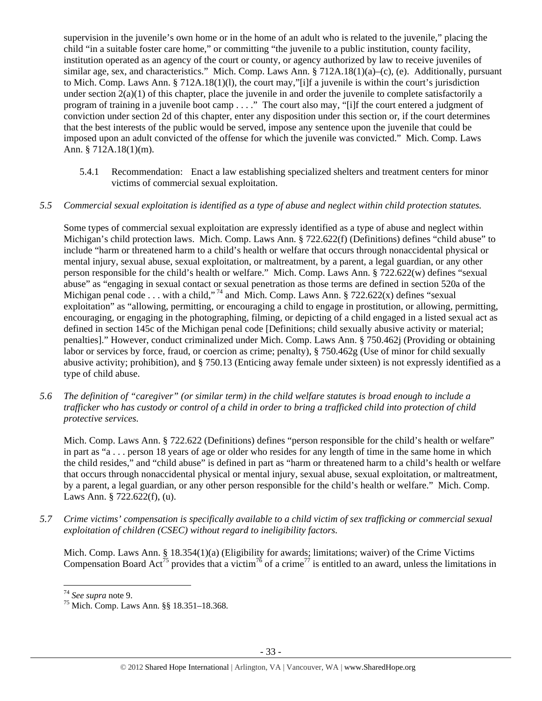supervision in the juvenile's own home or in the home of an adult who is related to the juvenile," placing the child "in a suitable foster care home," or committing "the juvenile to a public institution, county facility, institution operated as an agency of the court or county, or agency authorized by law to receive juveniles of similar age, sex, and characteristics." Mich. Comp. Laws Ann. § 712A.18(1)(a)–(c), (e). Additionally, pursuant to Mich. Comp. Laws Ann. § 712A.18(1)(l), the court may,"[i]f a juvenile is within the court's jurisdiction under section  $2(a)(1)$  of this chapter, place the juvenile in and order the juvenile to complete satisfactorily a program of training in a juvenile boot camp . . . ." The court also may, "[i]f the court entered a judgment of conviction under section 2d of this chapter, enter any disposition under this section or, if the court determines that the best interests of the public would be served, impose any sentence upon the juvenile that could be imposed upon an adult convicted of the offense for which the juvenile was convicted." Mich. Comp. Laws Ann. § 712A.18(1)(m).

5.4.1 Recommendation: Enact a law establishing specialized shelters and treatment centers for minor victims of commercial sexual exploitation.

## *5.5 Commercial sexual exploitation is identified as a type of abuse and neglect within child protection statutes.*

Some types of commercial sexual exploitation are expressly identified as a type of abuse and neglect within Michigan's child protection laws. Mich. Comp. Laws Ann. § 722.622(f) (Definitions) defines "child abuse" to include "harm or threatened harm to a child's health or welfare that occurs through nonaccidental physical or mental injury, sexual abuse, sexual exploitation, or maltreatment, by a parent, a legal guardian, or any other person responsible for the child's health or welfare." Mich. Comp. Laws Ann. § 722.622(w) defines "sexual abuse" as "engaging in sexual contact or sexual penetration as those terms are defined in section 520a of the Michigan penal code . . . with a child,"<sup>74</sup> and Mich. Comp. Laws Ann. § 722.622(x) defines "sexual exploitation" as "allowing, permitting, or encouraging a child to engage in prostitution, or allowing, permitting, encouraging, or engaging in the photographing, filming, or depicting of a child engaged in a listed sexual act as defined in section 145c of the Michigan penal code [Definitions; child sexually abusive activity or material; penalties]." However, conduct criminalized under Mich. Comp. Laws Ann. § 750.462j (Providing or obtaining labor or services by force, fraud, or coercion as crime; penalty), § 750.462g (Use of minor for child sexually abusive activity; prohibition), and § 750.13 (Enticing away female under sixteen) is not expressly identified as a type of child abuse.

*5.6 The definition of "caregiver" (or similar term) in the child welfare statutes is broad enough to include a trafficker who has custody or control of a child in order to bring a trafficked child into protection of child protective services.* 

Mich. Comp. Laws Ann. § 722.622 (Definitions) defines "person responsible for the child's health or welfare" in part as "a . . . person 18 years of age or older who resides for any length of time in the same home in which the child resides," and "child abuse" is defined in part as "harm or threatened harm to a child's health or welfare that occurs through nonaccidental physical or mental injury, sexual abuse, sexual exploitation, or maltreatment, by a parent, a legal guardian, or any other person responsible for the child's health or welfare." Mich. Comp. Laws Ann. § 722.622(f), (u).

*5.7 Crime victims' compensation is specifically available to a child victim of sex trafficking or commercial sexual exploitation of children (CSEC) without regard to ineligibility factors.* 

Mich. Comp. Laws Ann. § 18.354(1)(a) (Eligibility for awards; limitations; waiver) of the Crime Victims Compensation Board Act<sup>75</sup> provides that a victim<sup>76</sup> of a crime<sup>77</sup> is entitled to an award, unless the limitations in

 $74$  See supra note 9.

<sup>&</sup>lt;sup>75</sup> Mich. Comp. Laws Ann. §§ 18.351–18.368.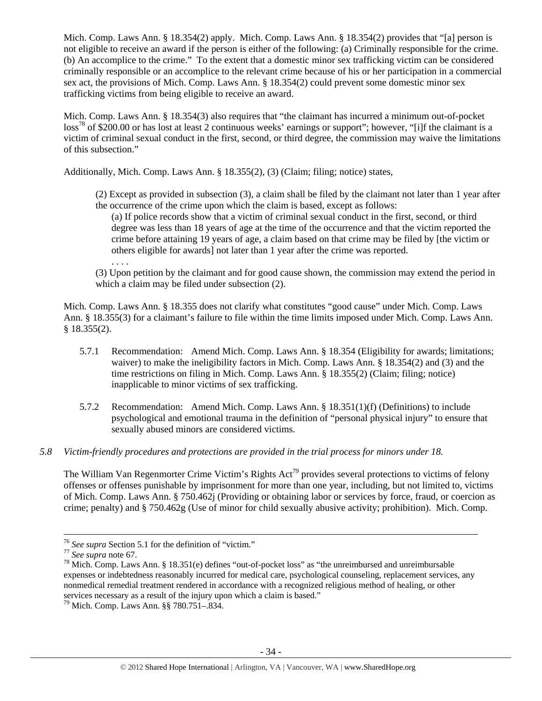Mich. Comp. Laws Ann. § 18.354(2) apply. Mich. Comp. Laws Ann. § 18.354(2) provides that "[a] person is not eligible to receive an award if the person is either of the following: (a) Criminally responsible for the crime. (b) An accomplice to the crime." To the extent that a domestic minor sex trafficking victim can be considered criminally responsible or an accomplice to the relevant crime because of his or her participation in a commercial sex act, the provisions of Mich. Comp. Laws Ann. § 18.354(2) could prevent some domestic minor sex trafficking victims from being eligible to receive an award.

Mich. Comp. Laws Ann. § 18.354(3) also requires that "the claimant has incurred a minimum out-of-pocket loss<sup>78</sup> of \$200.00 or has lost at least 2 continuous weeks' earnings or support"; however, "[i]f the claimant is a victim of criminal sexual conduct in the first, second, or third degree, the commission may waive the limitations of this subsection."

Additionally, Mich. Comp. Laws Ann. § 18.355(2), (3) (Claim; filing; notice) states,

(2) Except as provided in subsection (3), a claim shall be filed by the claimant not later than 1 year after the occurrence of the crime upon which the claim is based, except as follows:

(a) If police records show that a victim of criminal sexual conduct in the first, second, or third degree was less than 18 years of age at the time of the occurrence and that the victim reported the crime before attaining 19 years of age, a claim based on that crime may be filed by [the victim or others eligible for awards] not later than 1 year after the crime was reported.

(3) Upon petition by the claimant and for good cause shown, the commission may extend the period in which a claim may be filed under subsection (2).

Mich. Comp. Laws Ann. § 18.355 does not clarify what constitutes "good cause" under Mich. Comp. Laws Ann. § 18.355(3) for a claimant's failure to file within the time limits imposed under Mich. Comp. Laws Ann. § 18.355(2).

- 5.7.1 Recommendation: Amend Mich. Comp. Laws Ann. § 18.354 (Eligibility for awards; limitations; waiver) to make the ineligibility factors in Mich. Comp. Laws Ann. § 18.354(2) and (3) and the time restrictions on filing in Mich. Comp. Laws Ann. § 18.355(2) (Claim; filing; notice) inapplicable to minor victims of sex trafficking.
- 5.7.2 Recommendation: Amend Mich. Comp. Laws Ann. § 18.351(1)(f) (Definitions) to include psychological and emotional trauma in the definition of "personal physical injury" to ensure that sexually abused minors are considered victims.

#### *5.8 Victim-friendly procedures and protections are provided in the trial process for minors under 18.*

The William Van Regenmorter Crime Victim's Rights Act<sup>79</sup> provides several protections to victims of felony offenses or offenses punishable by imprisonment for more than one year, including, but not limited to, victims of Mich. Comp. Laws Ann. § 750.462j (Providing or obtaining labor or services by force, fraud, or coercion as crime; penalty) and § 750.462g (Use of minor for child sexually abusive activity; prohibition). Mich. Comp.

. . . .

<sup>&</sup>lt;sup>76</sup> *See supra* Section 5.1 for the definition of "victim."<br><sup>77</sup> *See supra* note 67.<br><sup>78</sup> Mich. Comp. Laws Ann. § 18.351(e) defines "out-of-pocket loss" as "the unreimbursed and unreimbursable expenses or indebtedness reasonably incurred for medical care, psychological counseling, replacement services, any nonmedical remedial treatment rendered in accordance with a recognized religious method of healing, or other services necessary as a result of the injury upon which a claim is based."<br><sup>79</sup> Mich. Comp. Laws Ann. §§ 780.751–.834.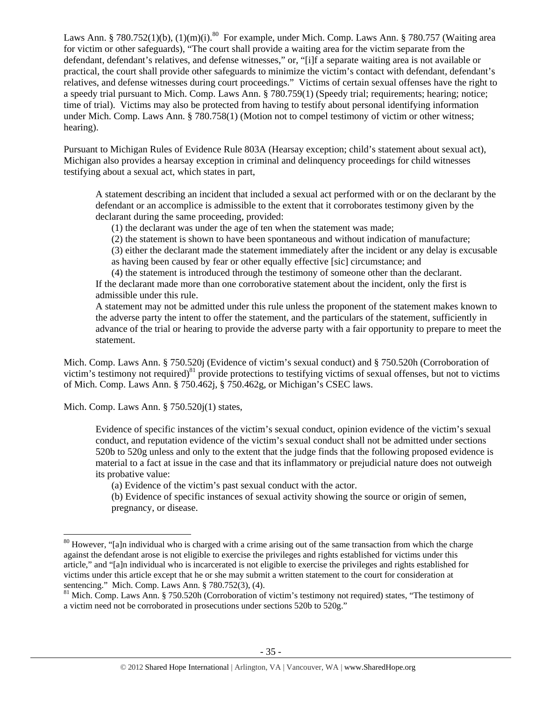Laws Ann. § 780.752(1)(b), (1)(m)(i).<sup>80</sup> For example, under Mich. Comp. Laws Ann. § 780.757 (Waiting area for victim or other safeguards), "The court shall provide a waiting area for the victim separate from the defendant, defendant's relatives, and defense witnesses," or, "[i]f a separate waiting area is not available or practical, the court shall provide other safeguards to minimize the victim's contact with defendant, defendant's relatives, and defense witnesses during court proceedings." Victims of certain sexual offenses have the right to a speedy trial pursuant to Mich. Comp. Laws Ann. § 780.759(1) (Speedy trial; requirements; hearing; notice; time of trial). Victims may also be protected from having to testify about personal identifying information under Mich. Comp. Laws Ann. § 780.758(1) (Motion not to compel testimony of victim or other witness; hearing).

Pursuant to Michigan Rules of Evidence Rule 803A (Hearsay exception; child's statement about sexual act), Michigan also provides a hearsay exception in criminal and delinquency proceedings for child witnesses testifying about a sexual act, which states in part,

A statement describing an incident that included a sexual act performed with or on the declarant by the defendant or an accomplice is admissible to the extent that it corroborates testimony given by the declarant during the same proceeding, provided:

(1) the declarant was under the age of ten when the statement was made;

(2) the statement is shown to have been spontaneous and without indication of manufacture;

(3) either the declarant made the statement immediately after the incident or any delay is excusable as having been caused by fear or other equally effective [sic] circumstance; and

(4) the statement is introduced through the testimony of someone other than the declarant. If the declarant made more than one corroborative statement about the incident, only the first is admissible under this rule.

A statement may not be admitted under this rule unless the proponent of the statement makes known to the adverse party the intent to offer the statement, and the particulars of the statement, sufficiently in advance of the trial or hearing to provide the adverse party with a fair opportunity to prepare to meet the statement.

Mich. Comp. Laws Ann. § 750.520j (Evidence of victim's sexual conduct) and § 750.520h (Corroboration of victim's testimony not required)<sup>81</sup> provide protections to testifying victims of sexual offenses, but not to victims of Mich. Comp. Laws Ann. § 750.462j, § 750.462g, or Michigan's CSEC laws.

Mich. Comp. Laws Ann. § 750.520j(1) states,

Evidence of specific instances of the victim's sexual conduct, opinion evidence of the victim's sexual conduct, and reputation evidence of the victim's sexual conduct shall not be admitted under sections 520b to 520g unless and only to the extent that the judge finds that the following proposed evidence is material to a fact at issue in the case and that its inflammatory or prejudicial nature does not outweigh its probative value:

(a) Evidence of the victim's past sexual conduct with the actor.

(b) Evidence of specific instances of sexual activity showing the source or origin of semen, pregnancy, or disease.

<sup>&</sup>lt;sup>80</sup> However, "[a]n individual who is charged with a crime arising out of the same transaction from which the charge against the defendant arose is not eligible to exercise the privileges and rights established for victims under this article," and "[a]n individual who is incarcerated is not eligible to exercise the privileges and rights established for victims under this article except that he or she may submit a written statement to the court for consideration at sentencing." Mich. Comp. Laws Ann. § 780.752(3), (4).

 $81$  Mich. Comp. Laws Ann. § 750.520h (Corroboration of victim's testimony not required) states, "The testimony of a victim need not be corroborated in prosecutions under sections 520b to 520g."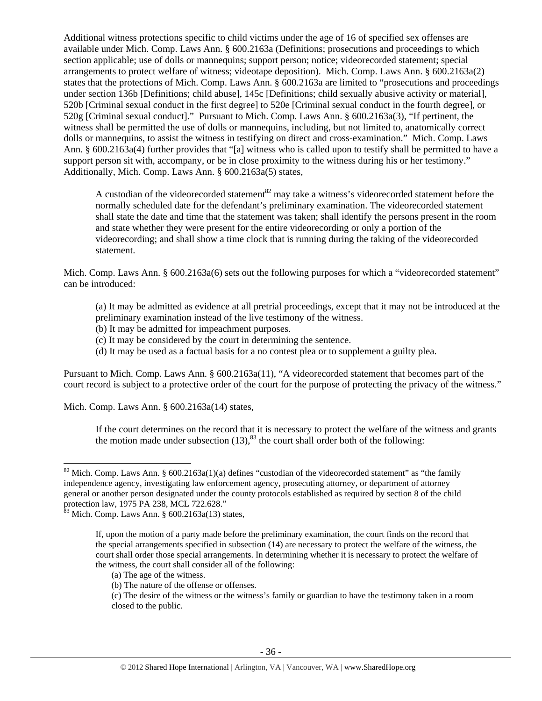Additional witness protections specific to child victims under the age of 16 of specified sex offenses are available under Mich. Comp. Laws Ann. § 600.2163a (Definitions; prosecutions and proceedings to which section applicable; use of dolls or mannequins; support person; notice; videorecorded statement; special arrangements to protect welfare of witness; videotape deposition). Mich. Comp. Laws Ann. § 600.2163a(2) states that the protections of Mich. Comp. Laws Ann. § 600.2163a are limited to "prosecutions and proceedings under section 136b [Definitions; child abuse], 145c [Definitions; child sexually abusive activity or material], 520b [Criminal sexual conduct in the first degree] to 520e [Criminal sexual conduct in the fourth degree], or 520g [Criminal sexual conduct]." Pursuant to Mich. Comp. Laws Ann. § 600.2163a(3), "If pertinent, the witness shall be permitted the use of dolls or mannequins, including, but not limited to, anatomically correct dolls or mannequins, to assist the witness in testifying on direct and cross-examination." Mich. Comp. Laws Ann. § 600.2163a(4) further provides that "[a] witness who is called upon to testify shall be permitted to have a support person sit with, accompany, or be in close proximity to the witness during his or her testimony." Additionally, Mich. Comp. Laws Ann. § 600.2163a(5) states,

A custodian of the videorecorded statement $82$  may take a witness's videorecorded statement before the normally scheduled date for the defendant's preliminary examination. The videorecorded statement shall state the date and time that the statement was taken; shall identify the persons present in the room and state whether they were present for the entire videorecording or only a portion of the videorecording; and shall show a time clock that is running during the taking of the videorecorded statement.

Mich. Comp. Laws Ann. § 600.2163a(6) sets out the following purposes for which a "videorecorded statement" can be introduced:

(a) It may be admitted as evidence at all pretrial proceedings, except that it may not be introduced at the preliminary examination instead of the live testimony of the witness.

- (b) It may be admitted for impeachment purposes.
- (c) It may be considered by the court in determining the sentence.
- (d) It may be used as a factual basis for a no contest plea or to supplement a guilty plea.

Pursuant to Mich. Comp. Laws Ann. § 600.2163a(11), "A videorecorded statement that becomes part of the court record is subject to a protective order of the court for the purpose of protecting the privacy of the witness."

Mich. Comp. Laws Ann. § 600.2163a(14) states,

If the court determines on the record that it is necessary to protect the welfare of the witness and grants the motion made under subsection  $(13)$ ,  $^{83}$  the court shall order both of the following:

 $82$  Mich. Comp. Laws Ann. § 600.2163a(1)(a) defines "custodian of the videorecorded statement" as "the family independence agency, investigating law enforcement agency, prosecuting attorney, or department of attorney general or another person designated under the county protocols established as required by section 8 of the child protection law, 1975 PA 238, MCL 722.628."

 $83$  Mich. Comp. Laws Ann. §  $600.2163a(13)$  states,

If, upon the motion of a party made before the preliminary examination, the court finds on the record that the special arrangements specified in subsection (14) are necessary to protect the welfare of the witness, the court shall order those special arrangements. In determining whether it is necessary to protect the welfare of the witness, the court shall consider all of the following:

<sup>(</sup>a) The age of the witness.

<sup>(</sup>b) The nature of the offense or offenses.

<sup>(</sup>c) The desire of the witness or the witness's family or guardian to have the testimony taken in a room closed to the public.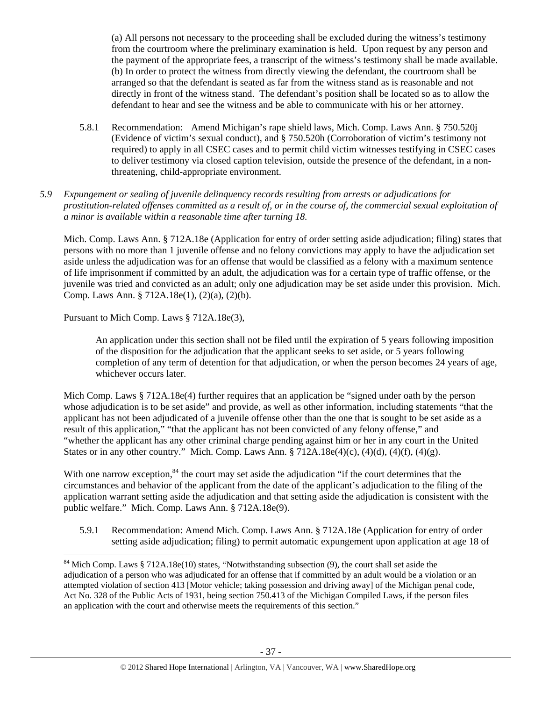(a) All persons not necessary to the proceeding shall be excluded during the witness's testimony from the courtroom where the preliminary examination is held. Upon request by any person and the payment of the appropriate fees, a transcript of the witness's testimony shall be made available. (b) In order to protect the witness from directly viewing the defendant, the courtroom shall be arranged so that the defendant is seated as far from the witness stand as is reasonable and not directly in front of the witness stand. The defendant's position shall be located so as to allow the defendant to hear and see the witness and be able to communicate with his or her attorney.

5.8.1 Recommendation: Amend Michigan's rape shield laws, Mich. Comp. Laws Ann. § 750.520j (Evidence of victim's sexual conduct), and § 750.520h (Corroboration of victim's testimony not required) to apply in all CSEC cases and to permit child victim witnesses testifying in CSEC cases to deliver testimony via closed caption television, outside the presence of the defendant, in a nonthreatening, child-appropriate environment.

## *5.9 Expungement or sealing of juvenile delinquency records resulting from arrests or adjudications for prostitution-related offenses committed as a result of, or in the course of, the commercial sexual exploitation of a minor is available within a reasonable time after turning 18.*

Mich. Comp. Laws Ann. § 712A.18e (Application for entry of order setting aside adjudication; filing) states that persons with no more than 1 juvenile offense and no felony convictions may apply to have the adjudication set aside unless the adjudication was for an offense that would be classified as a felony with a maximum sentence of life imprisonment if committed by an adult, the adjudication was for a certain type of traffic offense, or the juvenile was tried and convicted as an adult; only one adjudication may be set aside under this provision. Mich. Comp. Laws Ann. § 712A.18e(1), (2)(a), (2)(b).

Pursuant to Mich Comp. Laws § 712A.18e(3),

An application under this section shall not be filed until the expiration of 5 years following imposition of the disposition for the adjudication that the applicant seeks to set aside, or 5 years following completion of any term of detention for that adjudication, or when the person becomes 24 years of age, whichever occurs later.

Mich Comp. Laws § 712A.18e(4) further requires that an application be "signed under oath by the person whose adjudication is to be set aside" and provide, as well as other information, including statements "that the applicant has not been adjudicated of a juvenile offense other than the one that is sought to be set aside as a result of this application," "that the applicant has not been convicted of any felony offense," and "whether the applicant has any other criminal charge pending against him or her in any court in the United States or in any other country." Mich. Comp. Laws Ann. § 712A.18e(4)(c), (4)(d), (4)(f), (4)(g).

With one narrow exception,<sup>84</sup> the court may set aside the adjudication "if the court determines that the circumstances and behavior of the applicant from the date of the applicant's adjudication to the filing of the application warrant setting aside the adjudication and that setting aside the adjudication is consistent with the public welfare." Mich. Comp. Laws Ann. § 712A.18e(9).

5.9.1 Recommendation: Amend Mich. Comp. Laws Ann. § 712A.18e (Application for entry of order setting aside adjudication; filing) to permit automatic expungement upon application at age 18 of

<sup>&</sup>lt;sup>84</sup> Mich Comp. Laws § 712A.18e(10) states, "Notwithstanding subsection (9), the court shall set aside the adjudication of a person who was adjudicated for an offense that if committed by an adult would be a violation or an attempted violation of section 413 [Motor vehicle; taking possession and driving away] of the Michigan penal code, Act No. 328 of the Public Acts of 1931, being section 750.413 of the Michigan Compiled Laws, if the person files an application with the court and otherwise meets the requirements of this section."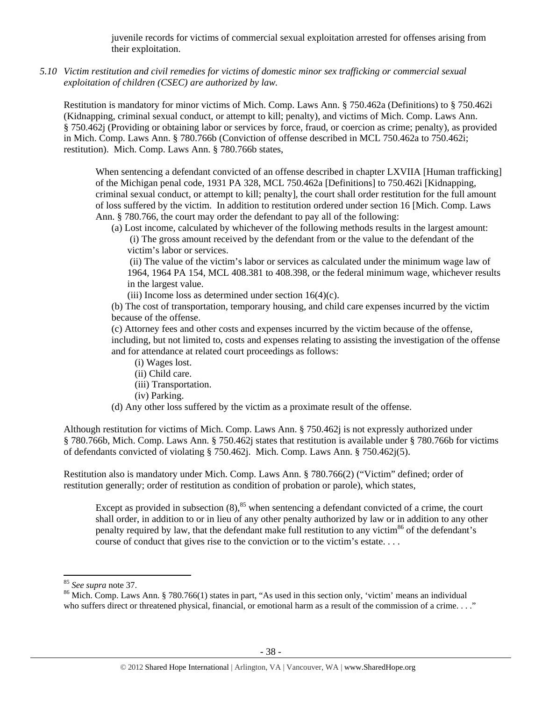juvenile records for victims of commercial sexual exploitation arrested for offenses arising from their exploitation.

*5.10 Victim restitution and civil remedies for victims of domestic minor sex trafficking or commercial sexual exploitation of children (CSEC) are authorized by law.* 

Restitution is mandatory for minor victims of Mich. Comp. Laws Ann. § 750.462a (Definitions) to § 750.462i (Kidnapping, criminal sexual conduct, or attempt to kill; penalty), and victims of Mich. Comp. Laws Ann. § 750.462j (Providing or obtaining labor or services by force, fraud, or coercion as crime; penalty), as provided in Mich. Comp. Laws Ann. § 780.766b (Conviction of offense described in MCL 750.462a to 750.462i; restitution). Mich. Comp. Laws Ann. § 780.766b states,

When sentencing a defendant convicted of an offense described in chapter LXVIIA [Human trafficking] of the Michigan penal code, 1931 PA 328, MCL 750.462a [Definitions] to 750.462i [Kidnapping, criminal sexual conduct, or attempt to kill; penalty], the court shall order restitution for the full amount of loss suffered by the victim. In addition to restitution ordered under section 16 [Mich. Comp. Laws Ann. § 780.766, the court may order the defendant to pay all of the following:

(a) Lost income, calculated by whichever of the following methods results in the largest amount:

 (i) The gross amount received by the defendant from or the value to the defendant of the victim's labor or services.

 (ii) The value of the victim's labor or services as calculated under the minimum wage law of 1964, 1964 PA 154, MCL 408.381 to 408.398, or the federal minimum wage, whichever results in the largest value.

(iii) Income loss as determined under section  $16(4)(c)$ .

(b) The cost of transportation, temporary housing, and child care expenses incurred by the victim because of the offense.

(c) Attorney fees and other costs and expenses incurred by the victim because of the offense, including, but not limited to, costs and expenses relating to assisting the investigation of the offense and for attendance at related court proceedings as follows:

- (i) Wages lost.
- (ii) Child care.
- (iii) Transportation.
- (iv) Parking.
- (d) Any other loss suffered by the victim as a proximate result of the offense.

Although restitution for victims of Mich. Comp. Laws Ann. § 750.462j is not expressly authorized under § 780.766b, Mich. Comp. Laws Ann. § 750.462j states that restitution is available under § 780.766b for victims of defendants convicted of violating § 750.462j. Mich. Comp. Laws Ann. § 750.462j(5).

Restitution also is mandatory under Mich. Comp. Laws Ann. § 780.766(2) ("Victim" defined; order of restitution generally; order of restitution as condition of probation or parole), which states,

Except as provided in subsection  $(8)$ ,<sup>85</sup> when sentencing a defendant convicted of a crime, the court shall order, in addition to or in lieu of any other penalty authorized by law or in addition to any other penalty required by law, that the defendant make full restitution to any victim<sup>86</sup> of the defendant's course of conduct that gives rise to the conviction or to the victim's estate. . . .

<sup>&</sup>lt;sup>85</sup> *See supra* note 37.<br><sup>86</sup> Mich. Comp. Laws Ann. § 780.766(1) states in part, "As used in this section only, 'victim' means an individual who suffers direct or threatened physical, financial, or emotional harm as a result of the commission of a crime. . . ."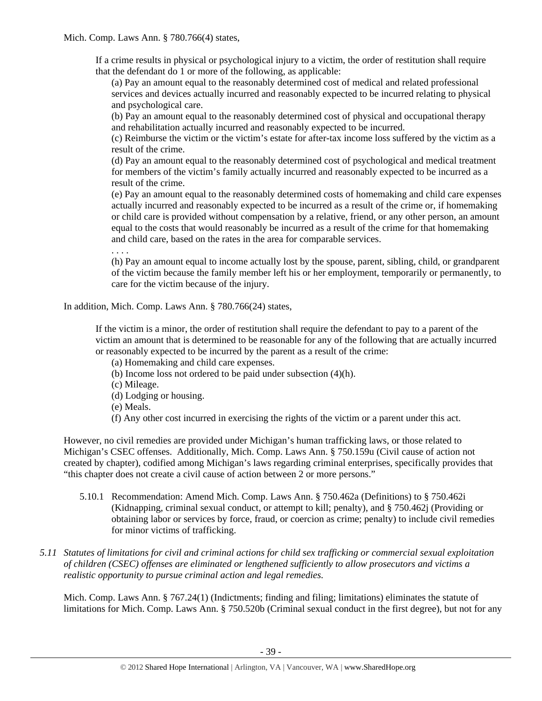If a crime results in physical or psychological injury to a victim, the order of restitution shall require that the defendant do 1 or more of the following, as applicable:

(a) Pay an amount equal to the reasonably determined cost of medical and related professional services and devices actually incurred and reasonably expected to be incurred relating to physical and psychological care.

(b) Pay an amount equal to the reasonably determined cost of physical and occupational therapy and rehabilitation actually incurred and reasonably expected to be incurred.

(c) Reimburse the victim or the victim's estate for after-tax income loss suffered by the victim as a result of the crime.

(d) Pay an amount equal to the reasonably determined cost of psychological and medical treatment for members of the victim's family actually incurred and reasonably expected to be incurred as a result of the crime.

(e) Pay an amount equal to the reasonably determined costs of homemaking and child care expenses actually incurred and reasonably expected to be incurred as a result of the crime or, if homemaking or child care is provided without compensation by a relative, friend, or any other person, an amount equal to the costs that would reasonably be incurred as a result of the crime for that homemaking and child care, based on the rates in the area for comparable services.

. . . .

(h) Pay an amount equal to income actually lost by the spouse, parent, sibling, child, or grandparent of the victim because the family member left his or her employment, temporarily or permanently, to care for the victim because of the injury.

In addition, Mich. Comp. Laws Ann. § 780.766(24) states,

If the victim is a minor, the order of restitution shall require the defendant to pay to a parent of the victim an amount that is determined to be reasonable for any of the following that are actually incurred or reasonably expected to be incurred by the parent as a result of the crime:

(a) Homemaking and child care expenses.

- (b) Income loss not ordered to be paid under subsection (4)(h).
- (c) Mileage.
- (d) Lodging or housing.
- (e) Meals.
- (f) Any other cost incurred in exercising the rights of the victim or a parent under this act.

However, no civil remedies are provided under Michigan's human trafficking laws, or those related to Michigan's CSEC offenses. Additionally, Mich. Comp. Laws Ann. § 750.159u (Civil cause of action not created by chapter), codified among Michigan's laws regarding criminal enterprises, specifically provides that "this chapter does not create a civil cause of action between 2 or more persons."

- 5.10.1 Recommendation: Amend Mich. Comp. Laws Ann. § 750.462a (Definitions) to § 750.462i (Kidnapping, criminal sexual conduct, or attempt to kill; penalty), and § 750.462j (Providing or obtaining labor or services by force, fraud, or coercion as crime; penalty) to include civil remedies for minor victims of trafficking.
- *5.11 Statutes of limitations for civil and criminal actions for child sex trafficking or commercial sexual exploitation of children (CSEC) offenses are eliminated or lengthened sufficiently to allow prosecutors and victims a realistic opportunity to pursue criminal action and legal remedies.*

Mich. Comp. Laws Ann. § 767.24(1) (Indictments; finding and filing; limitations) eliminates the statute of limitations for Mich. Comp. Laws Ann. § 750.520b (Criminal sexual conduct in the first degree), but not for any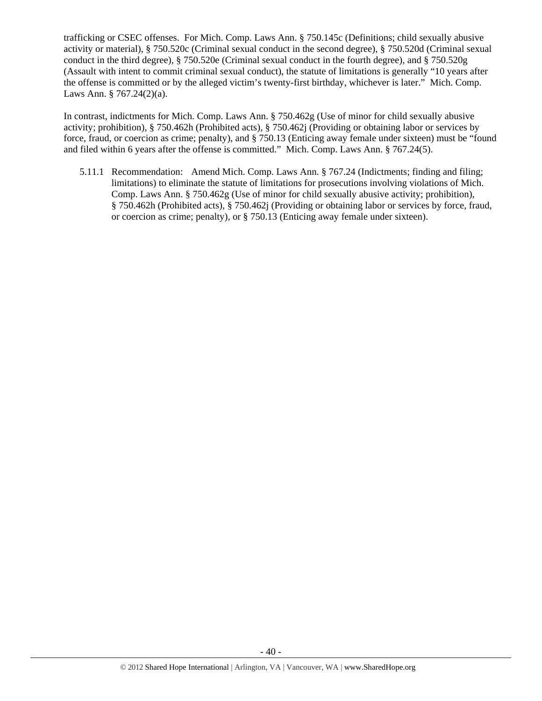trafficking or CSEC offenses. For Mich. Comp. Laws Ann. § 750.145c (Definitions; child sexually abusive activity or material), § 750.520c (Criminal sexual conduct in the second degree), § 750.520d (Criminal sexual conduct in the third degree), § 750.520e (Criminal sexual conduct in the fourth degree), and § 750.520g (Assault with intent to commit criminal sexual conduct), the statute of limitations is generally "10 years after the offense is committed or by the alleged victim's twenty-first birthday, whichever is later." Mich. Comp. Laws Ann. § 767.24(2)(a).

In contrast, indictments for Mich. Comp. Laws Ann. § 750.462g (Use of minor for child sexually abusive activity; prohibition), § 750.462h (Prohibited acts), § 750.462j (Providing or obtaining labor or services by force, fraud, or coercion as crime; penalty), and § 750.13 (Enticing away female under sixteen) must be "found and filed within 6 years after the offense is committed." Mich. Comp. Laws Ann. § 767.24(5).

5.11.1 Recommendation: Amend Mich. Comp. Laws Ann. § 767.24 (Indictments; finding and filing; limitations) to eliminate the statute of limitations for prosecutions involving violations of Mich. Comp. Laws Ann. § 750.462g (Use of minor for child sexually abusive activity; prohibition), § 750.462h (Prohibited acts), § 750.462j (Providing or obtaining labor or services by force, fraud, or coercion as crime; penalty), or § 750.13 (Enticing away female under sixteen).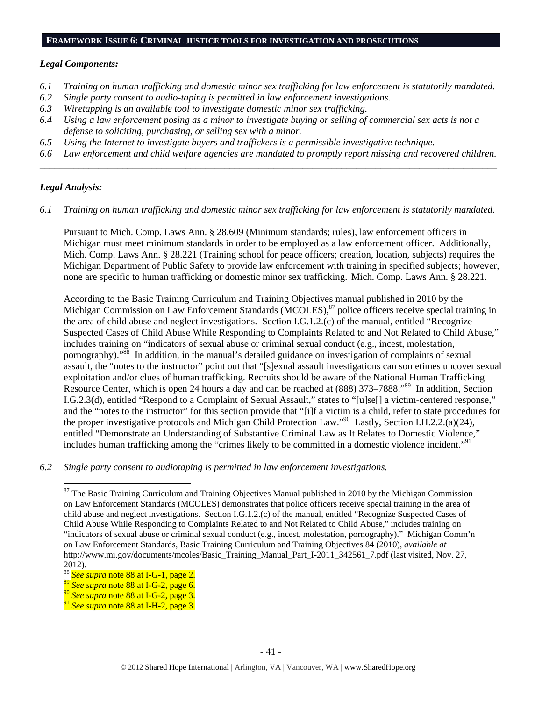#### **FRAMEWORK ISSUE 6: CRIMINAL JUSTICE TOOLS FOR INVESTIGATION AND PROSECUTIONS**

#### *Legal Components:*

- *6.1 Training on human trafficking and domestic minor sex trafficking for law enforcement is statutorily mandated.*
- *6.2 Single party consent to audio-taping is permitted in law enforcement investigations.*
- *6.3 Wiretapping is an available tool to investigate domestic minor sex trafficking.*
- *6.4 Using a law enforcement posing as a minor to investigate buying or selling of commercial sex acts is not a defense to soliciting, purchasing, or selling sex with a minor.*
- *6.5 Using the Internet to investigate buyers and traffickers is a permissible investigative technique.*
- *6.6 Law enforcement and child welfare agencies are mandated to promptly report missing and recovered children. \_\_\_\_\_\_\_\_\_\_\_\_\_\_\_\_\_\_\_\_\_\_\_\_\_\_\_\_\_\_\_\_\_\_\_\_\_\_\_\_\_\_\_\_\_\_\_\_\_\_\_\_\_\_\_\_\_\_\_\_\_\_\_\_\_\_\_\_\_\_\_\_\_\_\_\_\_\_\_\_\_\_\_\_\_\_\_\_\_\_\_\_\_\_*

#### *Legal Analysis:*

*6.1 Training on human trafficking and domestic minor sex trafficking for law enforcement is statutorily mandated.* 

Pursuant to Mich. Comp. Laws Ann. § 28.609 (Minimum standards; rules), law enforcement officers in Michigan must meet minimum standards in order to be employed as a law enforcement officer. Additionally, Mich. Comp. Laws Ann. § 28.221 (Training school for peace officers; creation, location, subjects) requires the Michigan Department of Public Safety to provide law enforcement with training in specified subjects; however, none are specific to human trafficking or domestic minor sex trafficking. Mich. Comp. Laws Ann. § 28.221.

According to the Basic Training Curriculum and Training Objectives manual published in 2010 by the Michigan Commission on Law Enforcement Standards (MCOLES),<sup>87</sup> police officers receive special training in the area of child abuse and neglect investigations. Section I.G.1.2.(c) of the manual, entitled "Recognize Suspected Cases of Child Abuse While Responding to Complaints Related to and Not Related to Child Abuse," includes training on "indicators of sexual abuse or criminal sexual conduct (e.g., incest, molestation, pornography)."88 In addition, in the manual's detailed guidance on investigation of complaints of sexual assault, the "notes to the instructor" point out that "[s]exual assault investigations can sometimes uncover sexual exploitation and/or clues of human trafficking. Recruits should be aware of the National Human Trafficking Resource Center, which is open 24 hours a day and can be reached at (888) 373–7888.<sup>89</sup> In addition, Section I.G.2.3(d), entitled "Respond to a Complaint of Sexual Assault," states to "[u]se[] a victim-centered response," and the "notes to the instructor" for this section provide that "[i]f a victim is a child, refer to state procedures for the proper investigative protocols and Michigan Child Protection Law."<sup>90</sup> Lastly, Section I.H.2.2.(a)(24), entitled "Demonstrate an Understanding of Substantive Criminal Law as It Relates to Domestic Violence," includes human trafficking among the "crimes likely to be committed in a domestic violence incident."91

*6.2 Single party consent to audiotaping is permitted in law enforcement investigations.* 

<sup>88</sup> *See supra* note 88 at I-G-1, page 2.

<sup>&</sup>lt;sup>87</sup> The Basic Training Curriculum and Training Objectives Manual published in 2010 by the Michigan Commission on Law Enforcement Standards (MCOLES) demonstrates that police officers receive special training in the area of child abuse and neglect investigations. Section I.G.1.2.(c) of the manual, entitled "Recognize Suspected Cases of Child Abuse While Responding to Complaints Related to and Not Related to Child Abuse," includes training on "indicators of sexual abuse or criminal sexual conduct (e.g., incest, molestation, pornography)." Michigan Comm'n on Law Enforcement Standards, Basic Training Curriculum and Training Objectives 84 (2010), *available at* http://www.mi.gov/documents/mcoles/Basic\_Training\_Manual\_Part\_I-2011\_342561\_7.pdf (last visited, Nov. 27, 2012).

<sup>89</sup> *See supra* note 88 at I-G-2, page 6.

<sup>90</sup> *See supra* note 88 at I-G-2, page 3.

<sup>91</sup> *See supra* note 88 at I-H-2, page 3.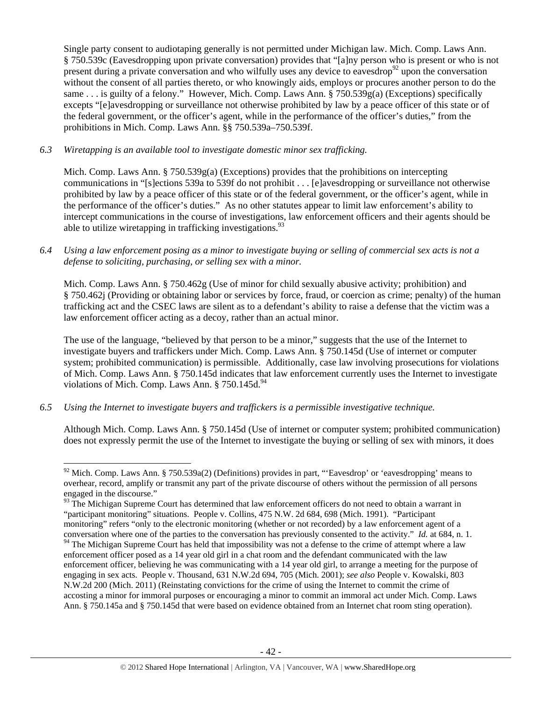Single party consent to audiotaping generally is not permitted under Michigan law. Mich. Comp. Laws Ann. § 750.539c (Eavesdropping upon private conversation) provides that "[a]ny person who is present or who is not present during a private conversation and who wilfully uses any device to eavesdrop<sup>92</sup> upon the conversation without the consent of all parties thereto, or who knowingly aids, employs or procures another person to do the same . . . is guilty of a felony." However, Mich. Comp. Laws Ann. § 750.539g(a) (Exceptions) specifically excepts "[e]avesdropping or surveillance not otherwise prohibited by law by a peace officer of this state or of the federal government, or the officer's agent, while in the performance of the officer's duties," from the prohibitions in Mich. Comp. Laws Ann. §§ 750.539a–750.539f.

#### *6.3 Wiretapping is an available tool to investigate domestic minor sex trafficking.*

Mich. Comp. Laws Ann.  $\S 750.539g(a)$  (Exceptions) provides that the prohibitions on intercepting communications in "[s]ections 539a to 539f do not prohibit . . . [e]avesdropping or surveillance not otherwise prohibited by law by a peace officer of this state or of the federal government, or the officer's agent, while in the performance of the officer's duties." As no other statutes appear to limit law enforcement's ability to intercept communications in the course of investigations, law enforcement officers and their agents should be able to utilize wiretapping in trafficking investigations.  $93$ 

#### *6.4 Using a law enforcement posing as a minor to investigate buying or selling of commercial sex acts is not a defense to soliciting, purchasing, or selling sex with a minor.*

Mich. Comp. Laws Ann. § 750.462g (Use of minor for child sexually abusive activity; prohibition) and § 750.462j (Providing or obtaining labor or services by force, fraud, or coercion as crime; penalty) of the human trafficking act and the CSEC laws are silent as to a defendant's ability to raise a defense that the victim was a law enforcement officer acting as a decoy, rather than an actual minor.

The use of the language, "believed by that person to be a minor," suggests that the use of the Internet to investigate buyers and traffickers under Mich. Comp. Laws Ann. § 750.145d (Use of internet or computer system; prohibited communication) is permissible. Additionally, case law involving prosecutions for violations of Mich. Comp. Laws Ann. § 750.145d indicates that law enforcement currently uses the Internet to investigate violations of Mich. Comp. Laws Ann.  $§$  750.145d.<sup>94</sup>

#### *6.5 Using the Internet to investigate buyers and traffickers is a permissible investigative technique.*

Although Mich. Comp. Laws Ann. § 750.145d (Use of internet or computer system; prohibited communication) does not expressly permit the use of the Internet to investigate the buying or selling of sex with minors, it does

 $92$  Mich. Comp. Laws Ann. § 750.539a(2) (Definitions) provides in part, "Eavesdrop' or 'eavesdropping' means to overhear, record, amplify or transmit any part of the private discourse of others without the permission of all persons engaged in the discourse."

<sup>&</sup>lt;sup>93</sup> The Michigan Supreme Court has determined that law enforcement officers do not need to obtain a warrant in "participant monitoring" situations. People v. Collins, 475 N.W. 2d 684, 698 (Mich. 1991). "Participant monitoring" refers "only to the electronic monitoring (whether or not recorded) by a law enforcement agent of a conversation where one of the parties to the conversation has previously consented to the activity." *Id.* at 684, n. 1.

<sup>&</sup>lt;sup>94</sup> The Michigan Supreme Court has held that impossibility was not a defense to the crime of attempt where a law enforcement officer posed as a 14 year old girl in a chat room and the defendant communicated with the law enforcement officer, believing he was communicating with a 14 year old girl, to arrange a meeting for the purpose of engaging in sex acts. People v. Thousand, 631 N.W.2d 694, 705 (Mich. 2001); *see also* People v. Kowalski, 803 N.W.2d 200 (Mich. 2011) (Reinstating convictions for the crime of using the Internet to commit the crime of accosting a minor for immoral purposes or encouraging a minor to commit an immoral act under Mich. Comp. Laws Ann. § 750.145a and § 750.145d that were based on evidence obtained from an Internet chat room sting operation).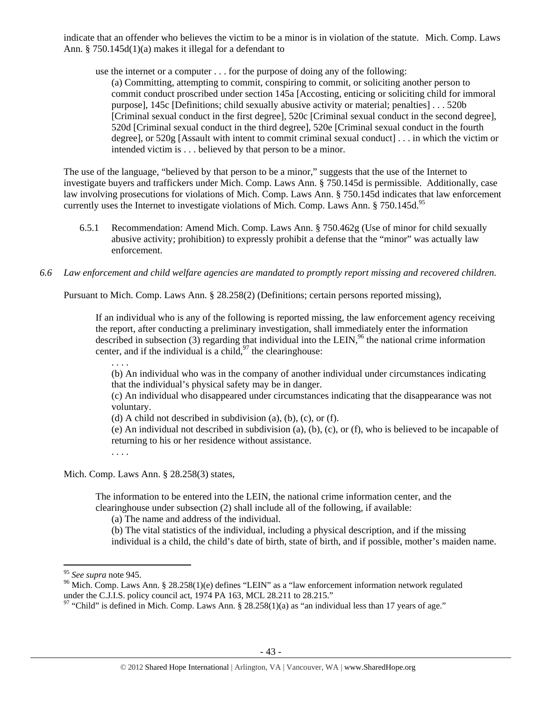indicate that an offender who believes the victim to be a minor is in violation of the statute. Mich. Comp. Laws Ann. § 750.145d(1)(a) makes it illegal for a defendant to

use the internet or a computer . . . for the purpose of doing any of the following: (a) Committing, attempting to commit, conspiring to commit, or soliciting another person to commit conduct proscribed under section 145a [Accosting, enticing or soliciting child for immoral purpose], 145c [Definitions; child sexually abusive activity or material; penalties] . . . 520b [Criminal sexual conduct in the first degree], 520c [Criminal sexual conduct in the second degree], 520d [Criminal sexual conduct in the third degree], 520e [Criminal sexual conduct in the fourth degree], or 520g [Assault with intent to commit criminal sexual conduct] . . . in which the victim or intended victim is . . . believed by that person to be a minor.

The use of the language, "believed by that person to be a minor," suggests that the use of the Internet to investigate buyers and traffickers under Mich. Comp. Laws Ann. § 750.145d is permissible. Additionally, case law involving prosecutions for violations of Mich. Comp. Laws Ann. § 750.145d indicates that law enforcement currently uses the Internet to investigate violations of Mich. Comp. Laws Ann.  $§$  750.145d.<sup>95</sup>

- 6.5.1 Recommendation: Amend Mich. Comp. Laws Ann. § 750.462g (Use of minor for child sexually abusive activity; prohibition) to expressly prohibit a defense that the "minor" was actually law enforcement.
- *6.6 Law enforcement and child welfare agencies are mandated to promptly report missing and recovered children.*

Pursuant to Mich. Comp. Laws Ann. § 28.258(2) (Definitions; certain persons reported missing),

If an individual who is any of the following is reported missing, the law enforcement agency receiving the report, after conducting a preliminary investigation, shall immediately enter the information described in subsection  $(3)$  regarding that individual into the LEIN,<sup>96</sup> the national crime information center, and if the individual is a child,  $97$  the clearinghouse:

. . . . (b) An individual who was in the company of another individual under circumstances indicating that the individual's physical safety may be in danger.

(c) An individual who disappeared under circumstances indicating that the disappearance was not voluntary.

(d) A child not described in subdivision (a), (b), (c), or (f).

(e) An individual not described in subdivision (a), (b), (c), or (f), who is believed to be incapable of returning to his or her residence without assistance.

. . . .

Mich. Comp. Laws Ann. § 28.258(3) states,

The information to be entered into the LEIN, the national crime information center, and the clearinghouse under subsection (2) shall include all of the following, if available:

(a) The name and address of the individual.

(b) The vital statistics of the individual, including a physical description, and if the missing individual is a child, the child's date of birth, state of birth, and if possible, mother's maiden name.

<sup>&</sup>lt;sup>95</sup> See supra note 945.<br><sup>96</sup> Mich. Comp. Laws Ann. § 28.258(1)(e) defines "LEIN" as a "law enforcement information network regulated under the C.J.I.S. policy council act,  $1974$  PA 163, MCL 28.211 to 28.215."

 $97$  "Child" is defined in Mich. Comp. Laws Ann. § 28.258(1)(a) as "an individual less than 17 years of age."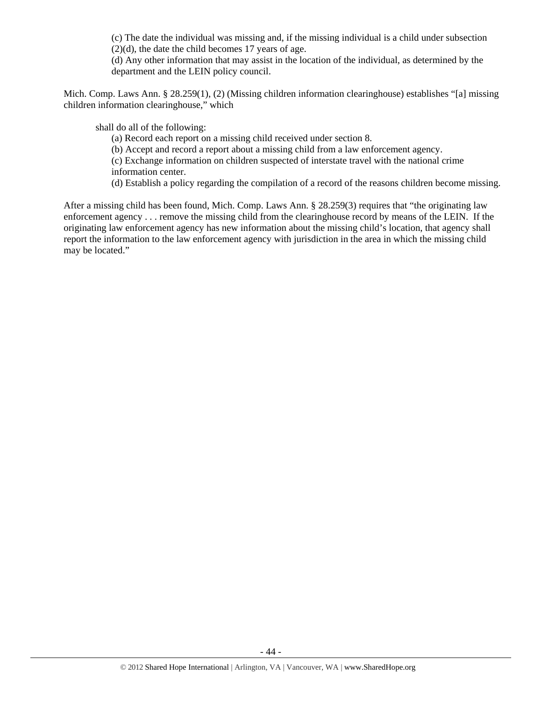(c) The date the individual was missing and, if the missing individual is a child under subsection  $(2)(d)$ , the date the child becomes 17 years of age.

(d) Any other information that may assist in the location of the individual, as determined by the department and the LEIN policy council.

Mich. Comp. Laws Ann. § 28.259(1), (2) (Missing children information clearinghouse) establishes "[a] missing children information clearinghouse," which

shall do all of the following:

(a) Record each report on a missing child received under section 8.

(b) Accept and record a report about a missing child from a law enforcement agency.

(c) Exchange information on children suspected of interstate travel with the national crime information center.

(d) Establish a policy regarding the compilation of a record of the reasons children become missing.

After a missing child has been found, Mich. Comp. Laws Ann. § 28.259(3) requires that "the originating law enforcement agency . . . remove the missing child from the clearinghouse record by means of the LEIN. If the originating law enforcement agency has new information about the missing child's location, that agency shall report the information to the law enforcement agency with jurisdiction in the area in which the missing child may be located."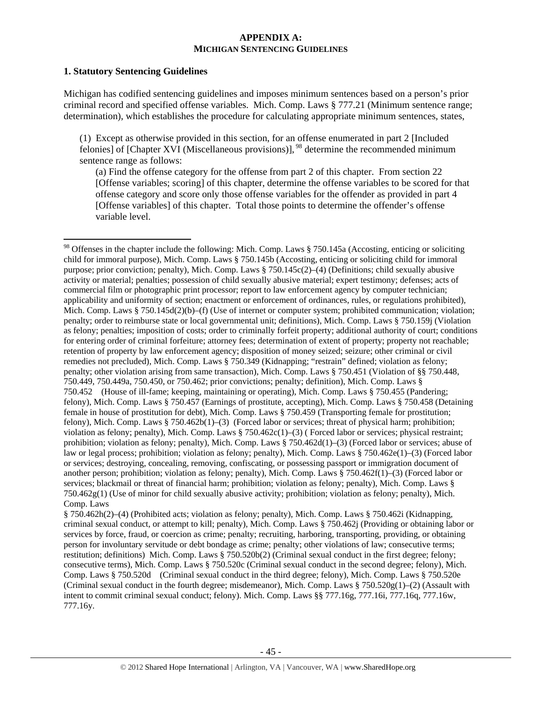#### **APPENDIX A: MICHIGAN SENTENCING GUIDELINES**

#### **1. Statutory Sentencing Guidelines**

Michigan has codified sentencing guidelines and imposes minimum sentences based on a person's prior criminal record and specified offense variables. Mich. Comp. Laws § 777.21 (Minimum sentence range; determination), which establishes the procedure for calculating appropriate minimum sentences, states,

(1) Except as otherwise provided in this section, for an offense enumerated in part 2 [Included felonies] of [Chapter XVI (Miscellaneous provisions)],  $^{98}$  determine the recommended minimum sentence range as follows:

(a) Find the offense category for the offense from part 2 of this chapter. From section 22 [Offense variables; scoring] of this chapter, determine the offense variables to be scored for that offense category and score only those offense variables for the offender as provided in part 4 [Offense variables] of this chapter. Total those points to determine the offender's offense variable level.

§ 750.462h(2)–(4) (Prohibited acts; violation as felony; penalty), Mich. Comp. Laws § 750.462i (Kidnapping, criminal sexual conduct, or attempt to kill; penalty), Mich. Comp. Laws § 750.462j (Providing or obtaining labor or services by force, fraud, or coercion as crime; penalty; recruiting, harboring, transporting, providing, or obtaining person for involuntary servitude or debt bondage as crime; penalty; other violations of law; consecutive terms; restitution; definitions) Mich. Comp. Laws § 750.520b(2) (Criminal sexual conduct in the first degree; felony; consecutive terms), Mich. Comp. Laws § 750.520c (Criminal sexual conduct in the second degree; felony), Mich. Comp. Laws § 750.520d (Criminal sexual conduct in the third degree; felony), Mich. Comp. Laws § 750.520e (Criminal sexual conduct in the fourth degree; misdemeanor), Mich. Comp. Laws  $\S 750.520g(1)$ –(2) (Assault with intent to commit criminal sexual conduct; felony). Mich. Comp. Laws §§ 777.16g, 777.16i, 777.16q, 777.16w, 777.16y.

<sup>&</sup>lt;sup>98</sup> Offenses in the chapter include the following: Mich. Comp. Laws § 750.145a (Accosting, enticing or soliciting child for immoral purpose), Mich. Comp. Laws § 750.145b (Accosting, enticing or soliciting child for immoral purpose; prior conviction; penalty), Mich. Comp. Laws § 750.145c(2)–(4) (Definitions; child sexually abusive activity or material; penalties; possession of child sexually abusive material; expert testimony; defenses; acts of commercial film or photographic print processor; report to law enforcement agency by computer technician; applicability and uniformity of section; enactment or enforcement of ordinances, rules, or regulations prohibited), Mich. Comp. Laws § 750.145d(2)(b)–(f) (Use of internet or computer system; prohibited communication; violation; penalty; order to reimburse state or local governmental unit; definitions), Mich. Comp. Laws § 750.159j (Violation as felony; penalties; imposition of costs; order to criminally forfeit property; additional authority of court; conditions for entering order of criminal forfeiture; attorney fees; determination of extent of property; property not reachable; retention of property by law enforcement agency; disposition of money seized; seizure; other criminal or civil remedies not precluded), Mich. Comp. Laws § 750.349 (Kidnapping; "restrain" defined; violation as felony; penalty; other violation arising from same transaction), Mich. Comp. Laws § 750.451 (Violation of §§ 750.448, 750.449, 750.449a, 750.450, or 750.462; prior convictions; penalty; definition), Mich. Comp. Laws § 750.452 (House of ill-fame; keeping, maintaining or operating), Mich. Comp. Laws § 750.455 (Pandering; felony), Mich. Comp. Laws § 750.457 (Earnings of prostitute, accepting), Mich. Comp. Laws § 750.458 (Detaining female in house of prostitution for debt), Mich. Comp. Laws § 750.459 (Transporting female for prostitution; felony), Mich. Comp. Laws § 750.462b(1)–(3) (Forced labor or services; threat of physical harm; prohibition; violation as felony; penalty), Mich. Comp. Laws § 750.462c(1)–(3) ( Forced labor or services; physical restraint; prohibition; violation as felony; penalty), Mich. Comp. Laws § 750.462d(1)–(3) (Forced labor or services; abuse of law or legal process; prohibition; violation as felony; penalty), Mich. Comp. Laws § 750.462e(1)–(3) (Forced labor or services; destroying, concealing, removing, confiscating, or possessing passport or immigration document of another person; prohibition; violation as felony; penalty), Mich. Comp. Laws § 750.462f(1)–(3) (Forced labor or services; blackmail or threat of financial harm; prohibition; violation as felony; penalty), Mich. Comp. Laws § 750.462g(1) (Use of minor for child sexually abusive activity; prohibition; violation as felony; penalty), Mich. Comp. Laws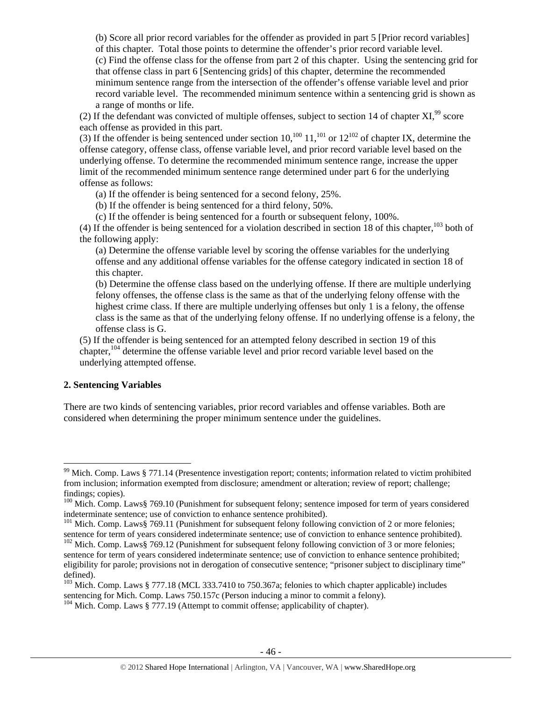(b) Score all prior record variables for the offender as provided in part 5 [Prior record variables] of this chapter. Total those points to determine the offender's prior record variable level. (c) Find the offense class for the offense from part 2 of this chapter. Using the sentencing grid for that offense class in part 6 [Sentencing grids] of this chapter, determine the recommended minimum sentence range from the intersection of the offender's offense variable level and prior record variable level. The recommended minimum sentence within a sentencing grid is shown as a range of months or life.

(2) If the defendant was convicted of multiple offenses, subject to section 14 of chapter  $XI$ ,  $99$  score each offense as provided in this part.

(3) If the offender is being sentenced under section  $10,^{100}$   $11,^{101}$  or  $12^{102}$  of chapter IX, determine the offense category, offense class, offense variable level, and prior record variable level based on the underlying offense. To determine the recommended minimum sentence range, increase the upper limit of the recommended minimum sentence range determined under part 6 for the underlying offense as follows:

(a) If the offender is being sentenced for a second felony, 25%.

(b) If the offender is being sentenced for a third felony, 50%.

(c) If the offender is being sentenced for a fourth or subsequent felony, 100%.

(4) If the offender is being sentenced for a violation described in section 18 of this chapter, $103$  both of the following apply:

(a) Determine the offense variable level by scoring the offense variables for the underlying offense and any additional offense variables for the offense category indicated in section 18 of this chapter.

(b) Determine the offense class based on the underlying offense. If there are multiple underlying felony offenses, the offense class is the same as that of the underlying felony offense with the highest crime class. If there are multiple underlying offenses but only 1 is a felony, the offense class is the same as that of the underlying felony offense. If no underlying offense is a felony, the offense class is G.

(5) If the offender is being sentenced for an attempted felony described in section 19 of this chapter,  $104$  determine the offense variable level and prior record variable level based on the underlying attempted offense.

## **2. Sentencing Variables**

There are two kinds of sentencing variables, prior record variables and offense variables. Both are considered when determining the proper minimum sentence under the guidelines.

 $99$  Mich. Comp. Laws § 771.14 (Presentence investigation report; contents; information related to victim prohibited from inclusion; information exempted from disclosure; amendment or alteration; review of report; challenge; findings; copies).

<sup>&</sup>lt;sup>100</sup> Mich. Comp. Laws§ 769.10 (Punishment for subsequent felony; sentence imposed for term of years considered indeterminate sentence; use of conviction to enhance sentence prohibited).

<sup>&</sup>lt;sup>101</sup> Mich. Comp. Laws§ 769.11 (Punishment for subsequent felony following conviction of 2 or more felonies; sentence for term of years considered indeterminate sentence; use of conviction to enhance sentence prohibited).

<sup>&</sup>lt;sup>102</sup> Mich. Comp. Laws§ 769.12 (Punishment for subsequent felony following conviction of 3 or more felonies; sentence for term of years considered indeterminate sentence; use of conviction to enhance sentence prohibited; eligibility for parole; provisions not in derogation of consecutive sentence; "prisoner subject to disciplinary time" defined).

<sup>&</sup>lt;sup>103</sup> Mich. Comp. Laws § 777.18 (MCL 333.7410 to 750.367a; felonies to which chapter applicable) includes sentencing for Mich. Comp. Laws 750.157c (Person inducing a minor to commit a felony).

<sup>&</sup>lt;sup>104</sup> Mich. Comp. Laws § 777.19 (Attempt to commit offense; applicability of chapter).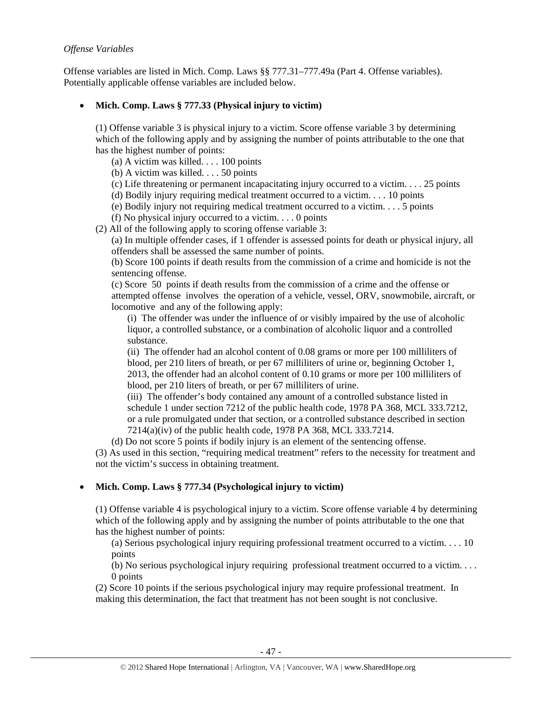## *Offense Variables*

Offense variables are listed in Mich. Comp. Laws §§ 777.31–777.49a (Part 4. Offense variables). Potentially applicable offense variables are included below.

# • **Mich. Comp. Laws § 777.33 (Physical injury to victim)**

(1) Offense variable 3 is physical injury to a victim. Score offense variable 3 by determining which of the following apply and by assigning the number of points attributable to the one that has the highest number of points:

(a) A victim was killed. . . . 100 points

(b) A victim was killed. . . . 50 points

(c) Life threatening or permanent incapacitating injury occurred to a victim.  $\ldots$  25 points

(d) Bodily injury requiring medical treatment occurred to a victim. . . . 10 points

(e) Bodily injury not requiring medical treatment occurred to a victim. . . . 5 points

(f) No physical injury occurred to a victim.  $\ldots$  0 points

(2) All of the following apply to scoring offense variable 3:

(a) In multiple offender cases, if 1 offender is assessed points for death or physical injury, all offenders shall be assessed the same number of points.

(b) Score 100 points if death results from the commission of a crime and homicide is not the sentencing offense.

(c) Score 50 points if death results from the commission of a crime and the offense or attempted offense involves the operation of a vehicle, vessel, ORV, snowmobile, aircraft, or locomotive and any of the following apply:

(i) The offender was under the influence of or visibly impaired by the use of alcoholic liquor, a controlled substance, or a combination of alcoholic liquor and a controlled substance.

(ii) The offender had an alcohol content of 0.08 grams or more per 100 milliliters of blood, per 210 liters of breath, or per 67 milliliters of urine or, beginning October 1, 2013, the offender had an alcohol content of 0.10 grams or more per 100 milliliters of blood, per 210 liters of breath, or per 67 milliliters of urine.

(iii) The offender's body contained any amount of a controlled substance listed in schedule 1 under section 7212 of the public health code, 1978 PA 368, MCL 333.7212, or a rule promulgated under that section, or a controlled substance described in section 7214(a)(iv) of the public health code, 1978 PA 368, MCL 333.7214.

(d) Do not score 5 points if bodily injury is an element of the sentencing offense.

(3) As used in this section, "requiring medical treatment" refers to the necessity for treatment and not the victim's success in obtaining treatment.

# • **Mich. Comp. Laws § 777.34 (Psychological injury to victim)**

(1) Offense variable 4 is psychological injury to a victim. Score offense variable 4 by determining which of the following apply and by assigning the number of points attributable to the one that has the highest number of points:

(a) Serious psychological injury requiring professional treatment occurred to a victim. . . . 10 points

(b) No serious psychological injury requiring professional treatment occurred to a victim. . . . 0 points

(2) Score 10 points if the serious psychological injury may require professional treatment. In making this determination, the fact that treatment has not been sought is not conclusive.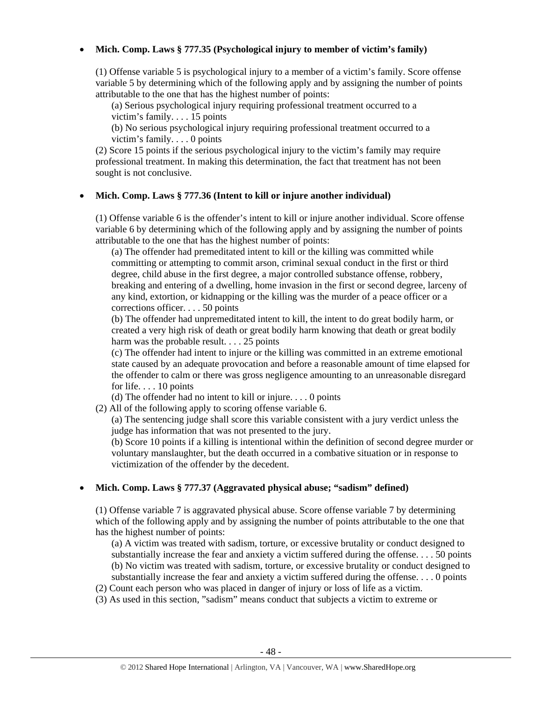## • **Mich. Comp. Laws § 777.35 (Psychological injury to member of victim's family)**

(1) Offense variable 5 is psychological injury to a member of a victim's family. Score offense variable 5 by determining which of the following apply and by assigning the number of points attributable to the one that has the highest number of points:

(a) Serious psychological injury requiring professional treatment occurred to a victim's family. . . . 15 points

(b) No serious psychological injury requiring professional treatment occurred to a victim's family. . . . 0 points

(2) Score 15 points if the serious psychological injury to the victim's family may require professional treatment. In making this determination, the fact that treatment has not been sought is not conclusive.

#### • **Mich. Comp. Laws § 777.36 (Intent to kill or injure another individual)**

(1) Offense variable 6 is the offender's intent to kill or injure another individual. Score offense variable 6 by determining which of the following apply and by assigning the number of points attributable to the one that has the highest number of points:

(a) The offender had premeditated intent to kill or the killing was committed while committing or attempting to commit arson, criminal sexual conduct in the first or third degree, child abuse in the first degree, a major controlled substance offense, robbery, breaking and entering of a dwelling, home invasion in the first or second degree, larceny of any kind, extortion, or kidnapping or the killing was the murder of a peace officer or a corrections officer. . . . 50 points

(b) The offender had unpremeditated intent to kill, the intent to do great bodily harm, or created a very high risk of death or great bodily harm knowing that death or great bodily harm was the probable result. . . . 25 points

(c) The offender had intent to injure or the killing was committed in an extreme emotional state caused by an adequate provocation and before a reasonable amount of time elapsed for the offender to calm or there was gross negligence amounting to an unreasonable disregard for life. . . . 10 points

(d) The offender had no intent to kill or injure. . . . 0 points

(2) All of the following apply to scoring offense variable 6.

(a) The sentencing judge shall score this variable consistent with a jury verdict unless the judge has information that was not presented to the jury.

(b) Score 10 points if a killing is intentional within the definition of second degree murder or voluntary manslaughter, but the death occurred in a combative situation or in response to victimization of the offender by the decedent.

#### • **Mich. Comp. Laws § 777.37 (Aggravated physical abuse; "sadism" defined)**

(1) Offense variable 7 is aggravated physical abuse. Score offense variable 7 by determining which of the following apply and by assigning the number of points attributable to the one that has the highest number of points:

(a) A victim was treated with sadism, torture, or excessive brutality or conduct designed to substantially increase the fear and anxiety a victim suffered during the offense. . . . 50 points (b) No victim was treated with sadism, torture, or excessive brutality or conduct designed to substantially increase the fear and anxiety a victim suffered during the offense. . . . 0 points

(2) Count each person who was placed in danger of injury or loss of life as a victim.

(3) As used in this section, "sadism" means conduct that subjects a victim to extreme or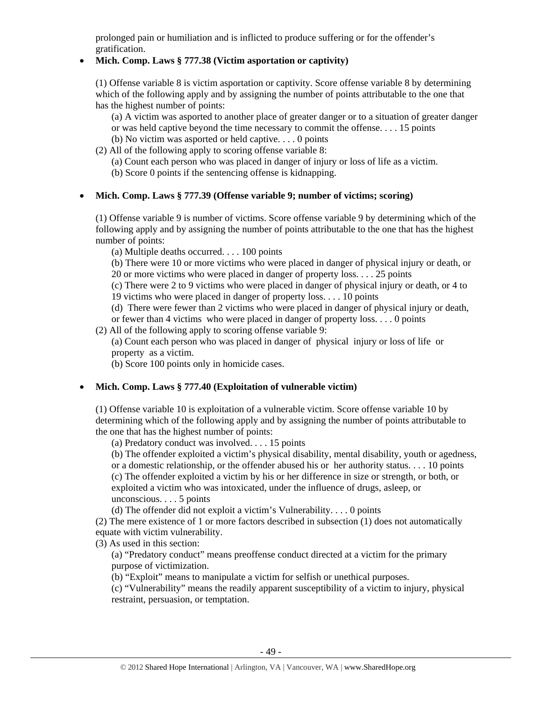prolonged pain or humiliation and is inflicted to produce suffering or for the offender's gratification.

## • **Mich. Comp. Laws § 777.38 (Victim asportation or captivity)**

(1) Offense variable 8 is victim asportation or captivity. Score offense variable 8 by determining which of the following apply and by assigning the number of points attributable to the one that has the highest number of points:

(a) A victim was asported to another place of greater danger or to a situation of greater danger or was held captive beyond the time necessary to commit the offense. . . . 15 points

- (b) No victim was asported or held captive. . . . 0 points
- (2) All of the following apply to scoring offense variable 8:
	- (a) Count each person who was placed in danger of injury or loss of life as a victim.
	- (b) Score 0 points if the sentencing offense is kidnapping.

## • **Mich. Comp. Laws § 777.39 (Offense variable 9; number of victims; scoring)**

(1) Offense variable 9 is number of victims. Score offense variable 9 by determining which of the following apply and by assigning the number of points attributable to the one that has the highest number of points:

(a) Multiple deaths occurred. . . . 100 points

(b) There were 10 or more victims who were placed in danger of physical injury or death, or 20 or more victims who were placed in danger of property loss. . . . 25 points

(c) There were 2 to 9 victims who were placed in danger of physical injury or death, or 4 to 19 victims who were placed in danger of property loss. . . . 10 points

(d) There were fewer than 2 victims who were placed in danger of physical injury or death,

or fewer than 4 victims who were placed in danger of property loss. . . . 0 points

(2) All of the following apply to scoring offense variable 9:

(a) Count each person who was placed in danger of physical injury or loss of life or property as a victim.

(b) Score 100 points only in homicide cases.

# • **Mich. Comp. Laws § 777.40 (Exploitation of vulnerable victim)**

(1) Offense variable 10 is exploitation of a vulnerable victim. Score offense variable 10 by determining which of the following apply and by assigning the number of points attributable to the one that has the highest number of points:

(a) Predatory conduct was involved. . . . 15 points

(b) The offender exploited a victim's physical disability, mental disability, youth or agedness, or a domestic relationship, or the offender abused his or her authority status. . . . 10 points (c) The offender exploited a victim by his or her difference in size or strength, or both, or exploited a victim who was intoxicated, under the influence of drugs, asleep, or unconscious. . . . 5 points

(d) The offender did not exploit a victim's Vulnerability. . . . 0 points

(2) The mere existence of 1 or more factors described in subsection (1) does not automatically equate with victim vulnerability.

(3) As used in this section:

(a) "Predatory conduct" means preoffense conduct directed at a victim for the primary purpose of victimization.

(b) "Exploit" means to manipulate a victim for selfish or unethical purposes.

(c) "Vulnerability" means the readily apparent susceptibility of a victim to injury, physical restraint, persuasion, or temptation.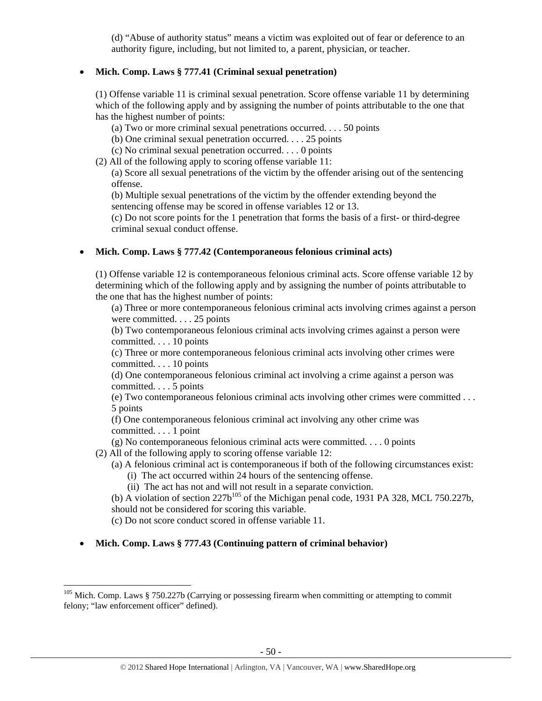(d) "Abuse of authority status" means a victim was exploited out of fear or deference to an authority figure, including, but not limited to, a parent, physician, or teacher.

## • **Mich. Comp. Laws § 777.41 (Criminal sexual penetration)**

(1) Offense variable 11 is criminal sexual penetration. Score offense variable 11 by determining which of the following apply and by assigning the number of points attributable to the one that has the highest number of points:

- (a) Two or more criminal sexual penetrations occurred. . . . 50 points
- (b) One criminal sexual penetration occurred. . . . 25 points
- (c) No criminal sexual penetration occurred. . . . 0 points
- (2) All of the following apply to scoring offense variable 11:

(a) Score all sexual penetrations of the victim by the offender arising out of the sentencing offense.

(b) Multiple sexual penetrations of the victim by the offender extending beyond the sentencing offense may be scored in offense variables 12 or 13.

(c) Do not score points for the 1 penetration that forms the basis of a first- or third-degree criminal sexual conduct offense.

#### • **Mich. Comp. Laws § 777.42 (Contemporaneous felonious criminal acts)**

(1) Offense variable 12 is contemporaneous felonious criminal acts. Score offense variable 12 by determining which of the following apply and by assigning the number of points attributable to the one that has the highest number of points:

(a) Three or more contemporaneous felonious criminal acts involving crimes against a person were committed. . . . 25 points

(b) Two contemporaneous felonious criminal acts involving crimes against a person were committed. . . . 10 points

(c) Three or more contemporaneous felonious criminal acts involving other crimes were committed. . . . 10 points

(d) One contemporaneous felonious criminal act involving a crime against a person was committed. . . . 5 points

(e) Two contemporaneous felonious criminal acts involving other crimes were committed . . . 5 points

(f) One contemporaneous felonious criminal act involving any other crime was committed. . . . 1 point

(g) No contemporaneous felonious criminal acts were committed. . . . 0 points

(2) All of the following apply to scoring offense variable 12:

- (a) A felonious criminal act is contemporaneous if both of the following circumstances exist:
	- (i) The act occurred within 24 hours of the sentencing offense.
	- (ii) The act has not and will not result in a separate conviction.

(b) A violation of section  $227b^{105}$  of the Michigan penal code, 1931 PA 328, MCL 750.227b, should not be considered for scoring this variable.

(c) Do not score conduct scored in offense variable 11.

• **Mich. Comp. Laws § 777.43 (Continuing pattern of criminal behavior)** 

 $105$  Mich. Comp. Laws § 750.227b (Carrying or possessing firearm when committing or attempting to commit felony; "law enforcement officer" defined).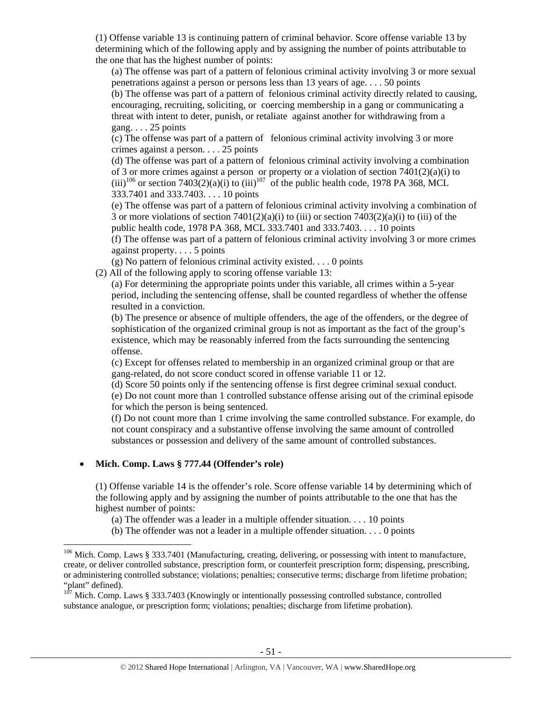(1) Offense variable 13 is continuing pattern of criminal behavior. Score offense variable 13 by determining which of the following apply and by assigning the number of points attributable to the one that has the highest number of points:

(a) The offense was part of a pattern of felonious criminal activity involving 3 or more sexual penetrations against a person or persons less than 13 years of age. . . . 50 points

(b) The offense was part of a pattern of felonious criminal activity directly related to causing, encouraging, recruiting, soliciting, or coercing membership in a gang or communicating a threat with intent to deter, punish, or retaliate against another for withdrawing from a gang. . . . 25 points

(c) The offense was part of a pattern of felonious criminal activity involving 3 or more crimes against a person. . . . 25 points

(d) The offense was part of a pattern of felonious criminal activity involving a combination of 3 or more crimes against a person or property or a violation of section 7401(2)(a)(i) to (iii)<sup>106</sup> or section 7403(2)(a)(i) to (iii)<sup>107</sup> of the public health code, 1978 PA 368, MCL 333.7401 and 333.7403. . . . 10 points

(e) The offense was part of a pattern of felonious criminal activity involving a combination of 3 or more violations of section  $7401(2)(a)(i)$  to (iii) or section  $7403(2)(a)(i)$  to (iii) of the public health code, 1978 PA 368, MCL 333.7401 and 333.7403. . . . 10 points

(f) The offense was part of a pattern of felonious criminal activity involving 3 or more crimes against property. . . . 5 points

(g) No pattern of felonious criminal activity existed. . . . 0 points

(2) All of the following apply to scoring offense variable 13:

(a) For determining the appropriate points under this variable, all crimes within a 5-year period, including the sentencing offense, shall be counted regardless of whether the offense resulted in a conviction.

(b) The presence or absence of multiple offenders, the age of the offenders, or the degree of sophistication of the organized criminal group is not as important as the fact of the group's existence, which may be reasonably inferred from the facts surrounding the sentencing offense.

(c) Except for offenses related to membership in an organized criminal group or that are gang-related, do not score conduct scored in offense variable 11 or 12.

(d) Score 50 points only if the sentencing offense is first degree criminal sexual conduct.

(e) Do not count more than 1 controlled substance offense arising out of the criminal episode for which the person is being sentenced.

(f) Do not count more than 1 crime involving the same controlled substance. For example, do not count conspiracy and a substantive offense involving the same amount of controlled substances or possession and delivery of the same amount of controlled substances.

# • **Mich. Comp. Laws § 777.44 (Offender's role)**

(1) Offense variable 14 is the offender's role. Score offense variable 14 by determining which of the following apply and by assigning the number of points attributable to the one that has the highest number of points:

(a) The offender was a leader in a multiple offender situation.  $\dots$  10 points

(b) The offender was not a leader in a multiple offender situation. . . . 0 points

<sup>&</sup>lt;sup>106</sup> Mich. Comp. Laws § 333.7401 (Manufacturing, creating, delivering, or possessing with intent to manufacture, create, or deliver controlled substance, prescription form, or counterfeit prescription form; dispensing, prescribing, or administering controlled substance; violations; penalties; consecutive terms; discharge from lifetime probation; "plant" defined).

Mich. Comp. Laws § 333.7403 (Knowingly or intentionally possessing controlled substance, controlled substance analogue, or prescription form; violations; penalties; discharge from lifetime probation).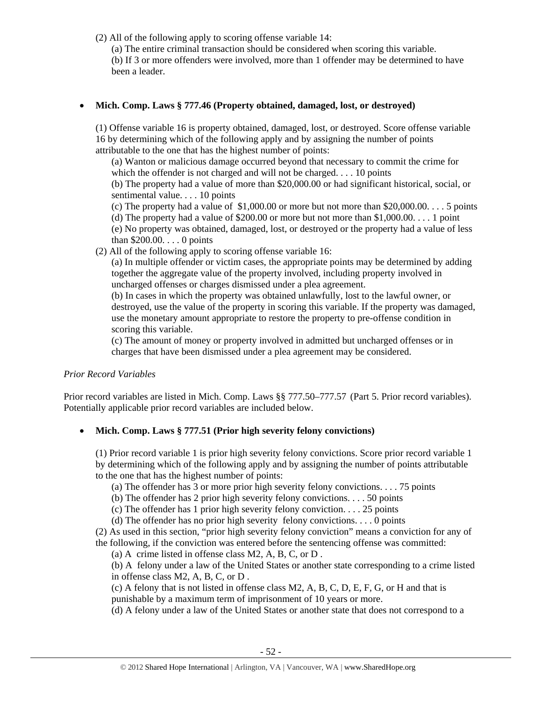(2) All of the following apply to scoring offense variable 14:

(a) The entire criminal transaction should be considered when scoring this variable.

(b) If 3 or more offenders were involved, more than 1 offender may be determined to have been a leader.

# • **Mich. Comp. Laws § 777.46 (Property obtained, damaged, lost, or destroyed)**

(1) Offense variable 16 is property obtained, damaged, lost, or destroyed. Score offense variable 16 by determining which of the following apply and by assigning the number of points attributable to the one that has the highest number of points:

(a) Wanton or malicious damage occurred beyond that necessary to commit the crime for which the offender is not charged and will not be charged. . . . 10 points

(b) The property had a value of more than \$20,000.00 or had significant historical, social, or sentimental value. . . . 10 points

(c) The property had a value of  $$1,000.00$  or more but not more than  $$20,000.00$ .... 5 points (d) The property had a value of \$200.00 or more but not more than  $$1,000.00...$  1 point

(e) No property was obtained, damaged, lost, or destroyed or the property had a value of less than \$200.00. . . . 0 points

(2) All of the following apply to scoring offense variable 16:

(a) In multiple offender or victim cases, the appropriate points may be determined by adding together the aggregate value of the property involved, including property involved in uncharged offenses or charges dismissed under a plea agreement.

(b) In cases in which the property was obtained unlawfully, lost to the lawful owner, or destroyed, use the value of the property in scoring this variable. If the property was damaged, use the monetary amount appropriate to restore the property to pre-offense condition in scoring this variable.

(c) The amount of money or property involved in admitted but uncharged offenses or in charges that have been dismissed under a plea agreement may be considered.

# *Prior Record Variables*

Prior record variables are listed in Mich. Comp. Laws §§ 777.50–777.57 (Part 5. Prior record variables). Potentially applicable prior record variables are included below.

# • **Mich. Comp. Laws § 777.51 (Prior high severity felony convictions)**

(1) Prior record variable 1 is prior high severity felony convictions. Score prior record variable 1 by determining which of the following apply and by assigning the number of points attributable to the one that has the highest number of points:

(a) The offender has 3 or more prior high severity felony convictions. . . . 75 points

(b) The offender has 2 prior high severity felony convictions. . . . 50 points

(c) The offender has 1 prior high severity felony conviction. . . . 25 points

(d) The offender has no prior high severity felony convictions. . . . 0 points

(2) As used in this section, "prior high severity felony conviction" means a conviction for any of the following, if the conviction was entered before the sentencing offense was committed:

(a) A crime listed in offense class M2, A, B, C, or D .

(b) A felony under a law of the United States or another state corresponding to a crime listed in offense class M2, A, B, C, or D .

(c) A felony that is not listed in offense class M2, A, B, C, D, E, F, G, or H and that is punishable by a maximum term of imprisonment of 10 years or more.

(d) A felony under a law of the United States or another state that does not correspond to a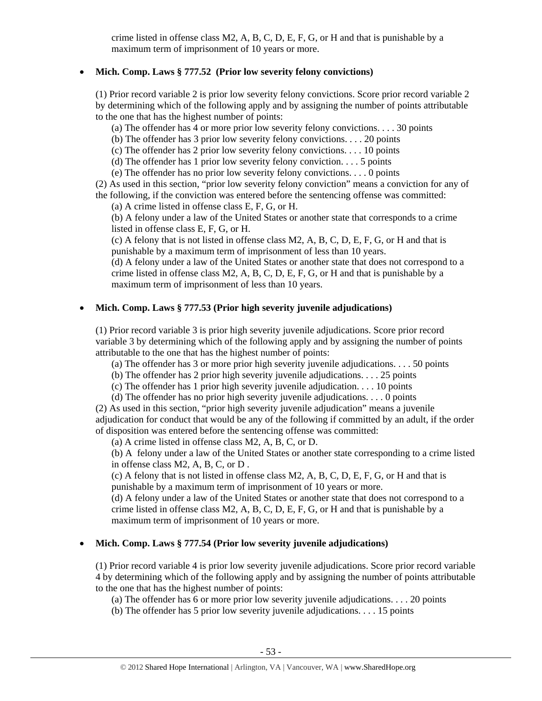crime listed in offense class M2, A, B, C, D, E, F, G, or H and that is punishable by a maximum term of imprisonment of 10 years or more.

### • **Mich. Comp. Laws § 777.52 (Prior low severity felony convictions)**

(1) Prior record variable 2 is prior low severity felony convictions. Score prior record variable 2 by determining which of the following apply and by assigning the number of points attributable to the one that has the highest number of points:

(a) The offender has 4 or more prior low severity felony convictions. . . . 30 points

(b) The offender has 3 prior low severity felony convictions. . . . 20 points

(c) The offender has 2 prior low severity felony convictions. . . . 10 points

(d) The offender has 1 prior low severity felony conviction.  $\dots$  5 points

(e) The offender has no prior low severity felony convictions. . . . 0 points

(2) As used in this section, "prior low severity felony conviction" means a conviction for any of the following, if the conviction was entered before the sentencing offense was committed:

(a) A crime listed in offense class E, F, G, or H.

(b) A felony under a law of the United States or another state that corresponds to a crime listed in offense class E, F, G, or H.

(c) A felony that is not listed in offense class M2, A, B, C, D, E, F, G, or H and that is punishable by a maximum term of imprisonment of less than 10 years.

(d) A felony under a law of the United States or another state that does not correspond to a crime listed in offense class  $M2$ , A, B, C, D, E, F, G, or H and that is punishable by a maximum term of imprisonment of less than 10 years.

# • **Mich. Comp. Laws § 777.53 (Prior high severity juvenile adjudications)**

(1) Prior record variable 3 is prior high severity juvenile adjudications. Score prior record variable 3 by determining which of the following apply and by assigning the number of points attributable to the one that has the highest number of points:

(a) The offender has 3 or more prior high severity juvenile adjudications. . . . 50 points

(b) The offender has 2 prior high severity juvenile adjudications. . . . 25 points

(c) The offender has 1 prior high severity juvenile adjudication. . . . 10 points

(d) The offender has no prior high severity juvenile adjudications. . . . 0 points

(2) As used in this section, "prior high severity juvenile adjudication" means a juvenile adjudication for conduct that would be any of the following if committed by an adult, if the order of disposition was entered before the sentencing offense was committed:

(a) A crime listed in offense class M2, A, B, C, or D.

(b) A felony under a law of the United States or another state corresponding to a crime listed in offense class M2, A, B, C, or D .

(c) A felony that is not listed in offense class M2, A, B, C, D, E, F, G, or H and that is punishable by a maximum term of imprisonment of 10 years or more.

(d) A felony under a law of the United States or another state that does not correspond to a crime listed in offense class M2, A, B, C, D, E, F, G, or H and that is punishable by a maximum term of imprisonment of 10 years or more.

# • **Mich. Comp. Laws § 777.54 (Prior low severity juvenile adjudications)**

(1) Prior record variable 4 is prior low severity juvenile adjudications. Score prior record variable 4 by determining which of the following apply and by assigning the number of points attributable to the one that has the highest number of points:

(a) The offender has 6 or more prior low severity juvenile adjudications. . . . 20 points

(b) The offender has 5 prior low severity juvenile adjudications. . . . 15 points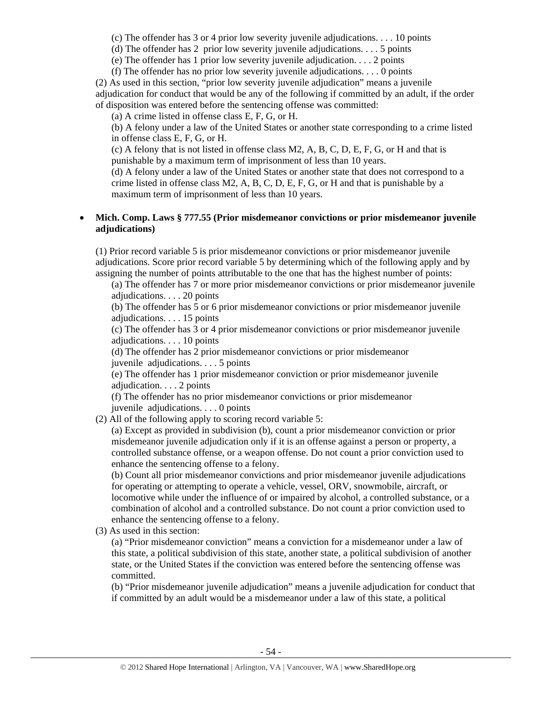(c) The offender has 3 or 4 prior low severity juvenile adjudications. . . . 10 points

(d) The offender has 2 prior low severity juvenile adjudications. . . . 5 points

(e) The offender has 1 prior low severity juvenile adjudication. . . . 2 points

(f) The offender has no prior low severity juvenile adjudications. . . . 0 points

(2) As used in this section, "prior low severity juvenile adjudication" means a juvenile adjudication for conduct that would be any of the following if committed by an adult, if the order of disposition was entered before the sentencing offense was committed:

(a) A crime listed in offense class E, F, G, or H.

(b) A felony under a law of the United States or another state corresponding to a crime listed in offense class E, F, G, or H.

(c) A felony that is not listed in offense class  $M2$ , A, B, C, D, E, F, G, or H and that is punishable by a maximum term of imprisonment of less than 10 years.

(d) A felony under a law of the United States or another state that does not correspond to a crime listed in offense class M2, A, B, C, D, E, F, G, or H and that is punishable by a maximum term of imprisonment of less than 10 years.

## • **Mich. Comp. Laws § 777.55 (Prior misdemeanor convictions or prior misdemeanor juvenile adjudications)**

(1) Prior record variable 5 is prior misdemeanor convictions or prior misdemeanor juvenile adjudications. Score prior record variable 5 by determining which of the following apply and by assigning the number of points attributable to the one that has the highest number of points:

(a) The offender has 7 or more prior misdemeanor convictions or prior misdemeanor juvenile adjudications. . . . 20 points

(b) The offender has 5 or 6 prior misdemeanor convictions or prior misdemeanor juvenile adjudications. . . . 15 points

(c) The offender has 3 or 4 prior misdemeanor convictions or prior misdemeanor juvenile adjudications. . . . 10 points

(d) The offender has 2 prior misdemeanor convictions or prior misdemeanor

juvenile adjudications. . . . 5 points

(e) The offender has 1 prior misdemeanor conviction or prior misdemeanor juvenile adjudication. . . . 2 points

(f) The offender has no prior misdemeanor convictions or prior misdemeanor juvenile adjudications. . . . 0 points

(2) All of the following apply to scoring record variable 5:

(a) Except as provided in subdivision (b), count a prior misdemeanor conviction or prior misdemeanor juvenile adjudication only if it is an offense against a person or property, a controlled substance offense, or a weapon offense. Do not count a prior conviction used to enhance the sentencing offense to a felony.

(b) Count all prior misdemeanor convictions and prior misdemeanor juvenile adjudications for operating or attempting to operate a vehicle, vessel, ORV, snowmobile, aircraft, or locomotive while under the influence of or impaired by alcohol, a controlled substance, or a combination of alcohol and a controlled substance. Do not count a prior conviction used to enhance the sentencing offense to a felony.

(3) As used in this section:

(a) "Prior misdemeanor conviction" means a conviction for a misdemeanor under a law of this state, a political subdivision of this state, another state, a political subdivision of another state, or the United States if the conviction was entered before the sentencing offense was committed.

(b) "Prior misdemeanor juvenile adjudication" means a juvenile adjudication for conduct that if committed by an adult would be a misdemeanor under a law of this state, a political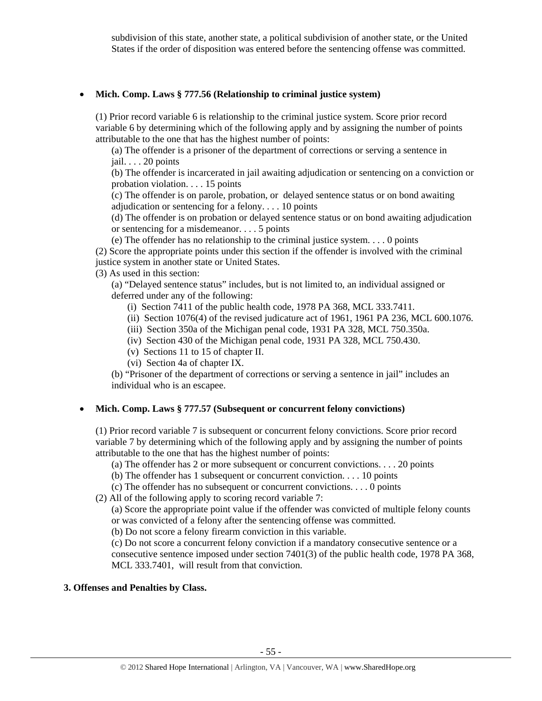subdivision of this state, another state, a political subdivision of another state, or the United States if the order of disposition was entered before the sentencing offense was committed.

#### • **Mich. Comp. Laws § 777.56 (Relationship to criminal justice system)**

(1) Prior record variable 6 is relationship to the criminal justice system. Score prior record variable 6 by determining which of the following apply and by assigning the number of points attributable to the one that has the highest number of points:

(a) The offender is a prisoner of the department of corrections or serving a sentence in jail. . . . 20 points

(b) The offender is incarcerated in jail awaiting adjudication or sentencing on a conviction or probation violation. . . . 15 points

(c) The offender is on parole, probation, or delayed sentence status or on bond awaiting adjudication or sentencing for a felony. . . . 10 points

(d) The offender is on probation or delayed sentence status or on bond awaiting adjudication or sentencing for a misdemeanor. . . . 5 points

(e) The offender has no relationship to the criminal justice system. . . . 0 points

(2) Score the appropriate points under this section if the offender is involved with the criminal justice system in another state or United States.

(3) As used in this section:

(a) "Delayed sentence status" includes, but is not limited to, an individual assigned or deferred under any of the following:

(i) Section 7411 of the public health code, 1978 PA 368, MCL 333.7411.

- (ii) Section 1076(4) of the revised judicature act of 1961, 1961 PA 236, MCL 600.1076.
- (iii) Section 350a of the Michigan penal code, 1931 PA 328, MCL 750.350a.
- (iv) Section 430 of the Michigan penal code, 1931 PA 328, MCL 750.430.
- (v) Sections 11 to 15 of chapter II.
- (vi) Section 4a of chapter IX.

(b) "Prisoner of the department of corrections or serving a sentence in jail" includes an individual who is an escapee.

#### • **Mich. Comp. Laws § 777.57 (Subsequent or concurrent felony convictions)**

(1) Prior record variable 7 is subsequent or concurrent felony convictions. Score prior record variable 7 by determining which of the following apply and by assigning the number of points attributable to the one that has the highest number of points:

(a) The offender has 2 or more subsequent or concurrent convictions. . . . 20 points

(b) The offender has 1 subsequent or concurrent conviction. . . . 10 points

(c) The offender has no subsequent or concurrent convictions. . . . 0 points

(2) All of the following apply to scoring record variable 7:

(a) Score the appropriate point value if the offender was convicted of multiple felony counts or was convicted of a felony after the sentencing offense was committed.

(b) Do not score a felony firearm conviction in this variable.

(c) Do not score a concurrent felony conviction if a mandatory consecutive sentence or a consecutive sentence imposed under section 7401(3) of the public health code, 1978 PA 368, MCL 333.7401, will result from that conviction.

#### **3. Offenses and Penalties by Class.**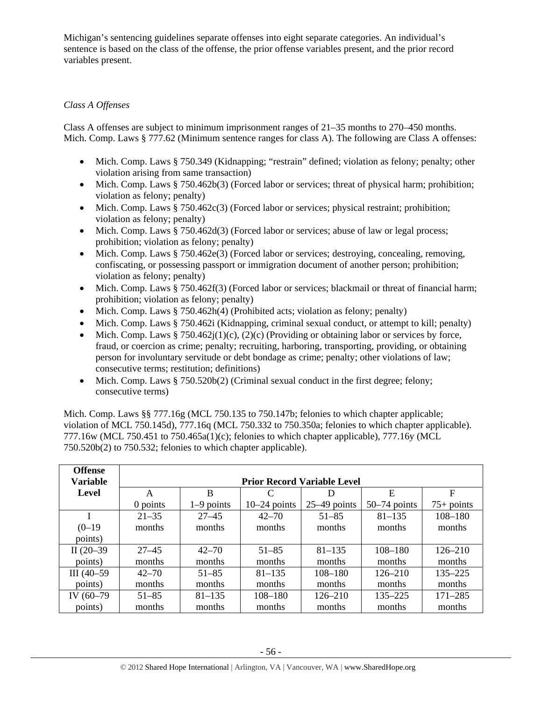Michigan's sentencing guidelines separate offenses into eight separate categories. An individual's sentence is based on the class of the offense, the prior offense variables present, and the prior record variables present.

# *Class A Offenses*

Class A offenses are subject to minimum imprisonment ranges of 21–35 months to 270–450 months. Mich. Comp. Laws § 777.62 (Minimum sentence ranges for class A). The following are Class A offenses:

- Mich. Comp. Laws § 750.349 (Kidnapping; "restrain" defined; violation as felony; penalty; other violation arising from same transaction)
- Mich. Comp. Laws § 750.462b(3) (Forced labor or services; threat of physical harm; prohibition; violation as felony; penalty)
- Mich. Comp. Laws  $§ 750.462c(3)$  (Forced labor or services; physical restraint; prohibition; violation as felony; penalty)
- Mich. Comp. Laws § 750.462d(3) (Forced labor or services; abuse of law or legal process; prohibition; violation as felony; penalty)
- Mich. Comp. Laws § 750.462e(3) (Forced labor or services; destroying, concealing, removing, confiscating, or possessing passport or immigration document of another person; prohibition; violation as felony; penalty)
- Mich. Comp. Laws § 750.462f(3) (Forced labor or services; blackmail or threat of financial harm; prohibition; violation as felony; penalty)
- Mich. Comp. Laws § 750.462h(4) (Prohibited acts; violation as felony; penalty)
- Mich. Comp. Laws § 750.462i (Kidnapping, criminal sexual conduct, or attempt to kill; penalty)
- Mich. Comp. Laws § 750.462j(1)(c), (2)(c) (Providing or obtaining labor or services by force, fraud, or coercion as crime; penalty; recruiting, harboring, transporting, providing, or obtaining person for involuntary servitude or debt bondage as crime; penalty; other violations of law; consecutive terms; restitution; definitions)
- Mich. Comp. Laws  $§ 750.520b(2)$  (Criminal sexual conduct in the first degree; felony; consecutive terms)

Mich. Comp. Laws §§ 777.16g (MCL 750.135 to 750.147b; felonies to which chapter applicable; violation of MCL 750.145d), 777.16q (MCL 750.332 to 750.350a; felonies to which chapter applicable). 777.16w (MCL 750.451 to 750.465a(1)(c); felonies to which chapter applicable), 777.16y (MCL 750.520b(2) to 750.532; felonies to which chapter applicable).

| <b>Offense</b><br><b>Variable</b> | <b>Prior Record Variable Level</b> |                  |                |                |                |              |  |  |  |
|-----------------------------------|------------------------------------|------------------|----------------|----------------|----------------|--------------|--|--|--|
| Level                             | A                                  | F<br>E<br>B<br>Ð |                |                |                |              |  |  |  |
|                                   | $0$ points                         | $1-9$ points     | $10-24$ points | $25-49$ points | $50-74$ points | $75+$ points |  |  |  |
|                                   | $21 - 35$                          | $27 - 45$        | $42 - 70$      | $51 - 85$      | $81 - 135$     | $108 - 180$  |  |  |  |
| $(0-19)$                          | months                             | months           | months         | months         | months         | months       |  |  |  |
| points)                           |                                    |                  |                |                |                |              |  |  |  |
| II $(20-39)$                      | $27 - 45$                          | $42 - 70$        | $51 - 85$      | $81 - 135$     | $108 - 180$    | $126 - 210$  |  |  |  |
| points)                           | months                             | months           | months         | months         | months         | months       |  |  |  |
| $III(40-59)$                      | $42 - 70$                          | $51 - 85$        | $81 - 135$     | $108 - 180$    | $126 - 210$    | $135 - 225$  |  |  |  |
| points)                           | months                             | months           | months         | months         | months         | months       |  |  |  |
| IV (60-79)                        | $51 - 85$                          | $81 - 135$       | $108 - 180$    | $126 - 210$    | 135-225        | $171 - 285$  |  |  |  |
| points)                           | months                             | months           | months         | months         | months         | months       |  |  |  |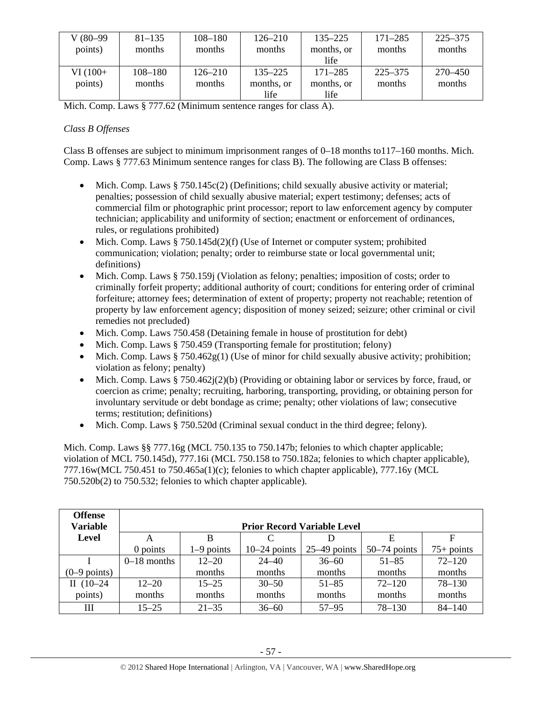| $V(80-99)$<br>points) | $81 - 135$<br>months | $108 - 180$<br>months | $126 - 210$<br>months | $135 - 225$<br>months, or | $171 - 285$<br>months | $225 - 375$<br>months |
|-----------------------|----------------------|-----------------------|-----------------------|---------------------------|-----------------------|-----------------------|
|                       |                      |                       |                       | life                      |                       |                       |
| $VI(100+$             | $108 - 180$          | $126 - 210$           | $135 - 225$           | $171 - 285$               | $225 - 375$           | 270–450               |
| points)               | months               | months                | months, or            | months, or                | months                | months                |
|                       |                      |                       | life                  | life                      |                       |                       |

Mich. Comp. Laws § 777.62 (Minimum sentence ranges for class A).

# *Class B Offenses*

Class B offenses are subject to minimum imprisonment ranges of 0–18 months to117–160 months. Mich. Comp. Laws § 777.63 Minimum sentence ranges for class B). The following are Class B offenses:

- Mich. Comp. Laws § 750.145c(2) (Definitions; child sexually abusive activity or material; penalties; possession of child sexually abusive material; expert testimony; defenses; acts of commercial film or photographic print processor; report to law enforcement agency by computer technician; applicability and uniformity of section; enactment or enforcement of ordinances, rules, or regulations prohibited)
- Mich. Comp. Laws  $§ 750.145d(2)(f)$  (Use of Internet or computer system; prohibited communication; violation; penalty; order to reimburse state or local governmental unit; definitions)
- Mich. Comp. Laws § 750.159j (Violation as felony; penalties; imposition of costs; order to criminally forfeit property; additional authority of court; conditions for entering order of criminal forfeiture; attorney fees; determination of extent of property; property not reachable; retention of property by law enforcement agency; disposition of money seized; seizure; other criminal or civil remedies not precluded)
- Mich. Comp. Laws 750.458 (Detaining female in house of prostitution for debt)
- Mich. Comp. Laws § 750.459 (Transporting female for prostitution; felony)
- Mich. Comp. Laws § 750.462 $g(1)$  (Use of minor for child sexually abusive activity; prohibition; violation as felony; penalty)
- Mich. Comp. Laws § 750.462j(2)(b) (Providing or obtaining labor or services by force, fraud, or coercion as crime; penalty; recruiting, harboring, transporting, providing, or obtaining person for involuntary servitude or debt bondage as crime; penalty; other violations of law; consecutive terms; restitution; definitions)
- Mich. Comp. Laws § 750.520d (Criminal sexual conduct in the third degree; felony).

Mich. Comp. Laws §§ 777.16g (MCL 750.135 to 750.147b; felonies to which chapter applicable; violation of MCL 750.145d), 777.16i (MCL 750.158 to 750.182a; felonies to which chapter applicable), 777.16w(MCL 750.451 to 750.465a(1)(c); felonies to which chapter applicable), 777.16y (MCL 750.520b(2) to 750.532; felonies to which chapter applicable).

| <b>Offense</b><br><b>Variable</b> |               |              |                    | <b>Prior Record Variable Level</b> |                |              |
|-----------------------------------|---------------|--------------|--------------------|------------------------------------|----------------|--------------|
| Level                             | A             | B            | $\curvearrowright$ |                                    | Е              |              |
|                                   | $0$ points    | $1-9$ points | $10-24$ points     | $25-49$ points                     | $50-74$ points | $75+$ points |
|                                   | $0-18$ months | $12 - 20$    | $24 - 40$          | $36 - 60$                          | $51 - 85$      | $72 - 120$   |
| $(0-9$ points)                    |               | months       | months             | months                             | months         | months       |
| II $(10-24)$                      | $12 - 20$     | $15 - 25$    | $30 - 50$          | $51 - 85$                          | $72 - 120$     | $78 - 130$   |
| points)                           | months        | months       | months             | months                             | months         | months       |
| Ш                                 | $15 - 25$     | $21 - 35$    | $36 - 60$          | $57 - 95$                          | $78 - 130$     | $84 - 140$   |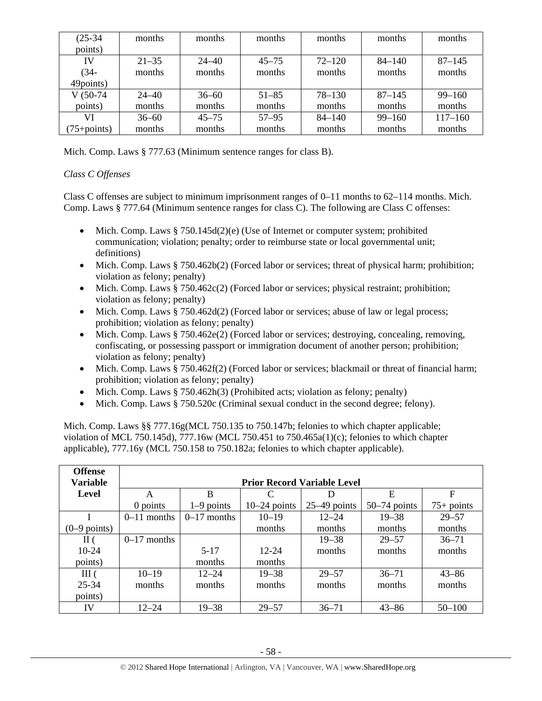| $(25-34)$      | months    | months    | months    | months     | months     | months      |
|----------------|-----------|-----------|-----------|------------|------------|-------------|
| points)        |           |           |           |            |            |             |
| IV             | $21 - 35$ | $24 - 40$ | $45 - 75$ | $72 - 120$ | $84 - 140$ | $87 - 145$  |
| $(34 -$        | months    | months    | months    | months     | months     | months      |
| 49points)      |           |           |           |            |            |             |
| $V(50-74)$     | $24 - 40$ | $36 - 60$ | $51 - 85$ | $78 - 130$ | $87 - 145$ | $99 - 160$  |
| points)        | months    | months    | months    | months     | months     | months      |
| VI             | $36 - 60$ | $45 - 75$ | $57 - 95$ | $84 - 140$ | $99 - 160$ | $117 - 160$ |
| $75 + points)$ | months    | months    | months    | months     | months     | months      |

Mich. Comp. Laws § 777.63 (Minimum sentence ranges for class B).

# *Class C Offenses*

Class C offenses are subject to minimum imprisonment ranges of  $0-11$  months to  $62-114$  months. Mich. Comp. Laws § 777.64 (Minimum sentence ranges for class C). The following are Class C offenses:

- Mich. Comp. Laws  $\S 750.145d(2)(e)$  (Use of Internet or computer system; prohibited communication; violation; penalty; order to reimburse state or local governmental unit; definitions)
- Mich. Comp. Laws § 750.462b(2) (Forced labor or services; threat of physical harm; prohibition; violation as felony; penalty)
- Mich. Comp. Laws  $§ 750.462c(2)$  (Forced labor or services; physical restraint; prohibition; violation as felony; penalty)
- Mich. Comp. Laws § 750.462d(2) (Forced labor or services; abuse of law or legal process; prohibition; violation as felony; penalty)
- Mich. Comp. Laws § 750.462e(2) (Forced labor or services; destroying, concealing, removing, confiscating, or possessing passport or immigration document of another person; prohibition; violation as felony; penalty)
- Mich. Comp. Laws § 750.462f(2) (Forced labor or services; blackmail or threat of financial harm; prohibition; violation as felony; penalty)
- Mich. Comp. Laws  $\S 750.462h(3)$  (Prohibited acts; violation as felony; penalty)
- Mich. Comp. Laws § 750.520c (Criminal sexual conduct in the second degree; felony).

Mich. Comp. Laws §§ 777.16g(MCL 750.135 to 750.147b; felonies to which chapter applicable; violation of MCL 750.145d), 777.16w (MCL 750.451 to 750.465a(1)(c); felonies to which chapter applicable), 777.16y (MCL 750.158 to 750.182a; felonies to which chapter applicable).

| <b>Offense</b>         |               |               |                                    |                |                |              |
|------------------------|---------------|---------------|------------------------------------|----------------|----------------|--------------|
| <b>Variable</b>        |               |               | <b>Prior Record Variable Level</b> |                |                |              |
| Level                  | A             | B             |                                    |                | E              | $\mathbf F$  |
|                        | 0 points      | $1-9$ points  | $10-24$ points                     | $25-49$ points | $50-74$ points | $75+$ points |
|                        | $0-11$ months | $0-17$ months | $10 - 19$                          | $12 - 24$      | $19 - 38$      | $29 - 57$    |
| $(0-9 \text{ points})$ |               |               | months                             | months         | months         | months       |
| $\rm II$ (             | $0-17$ months |               |                                    | $19 - 38$      | $29 - 57$      | $36 - 71$    |
| $10-24$                |               | $5 - 17$      | $12 - 24$                          | months         | months         | months       |
| points)                |               | months        | months                             |                |                |              |
| III(                   | $10 - 19$     | $12 - 24$     | $19 - 38$                          | $29 - 57$      | $36 - 71$      | $43 - 86$    |
| $25 - 34$              | months        | months        | months                             | months         | months         | months       |
| points)                |               |               |                                    |                |                |              |
| IV                     | $12 - 24$     | $19 - 38$     | $29 - 57$                          | $36 - 71$      | $43 - 86$      | $50 - 100$   |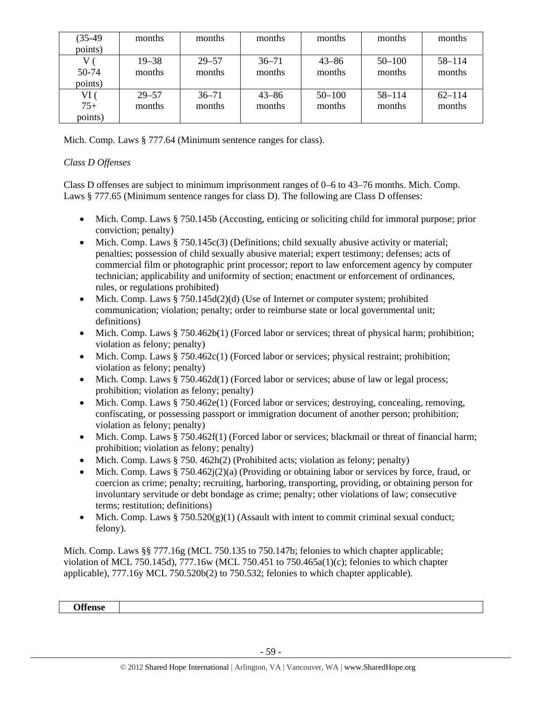| $(35-49)$ | months    | months    | months    | months     | months     | months     |
|-----------|-----------|-----------|-----------|------------|------------|------------|
| points)   |           |           |           |            |            |            |
|           | $19 - 38$ | $29 - 57$ | $36 - 71$ | $43 - 86$  | $50 - 100$ | 58-114     |
| 50-74     | months    | months    | months    | months     | months     | months     |
| points)   |           |           |           |            |            |            |
| VI (      | $29 - 57$ | $36 - 71$ | $43 - 86$ | $50 - 100$ | $58 - 114$ | $62 - 114$ |
| $75+$     | months    | months    | months    | months     | months     | months     |
| points)   |           |           |           |            |            |            |

Mich. Comp. Laws § 777.64 (Minimum sentence ranges for class).

# *Class D Offenses*

Class D offenses are subject to minimum imprisonment ranges of 0–6 to 43–76 months. Mich. Comp. Laws § 777.65 (Minimum sentence ranges for class D). The following are Class D offenses:

- Mich. Comp. Laws § 750.145b (Accosting, enticing or soliciting child for immoral purpose; prior conviction; penalty)
- Mich. Comp. Laws  $\S 750.145c(3)$  (Definitions; child sexually abusive activity or material; penalties; possession of child sexually abusive material; expert testimony; defenses; acts of commercial film or photographic print processor; report to law enforcement agency by computer technician; applicability and uniformity of section; enactment or enforcement of ordinances, rules, or regulations prohibited)
- Mich. Comp. Laws  $\S 750.145d(2)(d)$  (Use of Internet or computer system; prohibited communication; violation; penalty; order to reimburse state or local governmental unit; definitions)
- Mich. Comp. Laws § 750.462b(1) (Forced labor or services; threat of physical harm; prohibition; violation as felony; penalty)
- Mich. Comp. Laws  $§ 750.462c(1)$  (Forced labor or services; physical restraint; prohibition; violation as felony; penalty)
- Mich. Comp. Laws § 750.462d(1) (Forced labor or services; abuse of law or legal process; prohibition; violation as felony; penalty)
- Mich. Comp. Laws § 750.462e(1) (Forced labor or services; destroying, concealing, removing, confiscating, or possessing passport or immigration document of another person; prohibition; violation as felony; penalty)
- Mich. Comp. Laws § 750.462f(1) (Forced labor or services; blackmail or threat of financial harm; prohibition; violation as felony; penalty)
- Mich. Comp. Laws  $\S 750.462h(2)$  (Prohibited acts; violation as felony; penalty)
- Mich. Comp. Laws § 750.462j(2)(a) (Providing or obtaining labor or services by force, fraud, or coercion as crime; penalty; recruiting, harboring, transporting, providing, or obtaining person for involuntary servitude or debt bondage as crime; penalty; other violations of law; consecutive terms; restitution; definitions)
- Mich. Comp. Laws  $\S 750.520(g)(1)$  (Assault with intent to commit criminal sexual conduct; felony).

Mich. Comp. Laws §§ 777.16g (MCL 750.135 to 750.147b; felonies to which chapter applicable; violation of MCL 750.145d), 777.16w (MCL 750.451 to 750.465a(1)(c); felonies to which chapter applicable), 777.16y MCL 750.520b(2) to 750.532; felonies to which chapter applicable).

**Offense**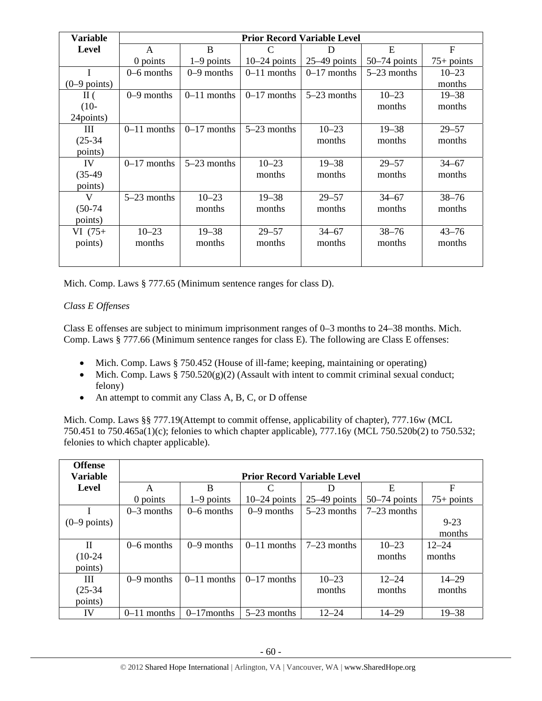| <b>Variable</b> |               |               |                | <b>Prior Record Variable Level</b> |                |                |
|-----------------|---------------|---------------|----------------|------------------------------------|----------------|----------------|
| <b>Level</b>    | A             | B             | C              | D                                  | E              | $\overline{F}$ |
|                 | 0 points      | $1-9$ points  | $10-24$ points | $25-49$ points                     | $50-74$ points | $75+$ points   |
|                 | $0-6$ months  | $0-9$ months  | $0-11$ months  | $0-17$ months                      | $5-23$ months  | $10 - 23$      |
| $(0-9$ points)  |               |               |                |                                    |                | months         |
| $\rm{II}$ (     | $0-9$ months  | $0-11$ months | $0-17$ months  | $5-23$ months                      | $10 - 23$      | $19 - 38$      |
| $(10-$          |               |               |                |                                    | months         | months         |
| 24points)       |               |               |                |                                    |                |                |
| Ш               | $0-11$ months | $0-17$ months | $5-23$ months  | $10 - 23$                          | $19 - 38$      | $29 - 57$      |
| $(25-34)$       |               |               |                | months                             | months         | months         |
| points)         |               |               |                |                                    |                |                |
| IV              | $0-17$ months | $5-23$ months | $10 - 23$      | $19 - 38$                          | $29 - 57$      | $34 - 67$      |
| $(35-49)$       |               |               | months         | months                             | months         | months         |
| points)         |               |               |                |                                    |                |                |
| V               | $5-23$ months | $10 - 23$     | $19 - 38$      | $29 - 57$                          | $34 - 67$      | $38 - 76$      |
| $(50-74)$       |               | months        | months         | months                             | months         | months         |
| points)         |               |               |                |                                    |                |                |
| $VI(75+)$       | $10 - 23$     | $19 - 38$     | $29 - 57$      | $34 - 67$                          | $38 - 76$      | $43 - 76$      |
| points)         | months        | months        | months         | months                             | months         | months         |
|                 |               |               |                |                                    |                |                |

Mich. Comp. Laws § 777.65 (Minimum sentence ranges for class D).

# *Class E Offenses*

Class E offenses are subject to minimum imprisonment ranges of 0–3 months to 24–38 months. Mich. Comp. Laws § 777.66 (Minimum sentence ranges for class E). The following are Class E offenses:

- Mich. Comp. Laws § 750.452 (House of ill-fame; keeping, maintaining or operating)
- Mich. Comp. Laws  $\S 750.520(g)(2)$  (Assault with intent to commit criminal sexual conduct; felony)
- An attempt to commit any Class A, B, C, or D offense

Mich. Comp. Laws §§ 777.19(Attempt to commit offense, applicability of chapter), 777.16w (MCL 750.451 to 750.465a(1)(c); felonies to which chapter applicable), 777.16y (MCL 750.520b(2) to 750.532; felonies to which chapter applicable).

| <b>Offense</b>  |               |               |                |                                    |                |              |
|-----------------|---------------|---------------|----------------|------------------------------------|----------------|--------------|
| <b>Variable</b> |               |               |                | <b>Prior Record Variable Level</b> |                |              |
| Level           | A             | B             | C              | D                                  | E              | F            |
|                 | 0 points      | $1-9$ points  | $10-24$ points | $25-49$ points                     | $50-74$ points | $75+$ points |
|                 | $0-3$ months  | $0-6$ months  | $0-9$ months   | $5-23$ months                      | $7-23$ months  |              |
| $(0-9$ points)  |               |               |                |                                    |                | $9 - 23$     |
|                 |               |               |                |                                    |                | months       |
| П               | $0-6$ months  | $0-9$ months  | $0-11$ months  | $7-23$ months                      | $10 - 23$      | $12 - 24$    |
| $(10-24)$       |               |               |                |                                    | months         | months       |
| points)         |               |               |                |                                    |                |              |
| Ш               | $0-9$ months  | $0-11$ months | $0-17$ months  | $10 - 23$                          | $12 - 24$      | $14 - 29$    |
| $(25-34)$       |               |               |                | months                             | months         | months       |
| points)         |               |               |                |                                    |                |              |
| IV              | $0-11$ months | $0-17$ months | $5-23$ months  | $12 - 24$                          | $14 - 29$      | $19 - 38$    |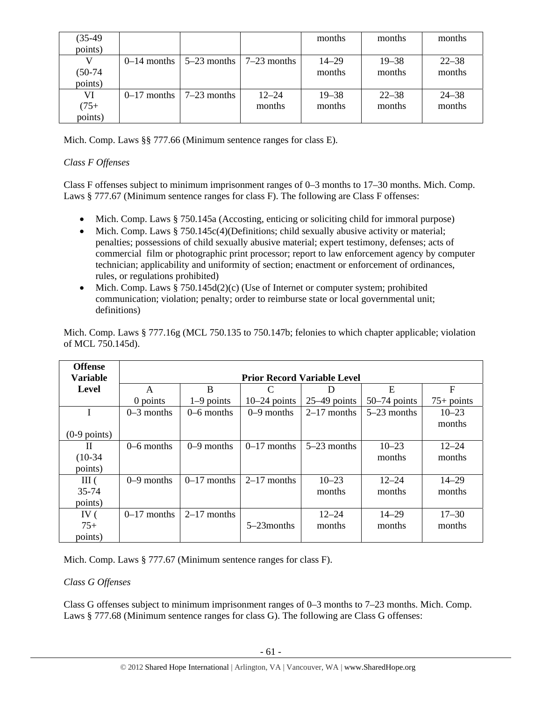| $(35-49)$ |                            |               |                      | months    | months    | months    |
|-----------|----------------------------|---------------|----------------------|-----------|-----------|-----------|
| points)   |                            |               |                      |           |           |           |
|           | $0-14$ months $\mathsf{l}$ | $5-23$ months | $\sqrt{7-23}$ months | $14 - 29$ | $19 - 38$ | $22 - 38$ |
| $(50-74)$ |                            |               |                      | months    | months    | months    |
| points)   |                            |               |                      |           |           |           |
| VI        | $0-17$ months              | $7-23$ months | $12 - 24$            | $19 - 38$ | $22 - 38$ | $24 - 38$ |
| $(75 +$   |                            |               | months               | months    | months    | months    |
| points)   |                            |               |                      |           |           |           |

Mich. Comp. Laws §§ 777.66 (Minimum sentence ranges for class E).

# *Class F Offenses*

Class F offenses subject to minimum imprisonment ranges of 0–3 months to 17–30 months. Mich. Comp. Laws § 777.67 (Minimum sentence ranges for class F). The following are Class F offenses:

- Mich. Comp. Laws § 750.145a (Accosting, enticing or soliciting child for immoral purpose)
- Mich. Comp. Laws § 750.145c(4)(Definitions; child sexually abusive activity or material; penalties; possessions of child sexually abusive material; expert testimony, defenses; acts of commercial film or photographic print processor; report to law enforcement agency by computer technician; applicability and uniformity of section; enactment or enforcement of ordinances, rules, or regulations prohibited)
- Mich. Comp. Laws  $§ 750.145d(2)(c)$  (Use of Internet or computer system; prohibited communication; violation; penalty; order to reimburse state or local governmental unit; definitions)

| <b>Offense</b>  |               |               |                |                                    |                |              |
|-----------------|---------------|---------------|----------------|------------------------------------|----------------|--------------|
| <b>Variable</b> |               |               |                | <b>Prior Record Variable Level</b> |                |              |
| <b>Level</b>    | A             | B             | C              | D                                  | E              | $\mathbf F$  |
|                 | 0 points      | $1-9$ points  | $10-24$ points | $25-49$ points                     | $50-74$ points | $75+$ points |
| I               | $0-3$ months  | $0-6$ months  | $0-9$ months   | $2-17$ months                      | $5-23$ months  | $10 - 23$    |
|                 |               |               |                |                                    |                | months       |
| $(0-9$ points)  |               |               |                |                                    |                |              |
| Н               | $0-6$ months  | $0-9$ months  | $0-17$ months  | $5-23$ months                      | $10 - 23$      | $12 - 24$    |
| $(10-34)$       |               |               |                |                                    | months         | months       |
| points)         |               |               |                |                                    |                |              |
| III(            | $0-9$ months  | $0-17$ months | $2-17$ months  | $10 - 23$                          | $12 - 24$      | $14 - 29$    |
| 35-74           |               |               |                | months                             | months         | months       |
| points)         |               |               |                |                                    |                |              |
| IV $($          | $0-17$ months | $2-17$ months |                | $12 - 24$                          | $14 - 29$      | $17 - 30$    |
| $75+$           |               |               | 5–23 months    | months                             | months         | months       |
| points)         |               |               |                |                                    |                |              |

Mich. Comp. Laws § 777.16g (MCL 750.135 to 750.147b; felonies to which chapter applicable; violation of MCL 750.145d).

Mich. Comp. Laws § 777.67 (Minimum sentence ranges for class F).

# *Class G Offenses*

Class G offenses subject to minimum imprisonment ranges of 0–3 months to 7–23 months. Mich. Comp. Laws § 777.68 (Minimum sentence ranges for class G). The following are Class G offenses: